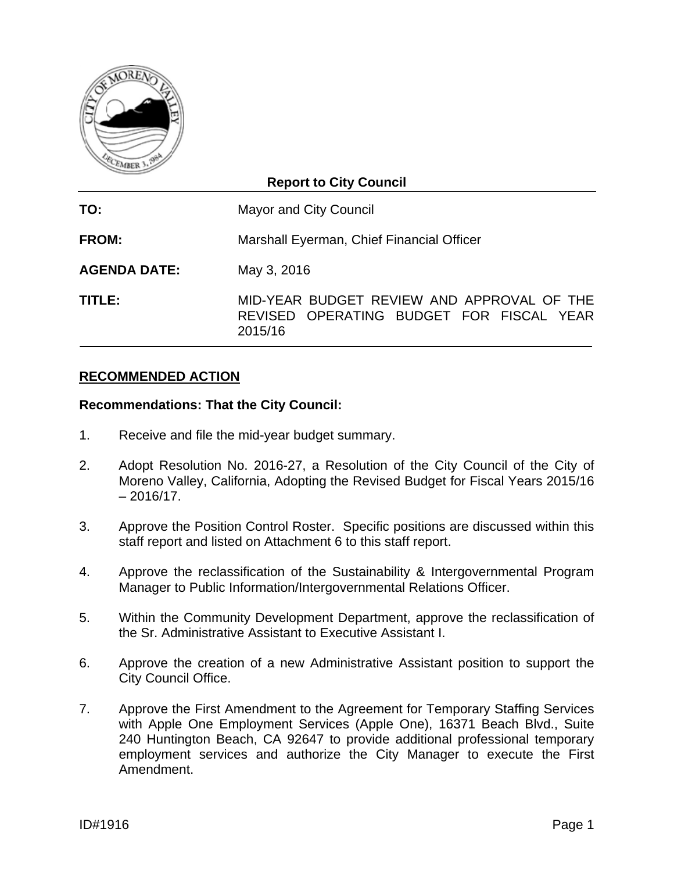

### **Report to City Council**

**TO:** Mayor and City Council **FROM:** Marshall Eyerman, Chief Financial Officer **AGENDA DATE:** May 3, 2016 **TITLE:** MID-YEAR BUDGET REVIEW AND APPROVAL OF THE REVISED OPERATING BUDGET FOR FISCAL YEAR 2015/16

#### **RECOMMENDED ACTION**

#### **Recommendations: That the City Council:**

- 1. Receive and file the mid-year budget summary.
- 2. Adopt Resolution No. 2016-27, a Resolution of the City Council of the City of Moreno Valley, California, Adopting the Revised Budget for Fiscal Years 2015/16  $-2016/17$ .
- 3. Approve the Position Control Roster. Specific positions are discussed within this staff report and listed on Attachment 6 to this staff report.
- 4. Approve the reclassification of the Sustainability & Intergovernmental Program Manager to Public Information/Intergovernmental Relations Officer.
- 5. Within the Community Development Department, approve the reclassification of the Sr. Administrative Assistant to Executive Assistant I.
- 6. Approve the creation of a new Administrative Assistant position to support the City Council Office.
- 7. Approve the First Amendment to the Agreement for Temporary Staffing Services with Apple One Employment Services (Apple One), 16371 Beach Blvd., Suite 240 Huntington Beach, CA 92647 to provide additional professional temporary employment services and authorize the City Manager to execute the First Amendment.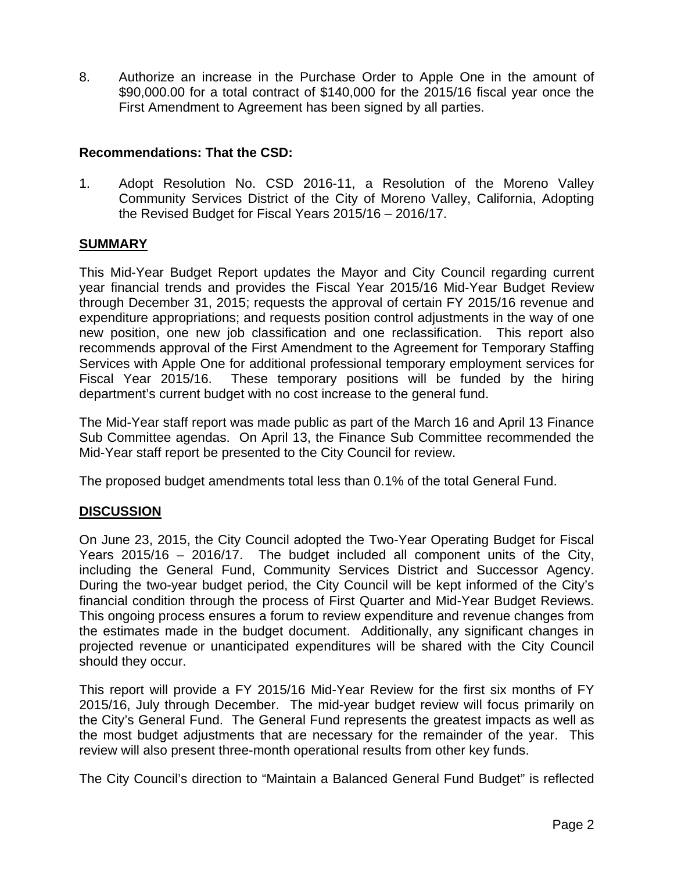8. Authorize an increase in the Purchase Order to Apple One in the amount of \$90,000.00 for a total contract of \$140,000 for the 2015/16 fiscal year once the First Amendment to Agreement has been signed by all parties.

#### **Recommendations: That the CSD:**

1. Adopt Resolution No. CSD 2016-11, a Resolution of the Moreno Valley Community Services District of the City of Moreno Valley, California, Adopting the Revised Budget for Fiscal Years 2015/16 – 2016/17.

### **SUMMARY**

This Mid-Year Budget Report updates the Mayor and City Council regarding current year financial trends and provides the Fiscal Year 2015/16 Mid-Year Budget Review through December 31, 2015; requests the approval of certain FY 2015/16 revenue and expenditure appropriations; and requests position control adjustments in the way of one new position, one new job classification and one reclassification. This report also recommends approval of the First Amendment to the Agreement for Temporary Staffing Services with Apple One for additional professional temporary employment services for Fiscal Year 2015/16. These temporary positions will be funded by the hiring department's current budget with no cost increase to the general fund.

The Mid-Year staff report was made public as part of the March 16 and April 13 Finance Sub Committee agendas. On April 13, the Finance Sub Committee recommended the Mid-Year staff report be presented to the City Council for review.

The proposed budget amendments total less than 0.1% of the total General Fund.

### **DISCUSSION**

On June 23, 2015, the City Council adopted the Two-Year Operating Budget for Fiscal Years 2015/16 – 2016/17. The budget included all component units of the City, including the General Fund, Community Services District and Successor Agency. During the two-year budget period, the City Council will be kept informed of the City's financial condition through the process of First Quarter and Mid-Year Budget Reviews. This ongoing process ensures a forum to review expenditure and revenue changes from the estimates made in the budget document. Additionally, any significant changes in projected revenue or unanticipated expenditures will be shared with the City Council should they occur.

This report will provide a FY 2015/16 Mid-Year Review for the first six months of FY 2015/16, July through December. The mid-year budget review will focus primarily on the City's General Fund. The General Fund represents the greatest impacts as well as the most budget adjustments that are necessary for the remainder of the year. This review will also present three-month operational results from other key funds.

The City Council's direction to "Maintain a Balanced General Fund Budget" is reflected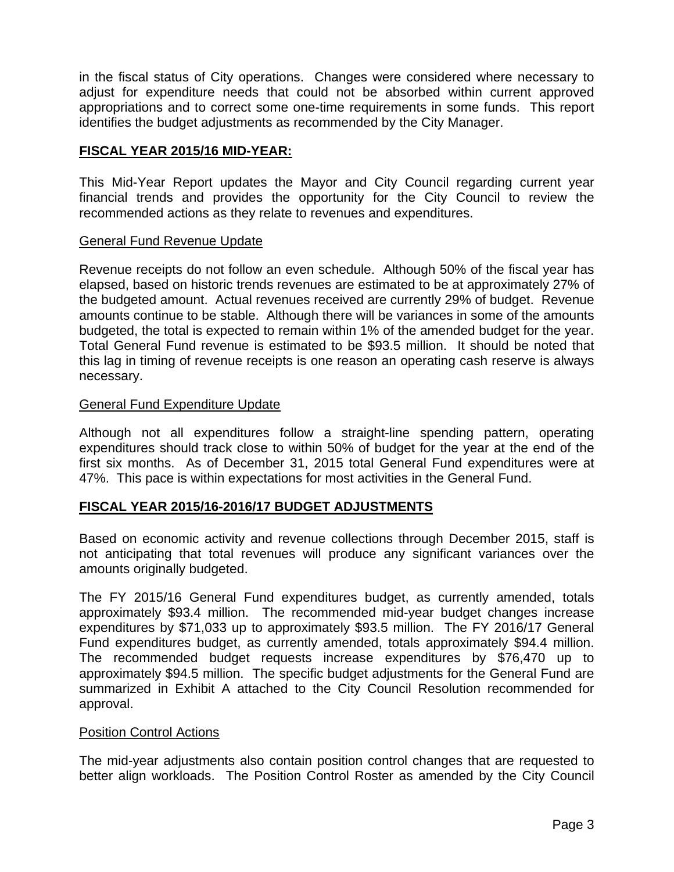in the fiscal status of City operations. Changes were considered where necessary to adjust for expenditure needs that could not be absorbed within current approved appropriations and to correct some one-time requirements in some funds. This report identifies the budget adjustments as recommended by the City Manager.

#### **FISCAL YEAR 2015/16 MID-YEAR:**

This Mid-Year Report updates the Mayor and City Council regarding current year financial trends and provides the opportunity for the City Council to review the recommended actions as they relate to revenues and expenditures.

#### General Fund Revenue Update

Revenue receipts do not follow an even schedule. Although 50% of the fiscal year has elapsed, based on historic trends revenues are estimated to be at approximately 27% of the budgeted amount. Actual revenues received are currently 29% of budget. Revenue amounts continue to be stable. Although there will be variances in some of the amounts budgeted, the total is expected to remain within 1% of the amended budget for the year. Total General Fund revenue is estimated to be \$93.5 million. It should be noted that this lag in timing of revenue receipts is one reason an operating cash reserve is always necessary.

#### General Fund Expenditure Update

Although not all expenditures follow a straight-line spending pattern, operating expenditures should track close to within 50% of budget for the year at the end of the first six months. As of December 31, 2015 total General Fund expenditures were at 47%. This pace is within expectations for most activities in the General Fund.

#### **FISCAL YEAR 2015/16-2016/17 BUDGET ADJUSTMENTS**

Based on economic activity and revenue collections through December 2015, staff is not anticipating that total revenues will produce any significant variances over the amounts originally budgeted.

The FY 2015/16 General Fund expenditures budget, as currently amended, totals approximately \$93.4 million. The recommended mid-year budget changes increase expenditures by \$71,033 up to approximately \$93.5 million. The FY 2016/17 General Fund expenditures budget, as currently amended, totals approximately \$94.4 million. The recommended budget requests increase expenditures by \$76,470 up to approximately \$94.5 million. The specific budget adjustments for the General Fund are summarized in Exhibit A attached to the City Council Resolution recommended for approval.

#### Position Control Actions

The mid-year adjustments also contain position control changes that are requested to better align workloads. The Position Control Roster as amended by the City Council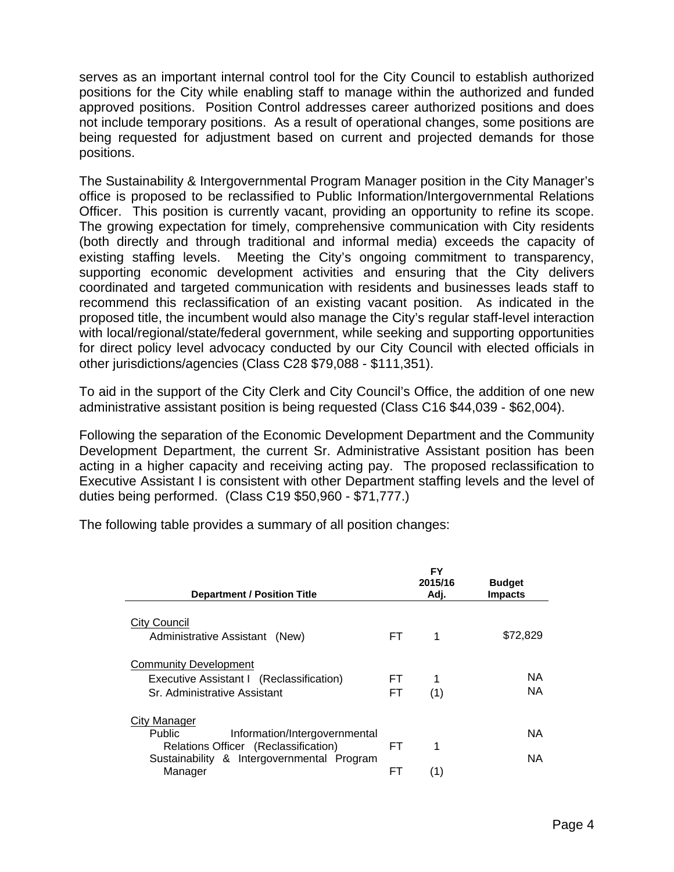serves as an important internal control tool for the City Council to establish authorized positions for the City while enabling staff to manage within the authorized and funded approved positions. Position Control addresses career authorized positions and does not include temporary positions. As a result of operational changes, some positions are being requested for adjustment based on current and projected demands for those positions.

The Sustainability & Intergovernmental Program Manager position in the City Manager's office is proposed to be reclassified to Public Information/Intergovernmental Relations Officer. This position is currently vacant, providing an opportunity to refine its scope. The growing expectation for timely, comprehensive communication with City residents (both directly and through traditional and informal media) exceeds the capacity of existing staffing levels. Meeting the City's ongoing commitment to transparency, supporting economic development activities and ensuring that the City delivers coordinated and targeted communication with residents and businesses leads staff to recommend this reclassification of an existing vacant position. As indicated in the proposed title, the incumbent would also manage the City's regular staff-level interaction with local/regional/state/federal government, while seeking and supporting opportunities for direct policy level advocacy conducted by our City Council with elected officials in other jurisdictions/agencies (Class C28 \$79,088 - \$111,351).

To aid in the support of the City Clerk and City Council's Office, the addition of one new administrative assistant position is being requested (Class C16 \$44,039 - \$62,004).

Following the separation of the Economic Development Department and the Community Development Department, the current Sr. Administrative Assistant position has been acting in a higher capacity and receiving acting pay. The proposed reclassification to Executive Assistant I is consistent with other Department staffing levels and the level of duties being performed. (Class C19 \$50,960 - \$71,777.)

The following table provides a summary of all position changes:

| <b>Department / Position Title</b>                                                                                                                              |            | FY<br>2015/16<br>Adj. | <b>Budget</b><br><b>Impacts</b> |
|-----------------------------------------------------------------------------------------------------------------------------------------------------------------|------------|-----------------------|---------------------------------|
| City Council<br>Administrative Assistant (New)                                                                                                                  | FT.        | 1                     | \$72,829                        |
| <b>Community Development</b><br>Executive Assistant I (Reclassification)<br>Sr. Administrative Assistant                                                        | FT.<br>FT. | 1<br>(1)              | NA<br>NA.                       |
| City Manager<br><b>Public</b><br>Information/Intergovernmental<br>Relations Officer (Reclassification)<br>Sustainability & Intergovernmental Program<br>Manager | FT.<br>FТ  | 1<br>(1)              | NA<br>NA                        |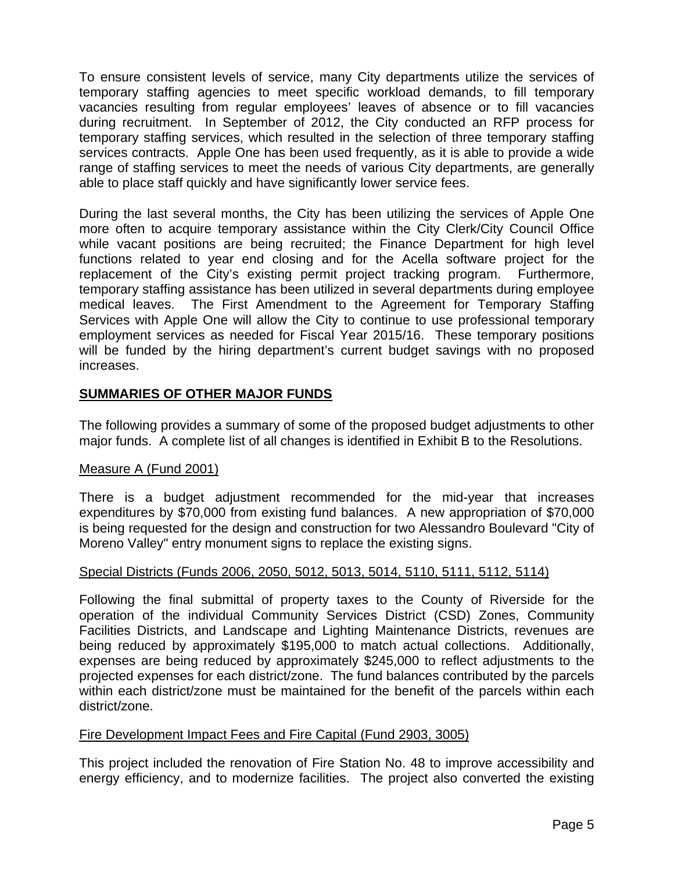To ensure consistent levels of service, many City departments utilize the services of temporary staffing agencies to meet specific workload demands, to fill temporary vacancies resulting from regular employees' leaves of absence or to fill vacancies during recruitment. In September of 2012, the City conducted an RFP process for temporary staffing services, which resulted in the selection of three temporary staffing services contracts. Apple One has been used frequently, as it is able to provide a wide range of staffing services to meet the needs of various City departments, are generally able to place staff quickly and have significantly lower service fees.

During the last several months, the City has been utilizing the services of Apple One more often to acquire temporary assistance within the City Clerk/City Council Office while vacant positions are being recruited; the Finance Department for high level functions related to year end closing and for the Acella software project for the replacement of the City's existing permit project tracking program. Furthermore, temporary staffing assistance has been utilized in several departments during employee medical leaves. The First Amendment to the Agreement for Temporary Staffing Services with Apple One will allow the City to continue to use professional temporary employment services as needed for Fiscal Year 2015/16. These temporary positions will be funded by the hiring department's current budget savings with no proposed increases.

#### **SUMMARIES OF OTHER MAJOR FUNDS**

The following provides a summary of some of the proposed budget adjustments to other major funds. A complete list of all changes is identified in Exhibit B to the Resolutions.

#### Measure A (Fund 2001)

There is a budget adjustment recommended for the mid-year that increases expenditures by \$70,000 from existing fund balances. A new appropriation of \$70,000 is being requested for the design and construction for two Alessandro Boulevard "City of Moreno Valley" entry monument signs to replace the existing signs.

#### Special Districts (Funds 2006, 2050, 5012, 5013, 5014, 5110, 5111, 5112, 5114)

Following the final submittal of property taxes to the County of Riverside for the operation of the individual Community Services District (CSD) Zones, Community Facilities Districts, and Landscape and Lighting Maintenance Districts, revenues are being reduced by approximately \$195,000 to match actual collections. Additionally, expenses are being reduced by approximately \$245,000 to reflect adjustments to the projected expenses for each district/zone. The fund balances contributed by the parcels within each district/zone must be maintained for the benefit of the parcels within each district/zone.

#### Fire Development Impact Fees and Fire Capital (Fund 2903, 3005)

This project included the renovation of Fire Station No. 48 to improve accessibility and energy efficiency, and to modernize facilities. The project also converted the existing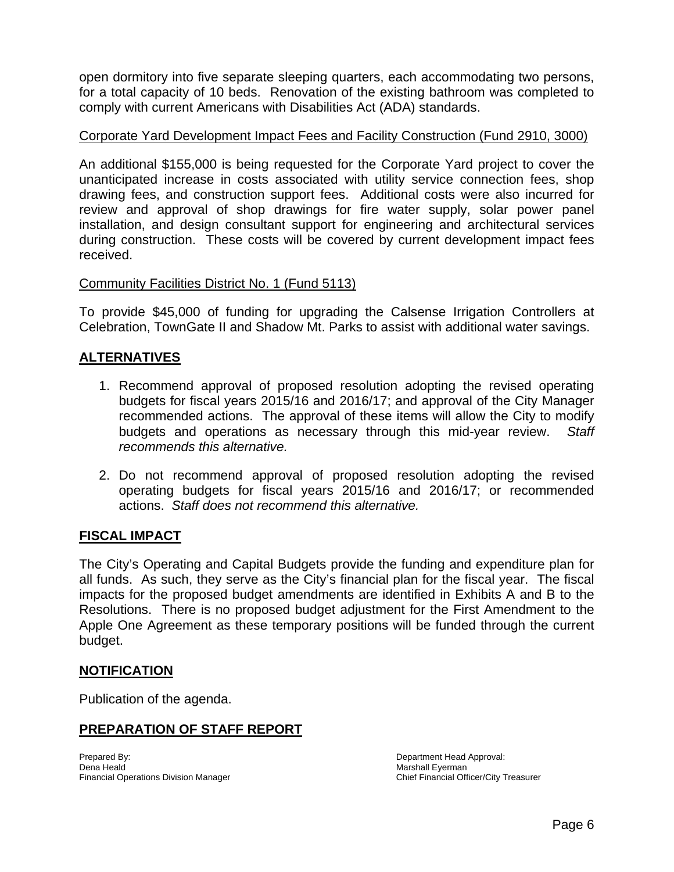open dormitory into five separate sleeping quarters, each accommodating two persons, for a total capacity of 10 beds. Renovation of the existing bathroom was completed to comply with current Americans with Disabilities Act (ADA) standards.

#### Corporate Yard Development Impact Fees and Facility Construction (Fund 2910, 3000)

An additional \$155,000 is being requested for the Corporate Yard project to cover the unanticipated increase in costs associated with utility service connection fees, shop drawing fees, and construction support fees. Additional costs were also incurred for review and approval of shop drawings for fire water supply, solar power panel installation, and design consultant support for engineering and architectural services during construction. These costs will be covered by current development impact fees received.

#### Community Facilities District No. 1 (Fund 5113)

To provide \$45,000 of funding for upgrading the Calsense Irrigation Controllers at Celebration, TownGate II and Shadow Mt. Parks to assist with additional water savings.

#### **ALTERNATIVES**

- 1. Recommend approval of proposed resolution adopting the revised operating budgets for fiscal years 2015/16 and 2016/17; and approval of the City Manager recommended actions. The approval of these items will allow the City to modify budgets and operations as necessary through this mid-year review. *Staff recommends this alternative.*
- 2. Do not recommend approval of proposed resolution adopting the revised operating budgets for fiscal years 2015/16 and 2016/17; or recommended actions. *Staff does not recommend this alternative.*

#### **FISCAL IMPACT**

The City's Operating and Capital Budgets provide the funding and expenditure plan for all funds. As such, they serve as the City's financial plan for the fiscal year. The fiscal impacts for the proposed budget amendments are identified in Exhibits A and B to the Resolutions. There is no proposed budget adjustment for the First Amendment to the Apple One Agreement as these temporary positions will be funded through the current budget.

#### **NOTIFICATION**

Publication of the agenda.

#### **PREPARATION OF STAFF REPORT**

Prepared By: **Department Head Approval: Department Head Approval:** Dena Heald<br>
Financial Operations Division Manager<br>
Financial Operations Division Manager<br>
Chief Financial Officer/City Treasurer Financial Operations Division Manager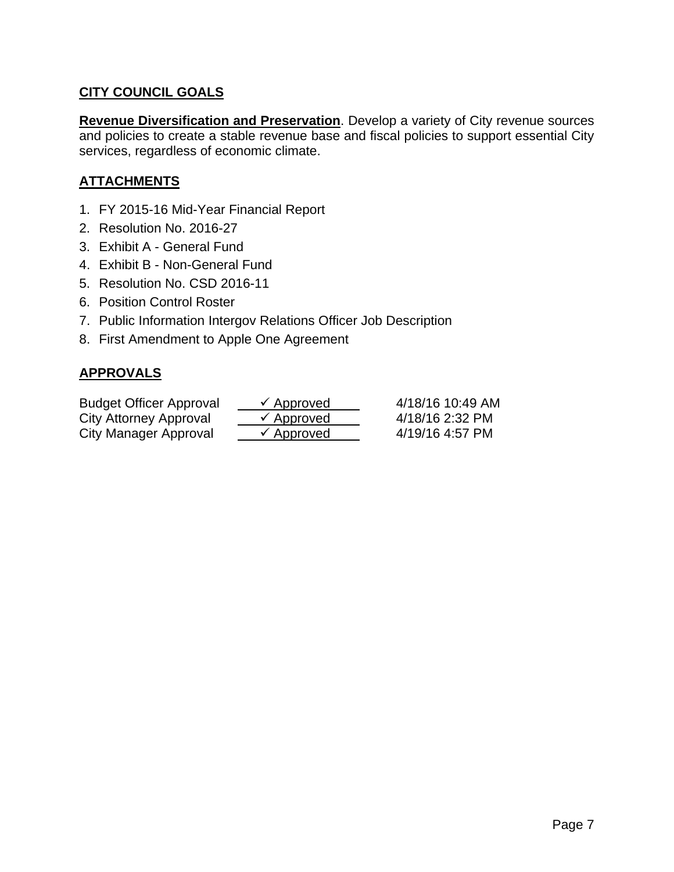# **CITY COUNCIL GOALS**

**Revenue Diversification and Preservation**. Develop a variety of City revenue sources and policies to create a stable revenue base and fiscal policies to support essential City services, regardless of economic climate.

# **ATTACHMENTS**

- 1. FY 2015-16 Mid-Year Financial Report
- 2. Resolution No. 2016-27
- 3. Exhibit A General Fund
- 4. Exhibit B Non-General Fund
- 5. Resolution No. CSD 2016-11
- 6. Position Control Roster
- 7. Public Information Intergov Relations Officer Job Description
- 8. First Amendment to Apple One Agreement

# **APPROVALS**

| <b>Budget Officer Approval</b> | $\checkmark$ Approved | 4/18/16 10:49 AM |
|--------------------------------|-----------------------|------------------|
| City Attorney Approval         | $\checkmark$ Approved | 4/18/16 2:32 PM  |
| City Manager Approval          | $\checkmark$ Approved | 4/19/16 4:57 PM  |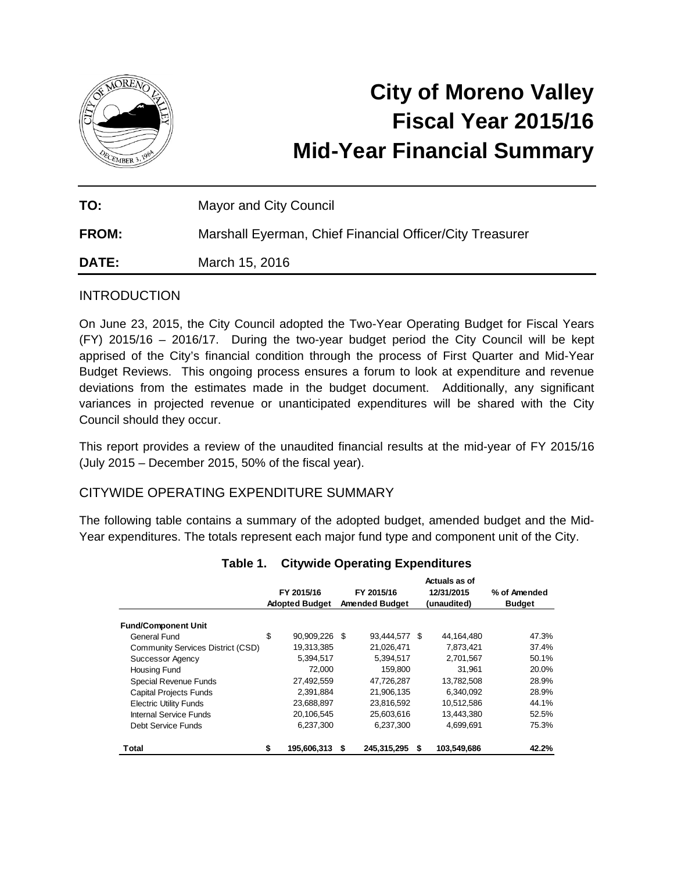

# **City of Moreno Valley Fiscal Year 2015/16 Mid-Year Financial Summary**

| TO:          | <b>Mayor and City Council</b>                            |
|--------------|----------------------------------------------------------|
| <b>FROM:</b> | Marshall Eyerman, Chief Financial Officer/City Treasurer |
| <b>DATE:</b> | March 15, 2016                                           |

#### **INTRODUCTION**

On June 23, 2015, the City Council adopted the Two-Year Operating Budget for Fiscal Years (FY) 2015/16 – 2016/17. During the two-year budget period the City Council will be kept apprised of the City's financial condition through the process of First Quarter and Mid-Year Budget Reviews. This ongoing process ensures a forum to look at expenditure and revenue deviations from the estimates made in the budget document. Additionally, any significant variances in projected revenue or unanticipated expenditures will be shared with the City Council should they occur.

This report provides a review of the unaudited financial results at the mid-year of FY 2015/16 (July 2015 – December 2015, 50% of the fiscal year).

#### CITYWIDE OPERATING EXPENDITURE SUMMARY

The following table contains a summary of the adopted budget, amended budget and the Mid-Year expenditures. The totals represent each major fund type and component unit of the City.

|                                   |    | FY 2015/16<br><b>Adopted Budget</b> |    | FY 2015/16<br><b>Amended Budget</b> |    | Actuals as of<br>12/31/2015<br>(unaudited) | % of Amended<br><b>Budget</b> |
|-----------------------------------|----|-------------------------------------|----|-------------------------------------|----|--------------------------------------------|-------------------------------|
| <b>Fund/Component Unit</b>        |    |                                     |    |                                     |    |                                            |                               |
| General Fund                      | \$ | 90,909,226                          | -S | 93,444,577                          | -S | 44,164,480                                 | 47.3%                         |
| Community Services District (CSD) |    | 19,313,385                          |    | 21.026.471                          |    | 7.873.421                                  | 37.4%                         |
| Successor Agency                  |    | 5,394,517                           |    | 5,394,517                           |    | 2,701,567                                  | 50.1%                         |
| Housing Fund                      |    | 72.000                              |    | 159.800                             |    | 31.961                                     | 20.0%                         |
| Special Revenue Funds             |    | 27,492,559                          |    | 47,726,287                          |    | 13,782,508                                 | 28.9%                         |
| <b>Capital Projects Funds</b>     |    | 2.391.884                           |    | 21.906.135                          |    | 6.340.092                                  | 28.9%                         |
| <b>Electric Utility Funds</b>     |    | 23,688,897                          |    | 23,816,592                          |    | 10,512,586                                 | 44.1%                         |
| Internal Service Funds            |    | 20.106.545                          |    | 25.603.616                          |    | 13.443.380                                 | 52.5%                         |
| Debt Service Funds                |    | 6,237,300                           |    | 6,237,300                           |    | 4,699,691                                  | 75.3%                         |
| Total                             | S  | 195,606,313                         | S  | 245,315,295                         | \$ | 103,549,686                                | 42.2%                         |

#### **Table 1. Citywide Operating Expenditures**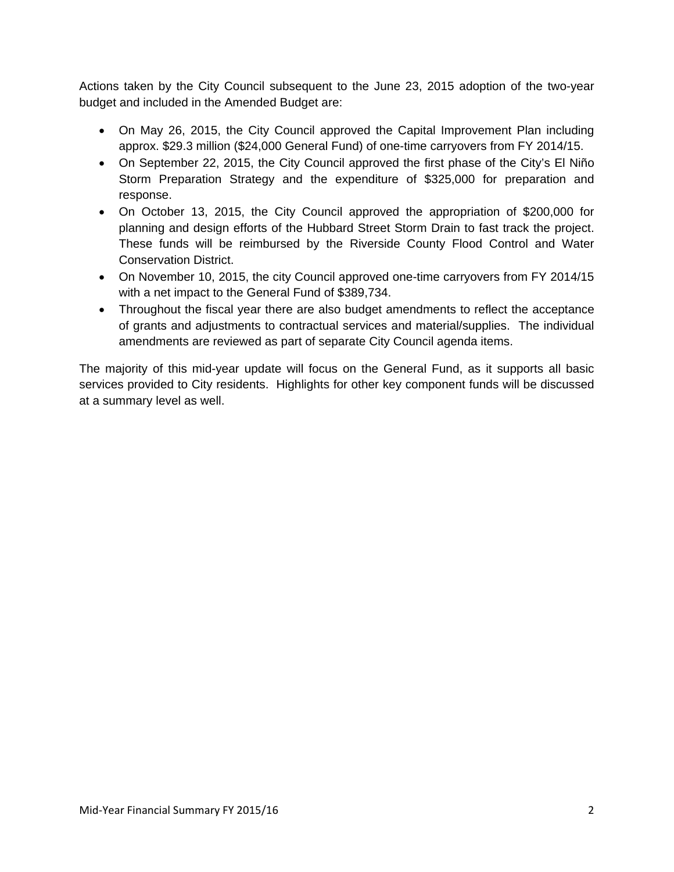Actions taken by the City Council subsequent to the June 23, 2015 adoption of the two-year budget and included in the Amended Budget are:

- On May 26, 2015, the City Council approved the Capital Improvement Plan including approx. \$29.3 million (\$24,000 General Fund) of one-time carryovers from FY 2014/15.
- On September 22, 2015, the City Council approved the first phase of the City's El Niño Storm Preparation Strategy and the expenditure of \$325,000 for preparation and response.
- On October 13, 2015, the City Council approved the appropriation of \$200,000 for planning and design efforts of the Hubbard Street Storm Drain to fast track the project. These funds will be reimbursed by the Riverside County Flood Control and Water Conservation District.
- On November 10, 2015, the city Council approved one-time carryovers from FY 2014/15 with a net impact to the General Fund of \$389,734.
- Throughout the fiscal year there are also budget amendments to reflect the acceptance of grants and adjustments to contractual services and material/supplies. The individual amendments are reviewed as part of separate City Council agenda items.

The majority of this mid-year update will focus on the General Fund, as it supports all basic services provided to City residents. Highlights for other key component funds will be discussed at a summary level as well.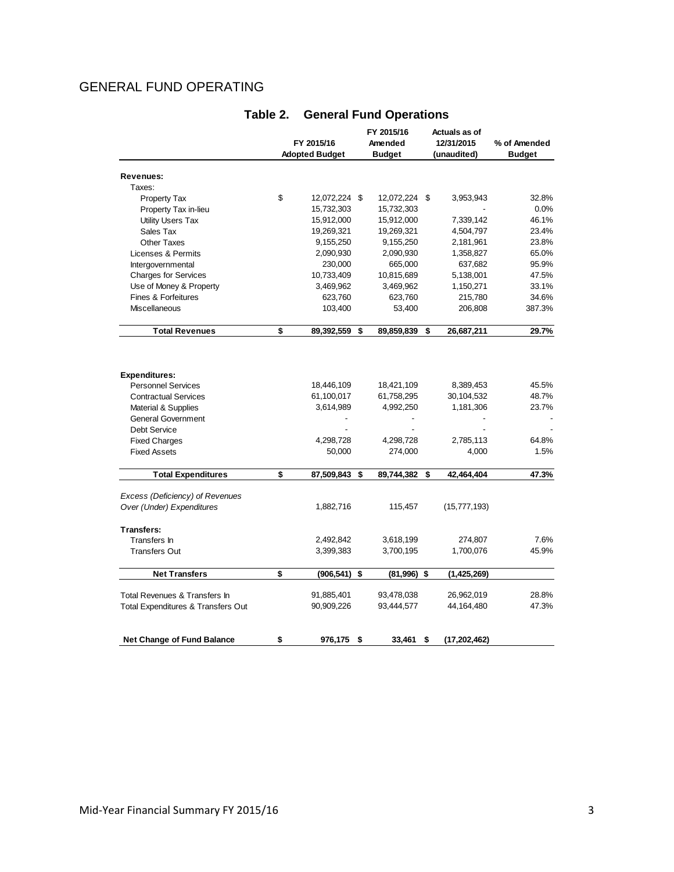# GENERAL FUND OPERATING

|                                    | FY 2015/16<br><b>Adopted Budget</b> |                | FY 2015/16<br>Amended<br><b>Budget</b> |               |    | Actuals as of<br>12/31/2015<br>(unaudited) | % of Amended<br><b>Budget</b> |  |
|------------------------------------|-------------------------------------|----------------|----------------------------------------|---------------|----|--------------------------------------------|-------------------------------|--|
|                                    |                                     |                |                                        |               |    |                                            |                               |  |
| Revenues:                          |                                     |                |                                        |               |    |                                            |                               |  |
| Taxes:                             |                                     |                |                                        |               |    |                                            |                               |  |
| <b>Property Tax</b>                | \$                                  | 12,072,224 \$  |                                        | 12,072,224 \$ |    | 3,953,943                                  | 32.8%                         |  |
| Property Tax in-lieu               |                                     | 15,732,303     |                                        | 15,732,303    |    |                                            | 0.0%                          |  |
| <b>Utility Users Tax</b>           |                                     | 15,912,000     |                                        | 15,912,000    |    | 7,339,142                                  | 46.1%                         |  |
| Sales Tax                          |                                     | 19,269,321     |                                        | 19,269,321    |    | 4,504,797                                  | 23.4%                         |  |
| <b>Other Taxes</b>                 |                                     | 9,155,250      |                                        | 9,155,250     |    | 2,181,961                                  | 23.8%                         |  |
| Licenses & Permits                 |                                     | 2,090,930      |                                        | 2,090,930     |    | 1,358,827                                  | 65.0%                         |  |
| Intergovernmental                  |                                     | 230,000        |                                        | 665,000       |    | 637,682                                    | 95.9%                         |  |
| <b>Charges for Services</b>        |                                     | 10,733,409     |                                        | 10,815,689    |    | 5,138,001                                  | 47.5%                         |  |
| Use of Money & Property            |                                     | 3,469,962      |                                        | 3,469,962     |    | 1,150,271                                  | 33.1%                         |  |
| <b>Fines &amp; Forfeitures</b>     |                                     | 623,760        |                                        | 623,760       |    | 215,780                                    | 34.6%                         |  |
| Miscellaneous                      |                                     | 103,400        |                                        | 53,400        |    | 206,808                                    | 387.3%                        |  |
| <b>Total Revenues</b>              | \$                                  | 89,392,559     | \$                                     | 89,859,839    | \$ | 26,687,211                                 | 29.7%                         |  |
|                                    |                                     |                |                                        |               |    |                                            |                               |  |
| <b>Expenditures:</b>               |                                     |                |                                        |               |    |                                            |                               |  |
| <b>Personnel Services</b>          |                                     | 18,446,109     |                                        | 18,421,109    |    | 8,389,453                                  | 45.5%                         |  |
| <b>Contractual Services</b>        |                                     | 61,100,017     |                                        | 61,758,295    |    | 30,104,532                                 | 48.7%                         |  |
| Material & Supplies                |                                     | 3,614,989      |                                        | 4,992,250     |    | 1,181,306                                  | 23.7%                         |  |
| <b>General Government</b>          |                                     | $\overline{a}$ |                                        |               |    |                                            |                               |  |
| Debt Service                       |                                     |                |                                        |               |    |                                            |                               |  |
| <b>Fixed Charges</b>               |                                     | 4,298,728      |                                        | 4,298,728     |    | 2,785,113                                  | 64.8%                         |  |
| <b>Fixed Assets</b>                |                                     | 50,000         |                                        | 274,000       |    | 4,000                                      | 1.5%                          |  |
| <b>Total Expenditures</b>          | \$                                  | 87,509,843     | \$                                     | 89,744,382    | \$ | 42,464,404                                 | 47.3%                         |  |
| Excess (Deficiency) of Revenues    |                                     |                |                                        |               |    |                                            |                               |  |
| Over (Under) Expenditures          |                                     | 1,882,716      |                                        | 115,457       |    | (15, 777, 193)                             |                               |  |
| Transfers:                         |                                     |                |                                        |               |    |                                            |                               |  |
| Transfers In                       |                                     | 2,492,842      |                                        | 3,618,199     |    | 274,807                                    | 7.6%                          |  |
| <b>Transfers Out</b>               |                                     | 3,399,383      |                                        | 3,700,195     |    | 1,700,076                                  | 45.9%                         |  |
| <b>Net Transfers</b>               | \$                                  | (906, 541)     | \$                                     | (81,996)      | \$ | (1,425,269)                                |                               |  |
| Total Revenues & Transfers In      |                                     | 91,885,401     |                                        | 93,478,038    |    | 26,962,019                                 | 28.8%                         |  |
|                                    |                                     | 90,909,226     |                                        | 93,444,577    |    | 44,164,480                                 | 47.3%                         |  |
| Total Expenditures & Transfers Out |                                     |                |                                        |               |    |                                            |                               |  |
| <b>Net Change of Fund Balance</b>  | \$                                  | 976,175        | \$                                     | 33.461        | \$ | (17, 202, 462)                             |                               |  |

#### **Table 2. General Fund Operations**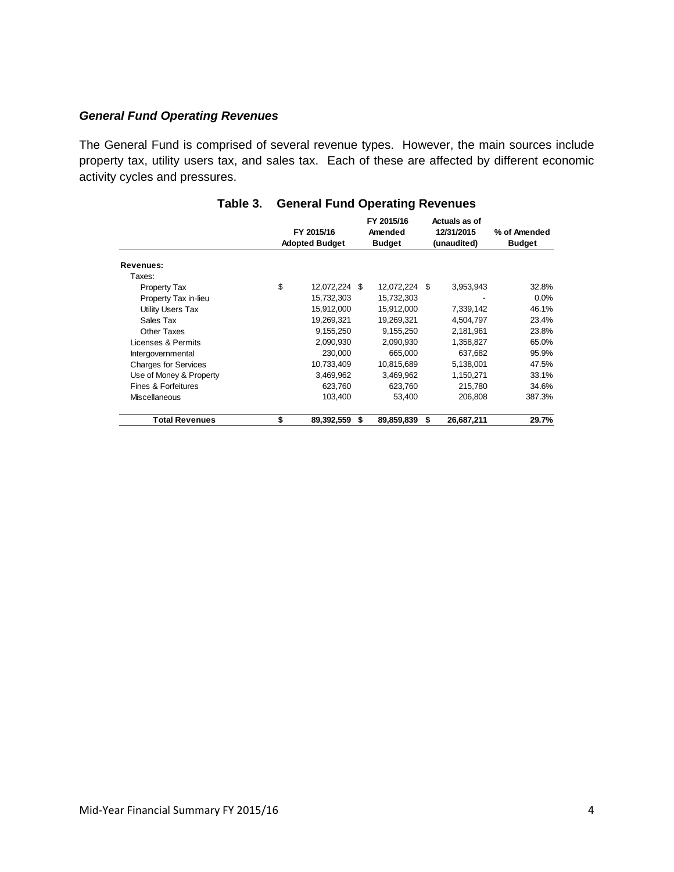#### *General Fund Operating Revenues*

The General Fund is comprised of several revenue types. However, the main sources include property tax, utility users tax, and sales tax. Each of these are affected by different economic activity cycles and pressures.

|                             | FY 2015/16<br><b>Adopted Budget</b> |               |   | FY 2015/16<br>Amended<br><b>Budget</b> | Actuals as of<br>12/31/2015<br>(unaudited) |            | % of Amended<br><b>Budget</b> |  |
|-----------------------------|-------------------------------------|---------------|---|----------------------------------------|--------------------------------------------|------------|-------------------------------|--|
|                             |                                     |               |   |                                        |                                            |            |                               |  |
| Revenues:                   |                                     |               |   |                                        |                                            |            |                               |  |
| Taxes:                      |                                     |               |   |                                        |                                            |            |                               |  |
| <b>Property Tax</b>         | \$                                  | 12,072,224 \$ |   | 12,072,224 \$                          |                                            | 3,953,943  | 32.8%                         |  |
| Property Tax in-lieu        |                                     | 15,732,303    |   | 15,732,303                             |                                            |            | $0.0\%$                       |  |
| Utility Users Tax           |                                     | 15,912,000    |   | 15,912,000                             |                                            | 7,339,142  | 46.1%                         |  |
| Sales Tax                   |                                     | 19,269,321    |   | 19,269,321                             |                                            | 4,504,797  | 23.4%                         |  |
| Other Taxes                 |                                     | 9,155,250     |   | 9,155,250                              |                                            | 2,181,961  | 23.8%                         |  |
| Licenses & Permits          |                                     | 2,090,930     |   | 2,090,930                              |                                            | 1,358,827  | 65.0%                         |  |
| Intergovernmental           |                                     | 230,000       |   | 665,000                                |                                            | 637,682    | 95.9%                         |  |
| <b>Charges for Services</b> |                                     | 10,733,409    |   | 10,815,689                             |                                            | 5,138,001  | 47.5%                         |  |
| Use of Money & Property     |                                     | 3,469,962     |   | 3,469,962                              |                                            | 1,150,271  | 33.1%                         |  |
| Fines & Forfeitures         |                                     | 623,760       |   | 623,760                                |                                            | 215,780    | 34.6%                         |  |
| <b>Miscellaneous</b>        |                                     | 103,400       |   | 53,400                                 |                                            | 206,808    | 387.3%                        |  |
| <b>Total Revenues</b>       | \$                                  | 89,392,559    | S | 89,859,839                             | S                                          | 26,687,211 | 29.7%                         |  |

#### **Table 3. General Fund Operating Revenues**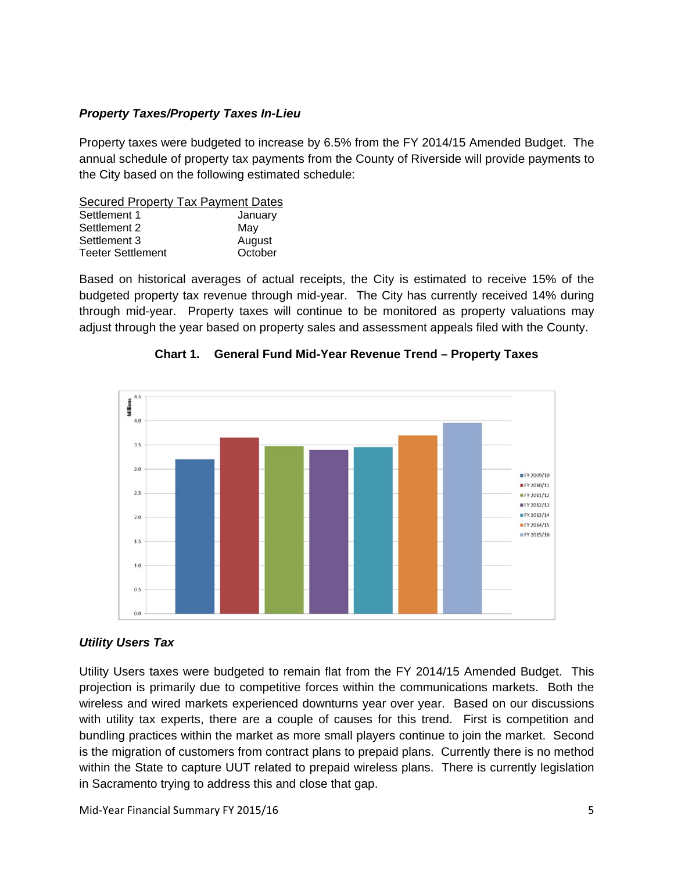#### *Property Taxes/Property Taxes In-Lieu*

Property taxes were budgeted to increase by 6.5% from the FY 2014/15 Amended Budget. The annual schedule of property tax payments from the County of Riverside will provide payments to the City based on the following estimated schedule:

Secured Property Tax Payment Dates Settlement 1 January Settlement 2 May Settlement 3 August Teeter Settlement **C**october

Based on historical averages of actual receipts, the City is estimated to receive 15% of the budgeted property tax revenue through mid-year. The City has currently received 14% during through mid-year. Property taxes will continue to be monitored as property valuations may adjust through the year based on property sales and assessment appeals filed with the County.



**Chart 1. General Fund Mid-Year Revenue Trend – Property Taxes** 

#### *Utility Users Tax*

Utility Users taxes were budgeted to remain flat from the FY 2014/15 Amended Budget. This projection is primarily due to competitive forces within the communications markets. Both the wireless and wired markets experienced downturns year over year. Based on our discussions with utility tax experts, there are a couple of causes for this trend. First is competition and bundling practices within the market as more small players continue to join the market. Second is the migration of customers from contract plans to prepaid plans. Currently there is no method within the State to capture UUT related to prepaid wireless plans. There is currently legislation in Sacramento trying to address this and close that gap.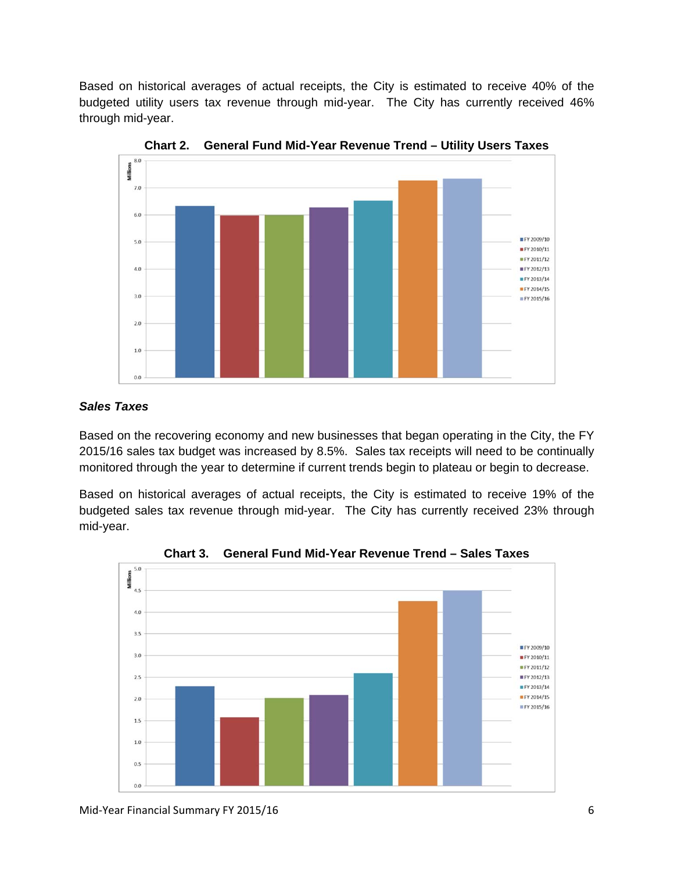Based on historical averages of actual receipts, the City is estimated to receive 40% of the budgeted utility users tax revenue through mid-year. The City has currently received 46% through mid-year.



**Chart 2. General Fund Mid-Year Revenue Trend – Utility Users Taxes** 

#### *Sales Taxes*

Based on the recovering economy and new businesses that began operating in the City, the FY 2015/16 sales tax budget was increased by 8.5%. Sales tax receipts will need to be continually monitored through the year to determine if current trends begin to plateau or begin to decrease.

Based on historical averages of actual receipts, the City is estimated to receive 19% of the budgeted sales tax revenue through mid-year. The City has currently received 23% through mid-year.



**Chart 3. General Fund Mid-Year Revenue Trend – Sales Taxes**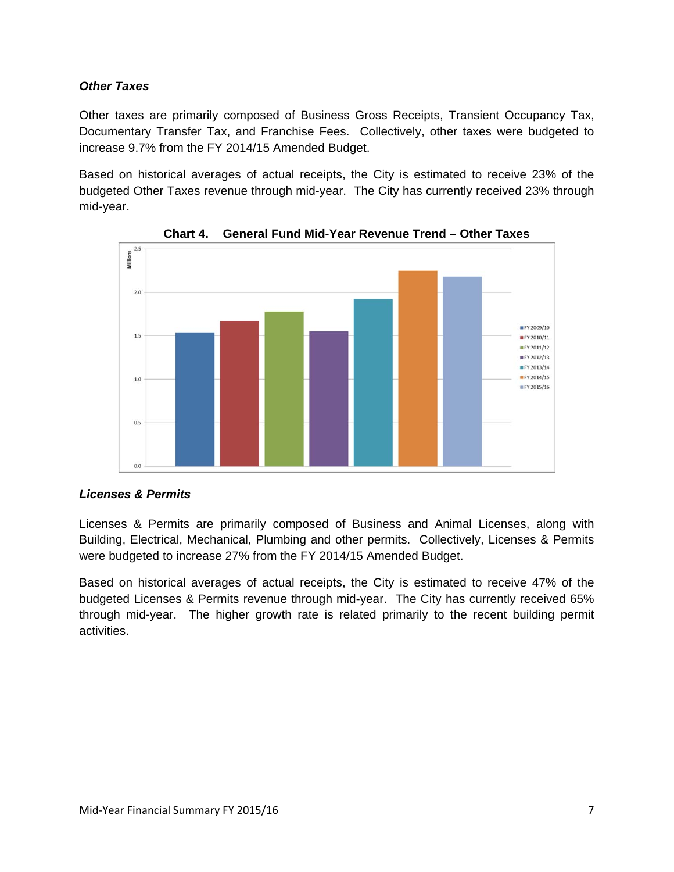#### *Other Taxes*

Other taxes are primarily composed of Business Gross Receipts, Transient Occupancy Tax, Documentary Transfer Tax, and Franchise Fees. Collectively, other taxes were budgeted to increase 9.7% from the FY 2014/15 Amended Budget.

Based on historical averages of actual receipts, the City is estimated to receive 23% of the budgeted Other Taxes revenue through mid-year. The City has currently received 23% through mid-year.





#### *Licenses & Permits*

Licenses & Permits are primarily composed of Business and Animal Licenses, along with Building, Electrical, Mechanical, Plumbing and other permits. Collectively, Licenses & Permits were budgeted to increase 27% from the FY 2014/15 Amended Budget.

Based on historical averages of actual receipts, the City is estimated to receive 47% of the budgeted Licenses & Permits revenue through mid-year. The City has currently received 65% through mid-year. The higher growth rate is related primarily to the recent building permit activities.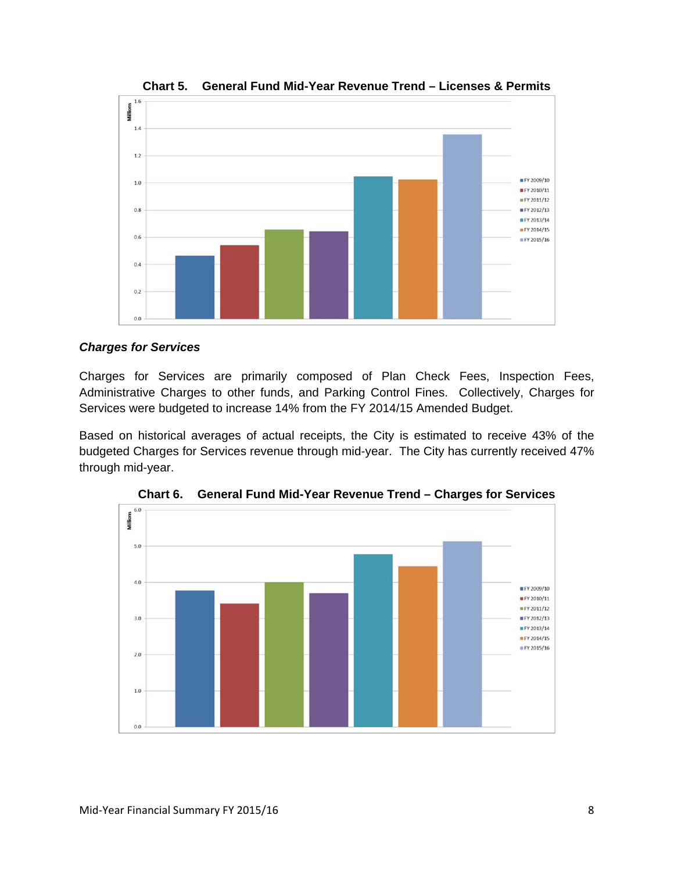

**Chart 5. General Fund Mid-Year Revenue Trend – Licenses & Permits** 

#### *Charges for Services*

Charges for Services are primarily composed of Plan Check Fees, Inspection Fees, Administrative Charges to other funds, and Parking Control Fines. Collectively, Charges for Services were budgeted to increase 14% from the FY 2014/15 Amended Budget.

Based on historical averages of actual receipts, the City is estimated to receive 43% of the budgeted Charges for Services revenue through mid-year. The City has currently received 47% through mid-year.



**Chart 6. General Fund Mid-Year Revenue Trend – Charges for Services**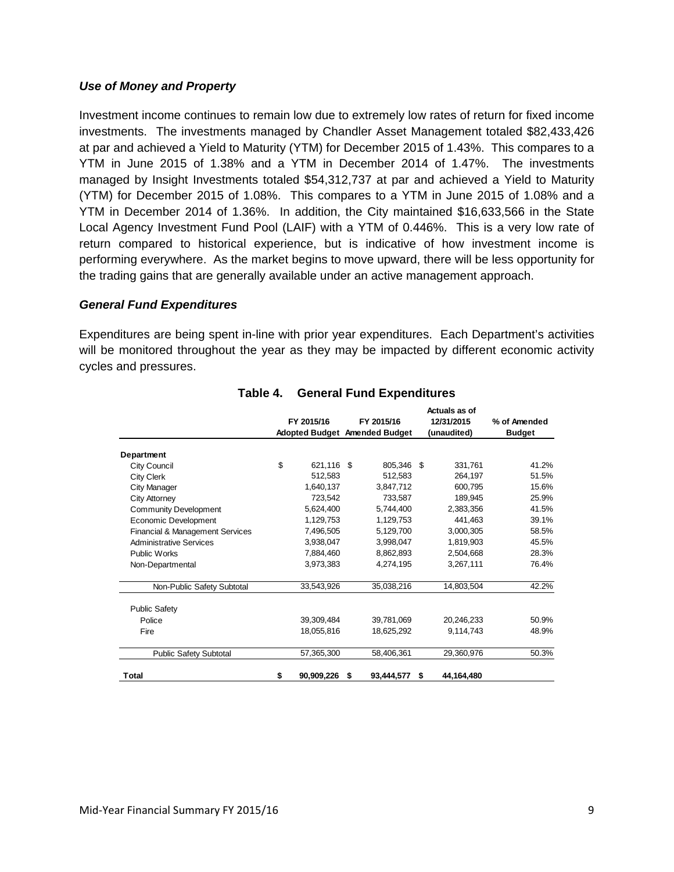#### *Use of Money and Property*

Investment income continues to remain low due to extremely low rates of return for fixed income investments. The investments managed by Chandler Asset Management totaled \$82,433,426 at par and achieved a Yield to Maturity (YTM) for December 2015 of 1.43%. This compares to a YTM in June 2015 of 1.38% and a YTM in December 2014 of 1.47%. The investments managed by Insight Investments totaled \$54,312,737 at par and achieved a Yield to Maturity (YTM) for December 2015 of 1.08%. This compares to a YTM in June 2015 of 1.08% and a YTM in December 2014 of 1.36%. In addition, the City maintained \$16,633,566 in the State Local Agency Investment Fund Pool (LAIF) with a YTM of 0.446%. This is a very low rate of return compared to historical experience, but is indicative of how investment income is performing everywhere. As the market begins to move upward, there will be less opportunity for the trading gains that are generally available under an active management approach.

#### *General Fund Expenditures*

Expenditures are being spent in-line with prior year expenditures. Each Department's activities will be monitored throughout the year as they may be impacted by different economic activity cycles and pressures.

|                                 |                  |    |                               |             | Actuals as of |               |  |
|---------------------------------|------------------|----|-------------------------------|-------------|---------------|---------------|--|
|                                 | FY 2015/16       |    | FY 2015/16                    |             | 12/31/2015    | % of Amended  |  |
|                                 |                  |    | Adopted Budget Amended Budget | (unaudited) |               | <b>Budget</b> |  |
| Department                      |                  |    |                               |             |               |               |  |
| City Council                    | \$<br>621,116 \$ |    | 805,346 \$                    |             | 331,761       | 41.2%         |  |
| <b>City Clerk</b>               | 512,583          |    | 512,583                       |             | 264,197       | 51.5%         |  |
| City Manager                    | 1.640.137        |    | 3.847.712                     |             | 600.795       | 15.6%         |  |
| City Attorney                   | 723,542          |    | 733.587                       |             | 189,945       | 25.9%         |  |
| <b>Community Development</b>    | 5,624,400        |    | 5,744,400                     |             | 2,383,356     | 41.5%         |  |
| Economic Development            | 1,129,753        |    | 1,129,753                     |             | 441,463       | 39.1%         |  |
| Financial & Management Services | 7.496.505        |    | 5,129,700                     |             | 3,000,305     | 58.5%         |  |
| <b>Administrative Services</b>  | 3.938.047        |    | 3,998,047                     |             | 1,819,903     | 45.5%         |  |
| <b>Public Works</b>             | 7,884,460        |    | 8,862,893                     |             | 2,504,668     | 28.3%         |  |
| Non-Departmental                | 3,973,383        |    | 4,274,195                     |             | 3,267,111     | 76.4%         |  |
| Non-Public Safety Subtotal      | 33,543,926       |    | 35,038,216                    |             | 14,803,504    | 42.2%         |  |
| <b>Public Safety</b>            |                  |    |                               |             |               |               |  |
| Police                          | 39,309,484       |    | 39,781,069                    |             | 20,246,233    | 50.9%         |  |
| Fire                            | 18,055,816       |    | 18,625,292                    |             | 9,114,743     | 48.9%         |  |
| <b>Public Safety Subtotal</b>   | 57,365,300       |    | 58,406,361                    |             | 29,360,976    | 50.3%         |  |
| <b>Total</b>                    | \$<br>90,909,226 | \$ | 93,444,577                    | \$          | 44,164,480    |               |  |

#### **Table 4. General Fund Expenditures**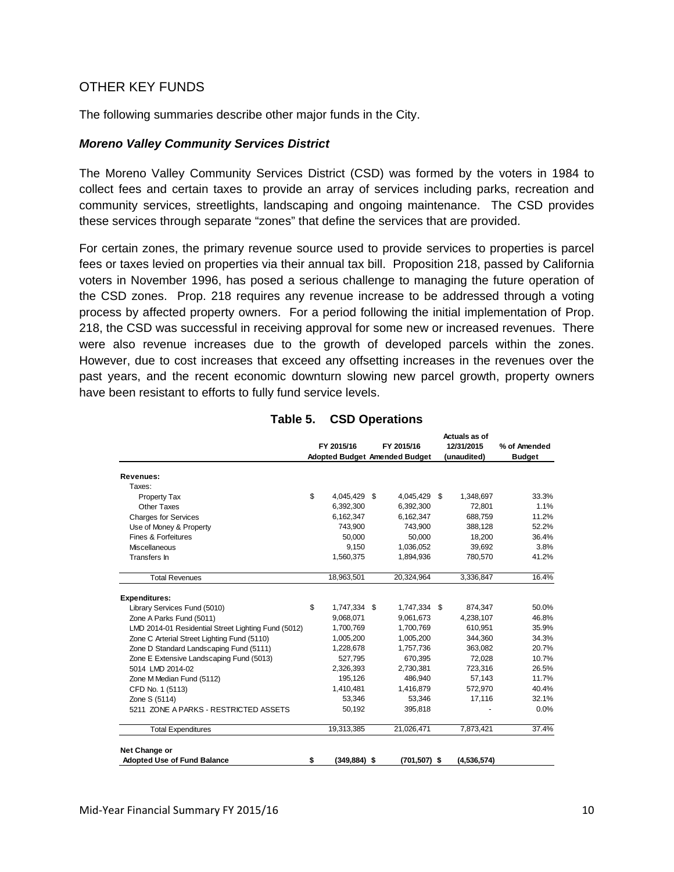#### OTHER KEY FUNDS

The following summaries describe other major funds in the City.

#### *Moreno Valley Community Services District*

The Moreno Valley Community Services District (CSD) was formed by the voters in 1984 to collect fees and certain taxes to provide an array of services including parks, recreation and community services, streetlights, landscaping and ongoing maintenance. The CSD provides these services through separate "zones" that define the services that are provided.

For certain zones, the primary revenue source used to provide services to properties is parcel fees or taxes levied on properties via their annual tax bill. Proposition 218, passed by California voters in November 1996, has posed a serious challenge to managing the future operation of the CSD zones. Prop. 218 requires any revenue increase to be addressed through a voting process by affected property owners. For a period following the initial implementation of Prop. 218, the CSD was successful in receiving approval for some new or increased revenues. There were also revenue increases due to the growth of developed parcels within the zones. However, due to cost increases that exceed any offsetting increases in the revenues over the past years, and the recent economic downturn slowing new parcel growth, property owners have been resistant to efforts to fully fund service levels.

|                                                     |                       |                                      | Actuals as of   |               |
|-----------------------------------------------------|-----------------------|--------------------------------------|-----------------|---------------|
|                                                     | FY 2015/16            | FY 2015/16                           | 12/31/2015      | % of Amended  |
|                                                     |                       | <b>Adopted Budget Amended Budget</b> | (unaudited)     | <b>Budget</b> |
| Revenues:                                           |                       |                                      |                 |               |
| Taxes:                                              |                       |                                      |                 |               |
| Property Tax                                        | \$<br>4,045,429 \$    | 4,045,429                            | \$<br>1,348,697 | 33.3%         |
| <b>Other Taxes</b>                                  | 6,392,300             | 6,392,300                            | 72,801          | 1.1%          |
| <b>Charges for Services</b>                         | 6,162,347             | 6,162,347                            | 688,759         | 11.2%         |
| Use of Money & Property                             | 743,900               | 743,900                              | 388,128         | 52.2%         |
| Fines & Forfeitures                                 | 50,000                | 50,000                               | 18,200          | 36.4%         |
| <b>Miscellaneous</b>                                | 9,150                 | 1,036,052                            | 39,692          | 3.8%          |
| Transfers In                                        | 1,560,375             | 1,894,936                            | 780,570         | 41.2%         |
| <b>Total Revenues</b>                               | 18,963,501            | 20,324,964                           | 3,336,847       | 16.4%         |
| <b>Expenditures:</b>                                |                       |                                      |                 |               |
| Library Services Fund (5010)                        | \$<br>1,747,334 \$    | 1,747,334 \$                         | 874,347         | 50.0%         |
| Zone A Parks Fund (5011)                            | 9,068,071             | 9,061,673                            | 4,238,107       | 46.8%         |
| LMD 2014-01 Residential Street Lighting Fund (5012) | 1,700,769             | 1,700,769                            | 610,951         | 35.9%         |
| Zone C Arterial Street Lighting Fund (5110)         | 1,005,200             | 1,005,200                            | 344,360         | 34.3%         |
| Zone D Standard Landscaping Fund (5111)             | 1,228,678             | 1,757,736                            | 363,082         | 20.7%         |
| Zone E Extensive Landscaping Fund (5013)            | 527,795               | 670,395                              | 72,028          | 10.7%         |
| 5014 LMD 2014-02                                    | 2,326,393             | 2,730,381                            | 723,316         | 26.5%         |
| Zone M Median Fund (5112)                           | 195,126               | 486,940                              | 57,143          | 11.7%         |
| CFD No. 1 (5113)                                    | 1,410,481             | 1,416,879                            | 572,970         | 40.4%         |
| Zone S (5114)                                       | 53,346                | 53,346                               | 17,116          | 32.1%         |
| 5211 ZONE A PARKS - RESTRICTED ASSETS               | 50,192                | 395,818                              |                 | 0.0%          |
| <b>Total Expenditures</b>                           | 19,313,385            | 21,026,471                           | 7,873,421       | 37.4%         |
| Net Change or                                       |                       |                                      |                 |               |
| <b>Adopted Use of Fund Balance</b>                  | \$<br>$(349, 884)$ \$ | (701,507) \$                         | (4,536,574)     |               |

#### **Table 5. CSD Operations**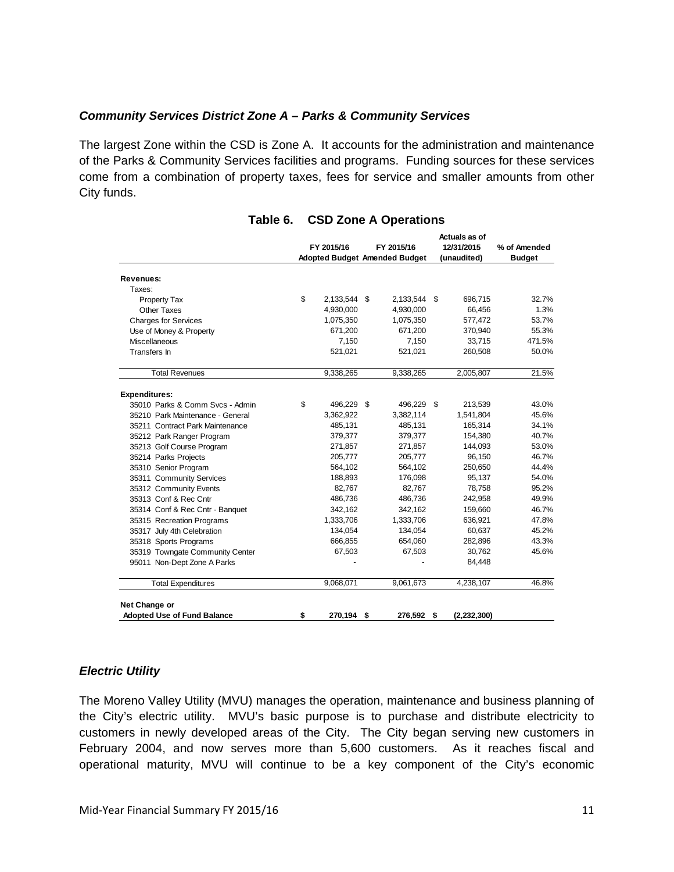#### *Community Services District Zone A – Parks & Community Services*

The largest Zone within the CSD is Zone A. It accounts for the administration and maintenance of the Parks & Community Services facilities and programs. Funding sources for these services come from a combination of property taxes, fees for service and smaller amounts from other City funds.

|                                    |                    |                               | Actuals as of |               |
|------------------------------------|--------------------|-------------------------------|---------------|---------------|
|                                    | FY 2015/16         | FY 2015/16                    | 12/31/2015    | % of Amended  |
|                                    |                    | Adopted Budget Amended Budget | (unaudited)   | <b>Budget</b> |
| Revenues:                          |                    |                               |               |               |
| Taxes:                             |                    |                               |               |               |
| Property Tax                       | \$<br>2,133,544 \$ | 2,133,544 \$                  | 696,715       | 32.7%         |
| Other Taxes                        | 4,930,000          | 4,930,000                     | 66,456        | 1.3%          |
| <b>Charges for Services</b>        | 1,075,350          | 1,075,350                     | 577,472       | 53.7%         |
| Use of Money & Property            | 671,200            | 671,200                       | 370,940       | 55.3%         |
| Miscellaneous                      | 7,150              | 7,150                         | 33,715        | 471.5%        |
| Transfers In                       | 521,021            | 521,021                       | 260,508       | 50.0%         |
| <b>Total Revenues</b>              | 9,338,265          | 9,338,265                     | 2,005,807     | 21.5%         |
| <b>Expenditures:</b>               |                    |                               |               |               |
| 35010 Parks & Comm Svcs - Admin    | \$<br>496,229 \$   | 496,229 \$                    | 213,539       | 43.0%         |
| 35210 Park Maintenance - General   | 3,362,922          | 3,382,114                     | 1,541,804     | 45.6%         |
| 35211 Contract Park Maintenance    | 485,131            | 485,131                       | 165,314       | 34.1%         |
| 35212 Park Ranger Program          | 379,377            | 379,377                       | 154,380       | 40.7%         |
| 35213 Golf Course Program          | 271,857            | 271,857                       | 144,093       | 53.0%         |
| 35214 Parks Projects               | 205,777            | 205,777                       | 96,150        | 46.7%         |
| 35310 Senior Program               | 564,102            | 564,102                       | 250,650       | 44.4%         |
| 35311 Community Services           | 188,893            | 176,098                       | 95,137        | 54.0%         |
| 35312 Community Events             | 82,767             | 82,767                        | 78,758        | 95.2%         |
| 35313 Conf & Rec Cntr              | 486,736            | 486,736                       | 242,958       | 49.9%         |
| 35314 Conf & Rec Cntr - Banquet    | 342,162            | 342,162                       | 159,660       | 46.7%         |
| 35315 Recreation Programs          | 1,333,706          | 1,333,706                     | 636,921       | 47.8%         |
| 35317 July 4th Celebration         | 134,054            | 134,054                       | 60,637        | 45.2%         |
| 35318 Sports Programs              | 666,855            | 654,060                       | 282,896       | 43.3%         |
| 35319 Towngate Community Center    | 67,503             | 67,503                        | 30,762        | 45.6%         |
| 95011 Non-Dept Zone A Parks        |                    |                               | 84,448        |               |
| <b>Total Expenditures</b>          | 9,068,071          | 9,061,673                     | 4,238,107     | 46.8%         |
| Net Change or                      |                    |                               |               |               |
| <b>Adopted Use of Fund Balance</b> | \$<br>270,194 \$   | 276,592 \$                    | (2, 232, 300) |               |

#### **Table 6. CSD Zone A Operations**

#### *Electric Utility*

The Moreno Valley Utility (MVU) manages the operation, maintenance and business planning of the City's electric utility. MVU's basic purpose is to purchase and distribute electricity to customers in newly developed areas of the City. The City began serving new customers in February 2004, and now serves more than 5,600 customers. As it reaches fiscal and operational maturity, MVU will continue to be a key component of the City's economic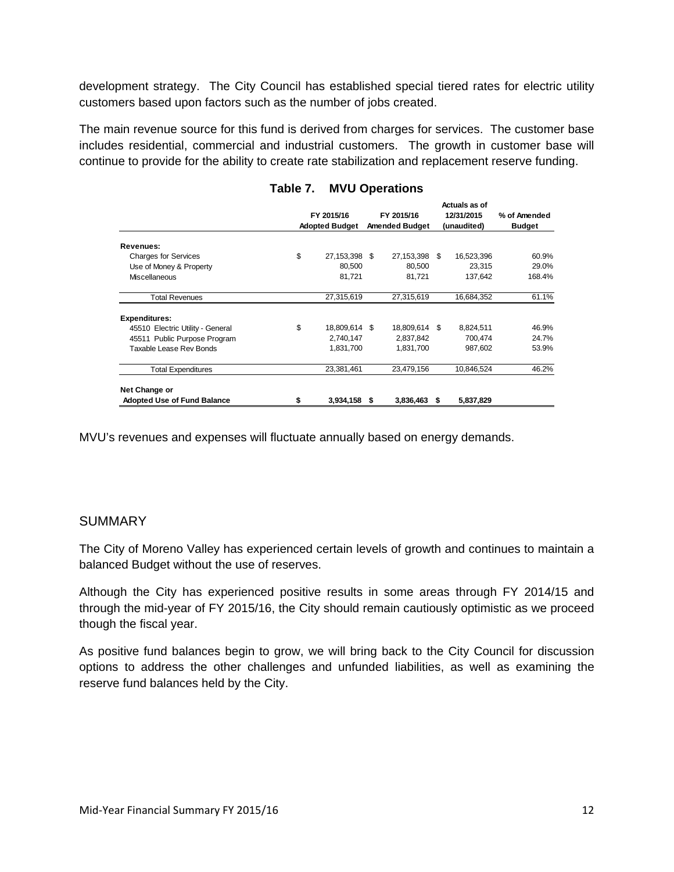development strategy. The City Council has established special tiered rates for electric utility customers based upon factors such as the number of jobs created.

The main revenue source for this fund is derived from charges for services. The customer base includes residential, commercial and industrial customers. The growth in customer base will continue to provide for the ability to create rate stabilization and replacement reserve funding.

|                                    | FY 2015/16<br><b>Adopted Budget</b> |     | FY 2015/16<br><b>Amended Budget</b> |      | Actuals as of<br>12/31/2015<br>(unaudited) | % of Amended<br><b>Budget</b> |
|------------------------------------|-------------------------------------|-----|-------------------------------------|------|--------------------------------------------|-------------------------------|
|                                    |                                     |     |                                     |      |                                            |                               |
| Revenues:                          |                                     |     |                                     |      |                                            |                               |
| <b>Charges for Services</b>        | \$<br>27,153,398                    | S   | 27,153,398                          | - \$ | 16,523,396                                 | 60.9%                         |
| Use of Money & Property            | 80,500                              |     | 80,500                              |      | 23,315                                     | 29.0%                         |
| Miscellaneous                      | 81,721                              |     | 81,721                              |      | 137,642                                    | 168.4%                        |
| <b>Total Revenues</b>              | 27,315,619                          |     | 27,315,619                          |      | 16,684,352                                 | 61.1%                         |
| <b>Expenditures:</b>               |                                     |     |                                     |      |                                            |                               |
| 45510 Electric Utility - General   | \$<br>18,809,614                    | -\$ | 18,809,614 \$                       |      | 8,824,511                                  | 46.9%                         |
| 45511 Public Purpose Program       | 2,740,147                           |     | 2,837,842                           |      | 700,474                                    | 24.7%                         |
| Taxable Lease Rev Bonds            | 1,831,700                           |     | 1,831,700                           |      | 987,602                                    | 53.9%                         |
| <b>Total Expenditures</b>          | 23,381,461                          |     | 23,479,156                          |      | 10,846,524                                 | 46.2%                         |
| Net Change or                      |                                     |     |                                     |      |                                            |                               |
| <b>Adopted Use of Fund Balance</b> | \$<br>3,934,158                     | S   | 3,836,463                           | S    | 5,837,829                                  |                               |

#### **Table 7. MVU Operations**

MVU's revenues and expenses will fluctuate annually based on energy demands.

#### SUMMARY

The City of Moreno Valley has experienced certain levels of growth and continues to maintain a balanced Budget without the use of reserves.

Although the City has experienced positive results in some areas through FY 2014/15 and through the mid-year of FY 2015/16, the City should remain cautiously optimistic as we proceed though the fiscal year.

As positive fund balances begin to grow, we will bring back to the City Council for discussion options to address the other challenges and unfunded liabilities, as well as examining the reserve fund balances held by the City.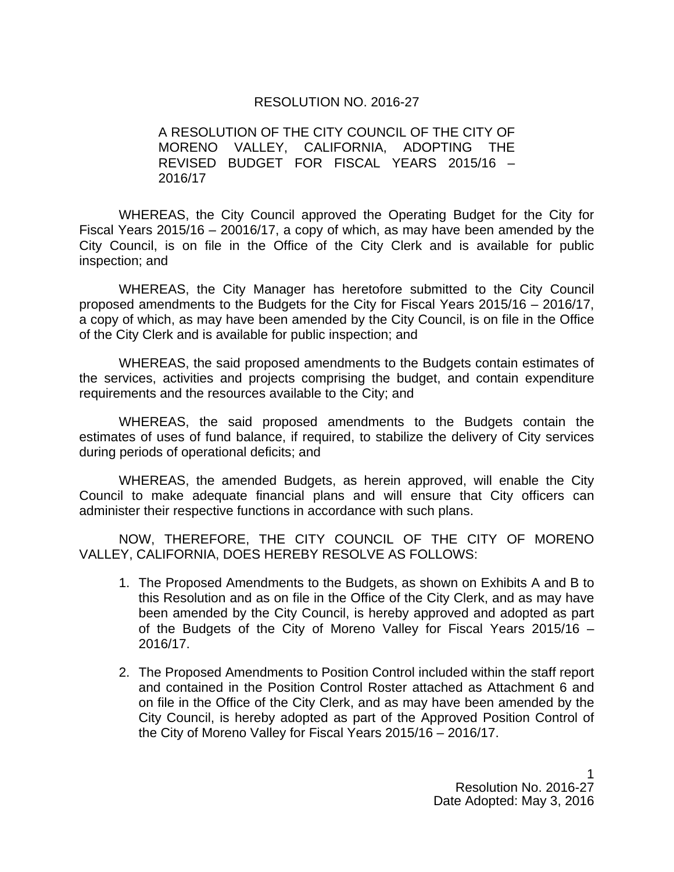#### RESOLUTION NO. 2016-27

A RESOLUTION OF THE CITY COUNCIL OF THE CITY OF MORENO VALLEY, CALIFORNIA, ADOPTING THE REVISED BUDGET FOR FISCAL YEARS 2015/16 – 2016/17

WHEREAS, the City Council approved the Operating Budget for the City for Fiscal Years 2015/16 – 20016/17, a copy of which, as may have been amended by the City Council, is on file in the Office of the City Clerk and is available for public inspection; and

WHEREAS, the City Manager has heretofore submitted to the City Council proposed amendments to the Budgets for the City for Fiscal Years 2015/16 – 2016/17, a copy of which, as may have been amended by the City Council, is on file in the Office of the City Clerk and is available for public inspection; and

WHEREAS, the said proposed amendments to the Budgets contain estimates of the services, activities and projects comprising the budget, and contain expenditure requirements and the resources available to the City; and

WHEREAS, the said proposed amendments to the Budgets contain the estimates of uses of fund balance, if required, to stabilize the delivery of City services during periods of operational deficits; and

WHEREAS, the amended Budgets, as herein approved, will enable the City Council to make adequate financial plans and will ensure that City officers can administer their respective functions in accordance with such plans.

NOW, THEREFORE, THE CITY COUNCIL OF THE CITY OF MORENO VALLEY, CALIFORNIA, DOES HEREBY RESOLVE AS FOLLOWS:

- 1. The Proposed Amendments to the Budgets, as shown on Exhibits A and B to this Resolution and as on file in the Office of the City Clerk, and as may have been amended by the City Council, is hereby approved and adopted as part of the Budgets of the City of Moreno Valley for Fiscal Years 2015/16 – 2016/17.
- 2. The Proposed Amendments to Position Control included within the staff report and contained in the Position Control Roster attached as Attachment 6 and on file in the Office of the City Clerk, and as may have been amended by the City Council, is hereby adopted as part of the Approved Position Control of the City of Moreno Valley for Fiscal Years 2015/16 – 2016/17.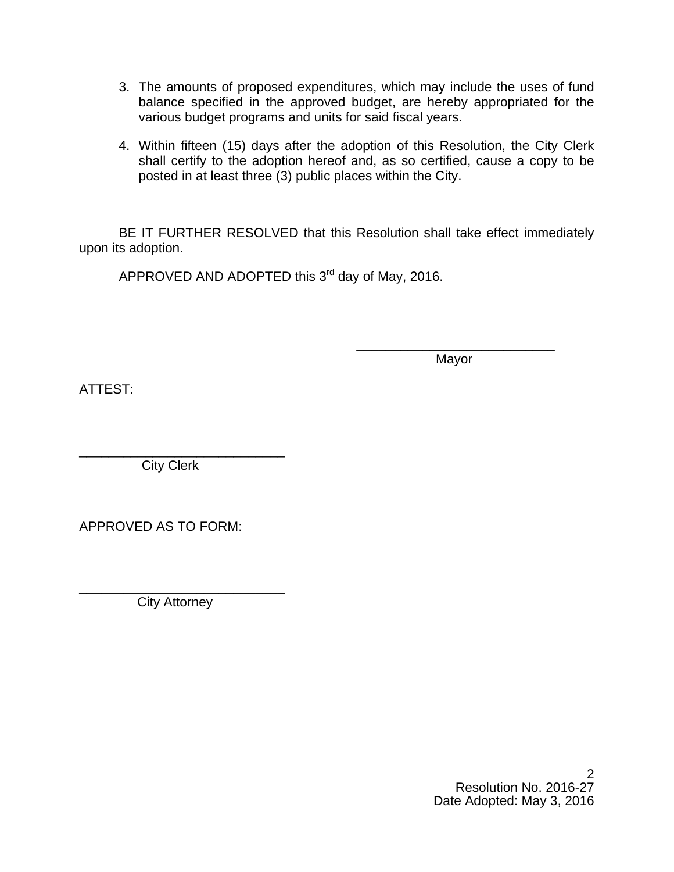- 3. The amounts of proposed expenditures, which may include the uses of fund balance specified in the approved budget, are hereby appropriated for the various budget programs and units for said fiscal years.
- 4. Within fifteen (15) days after the adoption of this Resolution, the City Clerk shall certify to the adoption hereof and, as so certified, cause a copy to be posted in at least three (3) public places within the City.

BE IT FURTHER RESOLVED that this Resolution shall take effect immediately upon its adoption.

 $\overline{\phantom{a}}$  , and the contract of the contract of the contract of the contract of the contract of the contract of the contract of the contract of the contract of the contract of the contract of the contract of the contrac

APPROVED AND ADOPTED this  $3<sup>rd</sup>$  day of May, 2016.

where the contract of the contract of the Mayor Mayor

ATTEST:

\_\_\_\_\_\_\_\_\_\_\_\_\_\_\_\_\_\_\_\_\_\_\_\_\_\_\_\_ City Clerk

APPROVED AS TO FORM:

\_\_\_\_\_\_\_\_\_\_\_\_\_\_\_\_\_\_\_\_\_\_\_\_\_\_\_\_ City Attorney

> 2 Resolution No. 2016-27 Date Adopted: May 3, 2016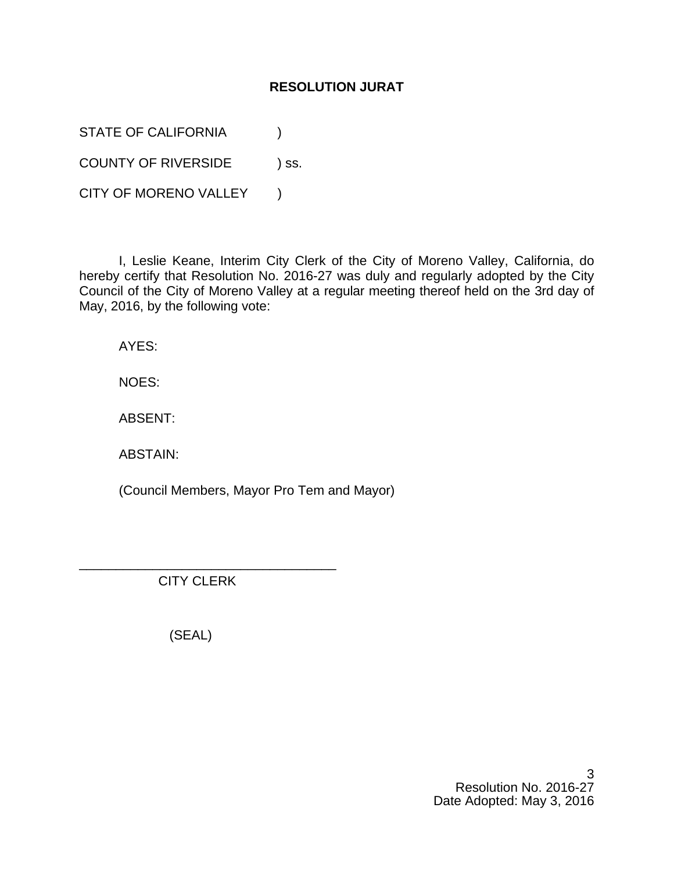#### **RESOLUTION JURAT**

STATE OF CALIFORNIA  $\qquad \qquad$  )

COUNTY OF RIVERSIDE ) ss.

CITY OF MORENO VALLEY )

I, Leslie Keane, Interim City Clerk of the City of Moreno Valley, California, do hereby certify that Resolution No. 2016-27 was duly and regularly adopted by the City Council of the City of Moreno Valley at a regular meeting thereof held on the 3rd day of May, 2016, by the following vote:

AYES:

NOES:

ABSENT:

ABSTAIN:

(Council Members, Mayor Pro Tem and Mayor)

CITY CLERK

\_\_\_\_\_\_\_\_\_\_\_\_\_\_\_\_\_\_\_\_\_\_\_\_\_\_\_\_\_\_\_\_\_\_\_

(SEAL)

3 Resolution No. 2016-27 Date Adopted: May 3, 2016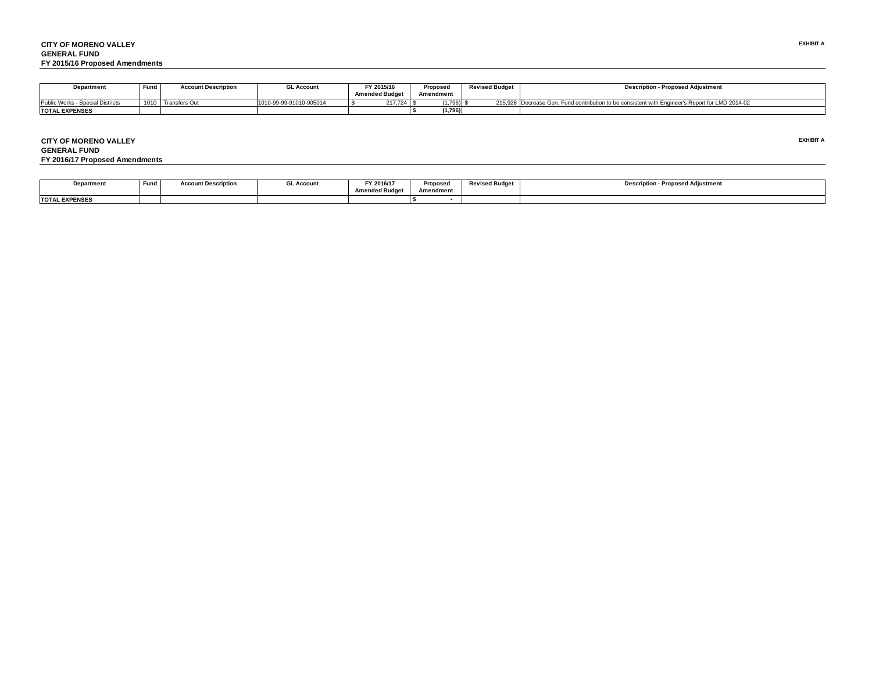| Department                       | Fund | <b>Account Description</b> | <b>GL Account</b>       | FY 2015/16<br>Proposed |           | <b>Revised Budget</b> | <b>Description - Proposed Adiustment</b>                                                        |
|----------------------------------|------|----------------------------|-------------------------|------------------------|-----------|-----------------------|-------------------------------------------------------------------------------------------------|
|                                  |      |                            |                         | <b>Amended Budget</b>  | Amendment |                       |                                                                                                 |
| Public Works - Special Districts | 1010 | <b>Transfers Out</b>       | 1010-99-99-91010-905014 | 217.724                | (1.796)   |                       | 215.928 Decrease Gen. Fund contribution to be consistent with Engineer's Report for LMD 2014-02 |
| <b>TOTAL EXPENSES</b>            |      |                            |                         |                        | (1.796)   |                       |                                                                                                 |

**CITY OF MORENO VALLEYGENERAL FUNDFY 2016/17 Proposed Amendments**

**EXHIBIT A** 

| <b>Pepartment</b>     | Funo | <b>Account Description</b> | ∟ Account | FY 2016/17<br>$\sim$ $\sim$ $\sim$<br>Amondod Rudar<br>source outle. | <b>Propose</b><br><b>Amendment</b> | <b>Revised Budget</b> | <b>Description - Proposed Adjustment</b> |
|-----------------------|------|----------------------------|-----------|----------------------------------------------------------------------|------------------------------------|-----------------------|------------------------------------------|
| <b>TOTAL EXPENSES</b> |      |                            |           |                                                                      |                                    |                       |                                          |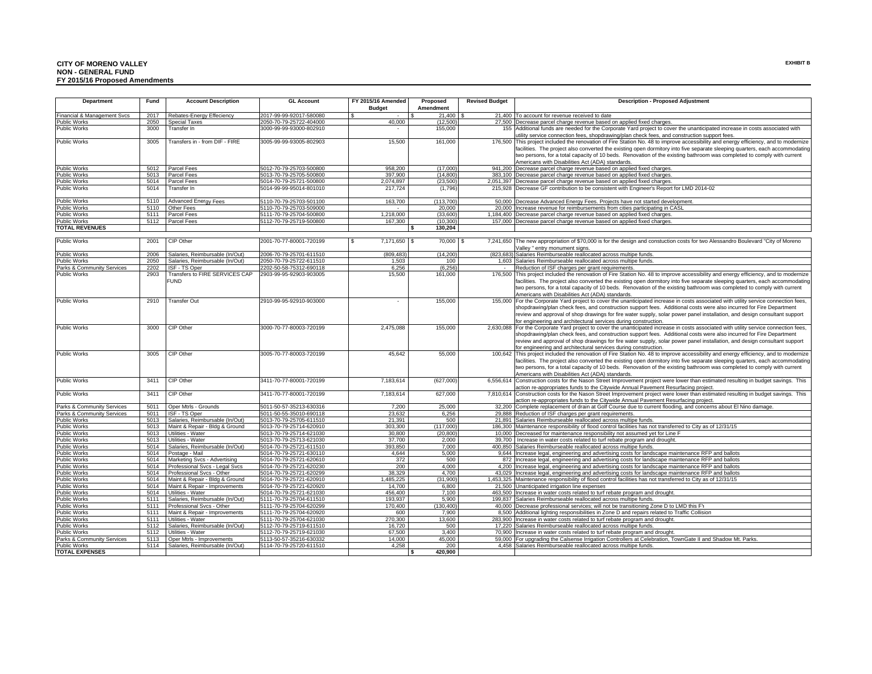#### **CITY OF MORENO VALLEY EXHIBIT B NON - GENERAL FUND FY 2015/16 Proposed Amendments**

| Department                          | Fund         | <b>Account Description</b>                         | <b>GL Account</b>                                  | <b>FY 2015/16 Amended</b> | Proposed            | <b>Revised Budget</b> | <b>Description - Proposed Adjustment</b>                                                                                                                                                             |
|-------------------------------------|--------------|----------------------------------------------------|----------------------------------------------------|---------------------------|---------------------|-----------------------|------------------------------------------------------------------------------------------------------------------------------------------------------------------------------------------------------|
|                                     |              |                                                    |                                                    | <b>Budget</b>             | Amendment           |                       |                                                                                                                                                                                                      |
| Financial & Management Svcs         | 2017         | Rebates-Energy Effeciency                          | 2017-99-99-92017-580080                            | \$                        | 21,400 \$           |                       | 21,400 To account for revenue received to date                                                                                                                                                       |
| Public Works<br>Public Works        | 2050<br>3000 | Special Taxes<br>Transfer In                       | 2050-70-79-25722-404000<br>3000-99-99-93000-802910 | 40,000<br>$\sim$          | (12.500)<br>155,000 |                       | 27,500 Decrease parcel charge revenue based on applied fixed charges.<br>155 Additional funds are needed for the Corporate Yard project to cover the unanticipated increase in costs associated with |
|                                     |              |                                                    |                                                    |                           |                     |                       | utility service connection fees, shopdrawing/plan check fees, and construction support fees.                                                                                                         |
| Public Works                        | 3005         | Transfers in - from DIF - FIRE                     | 3005-99-99-93005-802903                            | 15,500                    | 161,000             | 176,500               | This project included the renovation of Fire Station No. 48 to improve accessibility and energy efficiency, and to modernize                                                                         |
|                                     |              |                                                    |                                                    |                           |                     |                       | facilities. The project also converted the existing open dormitory into five separate sleeping quarters, each accommodating                                                                          |
|                                     |              |                                                    |                                                    |                           |                     |                       | two persons, for a total capacity of 10 beds. Renovation of the existing bathroom was completed to comply with current                                                                               |
|                                     |              |                                                    |                                                    |                           |                     |                       | Americans with Disabilities Act (ADA) standards.                                                                                                                                                     |
| Public Works                        | 5012         | Parcel Fees                                        | 5012-70-79-25703-500800                            | 958,200                   | (17,000)            |                       | 941,200 Decrease parcel charge revenue based on applied fixed charges.                                                                                                                               |
| Public Works                        | 5013         | Parcel Fees                                        | 5013-70-79-25705-500800                            | 397,900                   | (14, 800)           |                       | 383,100 Decrease parcel charge revenue based on applied fixed charges                                                                                                                                |
| <b>Public Works</b>                 | 5014         | Parcel Fees                                        | 5014-70-79-25721-500800                            | 2,074,897                 | (23, 500)           |                       | 2,051,397 Decrease parcel charge revenue based on applied fixed charges.                                                                                                                             |
| Public Works                        | 5014         | Transfer In                                        | 5014-99-99-95014-801010                            | 217,724                   | (1,796)             |                       | 215,928 Decrease GF contribution to be consistent with Engineer's Report for LMD 2014-02                                                                                                             |
|                                     |              | Advanced Energy Fees                               | 5110-70-79-25703-501100                            |                           | (113, 700)          |                       |                                                                                                                                                                                                      |
| Public Works<br><b>Public Works</b> | 5110<br>5110 | Other Fees                                         | 5110-70-79-25703-509000                            | 163,700                   | 20,000              | 20,000                | 50,000 Decrease Advanced Energy Fees. Projects have not started development<br>Increase revenue for reimbursements from cities participating in CASL                                                 |
| Public Works                        | 5111         | Parcel Fees                                        | 5111-70-79-25704-500800                            | 1,218,000                 | (33,600)            |                       | 1,184,400 Decrease parcel charge revenue based on applied fixed charges.                                                                                                                             |
| <b>Public Works</b>                 | 5112         | Parcel Fees                                        | 5112-70-79-25719-500800                            | 167,300                   | (10, 300)           |                       | 157,000 Decrease parcel charge revenue based on applied fixed charges                                                                                                                                |
| <b>TOTAL REVENUES</b>               |              |                                                    |                                                    |                           | 130,204<br>ŝ.       |                       |                                                                                                                                                                                                      |
|                                     |              |                                                    |                                                    |                           |                     |                       |                                                                                                                                                                                                      |
| Public Works                        | 2001         | CIP Other                                          | 2001-70-77-80001-720199                            | 7,171,650 \$<br>\$.       | 70,000 \$           |                       | 7,241,650 The new appropriation of \$70,000 is for the design and constuction costs for two Alessandro Boulevard "City of Moreno                                                                     |
|                                     |              |                                                    |                                                    |                           |                     |                       | Valley " entry monument signs.                                                                                                                                                                       |
| Public Works                        | 2006         | Salaries, Reimbursable (In/Out)                    | 2006-70-79-25701-611510                            | (809, 483)                | (14, 200)           |                       | (823,683) Salaries Reimburseable reallocated across multipe funds.                                                                                                                                   |
| Public Works                        | 2050         | Salaries, Reimbursable (In/Out)                    | 2050-70-79-25722-611510                            | 1,503                     | 100                 |                       | 1,603 Salaries Reimburseable reallocated across multipe funds.                                                                                                                                       |
| Parks & Community Services          | 2202         | ISF - TS Oper                                      | 2202-50-58-75312-690118                            | 6,256                     | (6, 256)            |                       | Reduction of ISF charges per grant requirements.                                                                                                                                                     |
| <b>Public Works</b>                 | 2903         | Transfers to FIRE SERVICES CAP                     | 2903-99-95-92903-903005                            | 15,500                    | 161,000             |                       | 176,500 This project included the renovation of Fire Station No. 48 to improve accessibility and energy efficiency, and to modernize                                                                 |
|                                     |              | <b>FUND</b>                                        |                                                    |                           |                     |                       | facilities. The project also converted the existing open dormitory into five separate sleeping quarters, each accommodating                                                                          |
|                                     |              |                                                    |                                                    |                           |                     |                       | two persons, for a total capacity of 10 beds. Renovation of the existing bathroom was completed to comply with current                                                                               |
|                                     |              |                                                    |                                                    |                           |                     |                       | Americans with Disabilities Act (ADA) standards.                                                                                                                                                     |
| <b>Public Works</b>                 | 2910         | <b>Transfer Out</b>                                | 2910-99-95-92910-903000                            |                           | 155,000             |                       | 155,000 For the Corporate Yard project to cover the unanticipated increase in costs associated with utility service connection fees,                                                                 |
|                                     |              |                                                    |                                                    |                           |                     |                       | shopdrawing/plan check fees, and construction support fees. Additional costs were also incurred for Fire Department                                                                                  |
|                                     |              |                                                    |                                                    |                           |                     |                       | review and approval of shop drawings for fire water supply, solar power panel installation, and design consultant support                                                                            |
|                                     |              |                                                    |                                                    |                           |                     |                       | for engineering and architectural services during construction.                                                                                                                                      |
| Public Works                        | 3000         | CIP Other                                          | 3000-70-77-80003-720199                            | 2,475,088                 | 155,000             |                       | 2,630,088  For the Corporate Yard project to cover the unanticipated increase in costs associated with utility service connection fees,                                                              |
|                                     |              |                                                    |                                                    |                           |                     |                       | shopdrawing/plan check fees, and construction support fees. Additional costs were also incurred for Fire Department                                                                                  |
|                                     |              |                                                    |                                                    |                           |                     |                       | review and approval of shop drawings for fire water supply, solar power panel installation, and design consultant support                                                                            |
|                                     |              |                                                    |                                                    |                           |                     |                       | for engineering and architectural services during construction.                                                                                                                                      |
| Public Works                        | 3005         | CIP Other                                          | 3005-70-77-80003-720199                            | 45,642                    | 55,000              |                       | 100,642 This project included the renovation of Fire Station No. 48 to improve accessibility and energy efficiency, and to modernize                                                                 |
|                                     |              |                                                    |                                                    |                           |                     |                       | facilities. The project also converted the existing open dormitory into five separate sleeping quarters, each accommodating                                                                          |
|                                     |              |                                                    |                                                    |                           |                     |                       | two persons, for a total capacity of 10 beds. Renovation of the existing bathroom was completed to comply with current                                                                               |
| Public Works                        | 3411         | CIP Other                                          | 3411-70-77-80001-720199                            | 7,183,614                 | (627,000)           |                       | Americans with Disabilities Act (ADA) standards.<br>6,556,614 Construction costs for the Nason Street Improvement project were lower than estimated resulting in budget savings. This                |
|                                     |              |                                                    |                                                    |                           |                     |                       | action re-appropriates funds to the Citywide Annual Pavement Resurfacing project.                                                                                                                    |
| Public Works                        | 3411         | CIP Other                                          | 3411-70-77-80001-720199                            | 7,183,614                 | 627,000             |                       | 7,810,614 Construction costs for the Nason Street Improvement project were lower than estimated resulting in budget savings. This                                                                    |
|                                     |              |                                                    |                                                    |                           |                     |                       | action re-appropriates funds to the Citywide Annual Pavement Resurfacing project.                                                                                                                    |
| Parks & Community Services          | 5011         | Oper Mtrls - Grounds                               | 5011-50-57-35213-630316                            | 7.200                     | 25,000              |                       | 32,200 Complete replacement of drain at Golf Course due to current flooding, and concerns about El Nino damage.                                                                                      |
| Parks & Community Services          | 5011         | ISF - TS Oper                                      | 5011-50-55-35010-690118                            | 23,632                    | 6,256               |                       | 29,888 Reduction of ISF charges per grant requirements.                                                                                                                                              |
| Public Works                        | 5013         | Salaries, Reimbursable (In/Out)                    | 5013-70-79-25705-611510                            | 21,391                    | 500                 |                       | 21,891 Salaries Reimburseable reallocated across multipe funds.                                                                                                                                      |
| Public Works                        | 5013         | Maint & Repair - Bldg & Ground                     | 5013-70-79-25714-620910                            | 303,300                   | (117,000)           |                       | 186,300 Maintenance responsibility of flood control facilities has not transferred to City as of 12/31/15                                                                                            |
| <b>Public Works</b>                 | 5013         | Utilities - Water                                  | 5013-70-79-25714-621030                            | 30,800                    | (20, 800)           |                       | 10,000 Decreased for maintenance responsibility not assumed yet for Line F                                                                                                                           |
| Public Works                        | 5013         | Utilities - Water                                  | 5013-70-79-25713-621030                            | 37,700                    | 2,000               |                       | 39,700   Increase in water costs related to turf rebate program and drought.                                                                                                                         |
| <b>Public Works</b>                 | 5014         | Salaries, Reimbursable (In/Out)                    | 5014-70-79-25721-611510                            | 393,850                   | 7,000               |                       | 400,850 Salaries Reimburseable reallocated across multipe funds.                                                                                                                                     |
| <b>Public Works</b>                 | 5014         | Postage - Mail                                     | 5014-70-79-25721-630110                            | 4.644                     | 5.000               |                       | 9,644 Increase legal, engineering and advertising costs for landscape maintenance RFP and ballots                                                                                                    |
| Public Works                        | 5014         | Marketing Svcs - Advertising                       | 5014-70-79-25721-620610                            | 372                       | 500                 |                       | 872 Increase legal, engineering and advertising costs for landscape maintenance RFP and ballots                                                                                                      |
| Public Works                        | 5014         | Professional Svcs - Legal Svcs                     | 5014-70-79-25721-620230                            | 200                       | 4,000               |                       | 4,200 Increase legal, engineering and advertising costs for landscape maintenance RFP and ballots                                                                                                    |
| Public Works                        | 5014         | Professional Svcs - Other                          | 5014-70-79-25721-620299                            | 38,329                    | 4,700               | 43,029                | Increase legal, engineering and advertising costs for landscape maintenance RFP and ballots                                                                                                          |
| <b>Public Works</b>                 | 5014         | Maint & Repair - Bldg & Ground                     | 5014-70-79-25721-620910                            | 1,485,225                 | (31,900)            |                       | 1,453,325 Maintenance responsibility of flood control facilities has not transferred to City as of 12/31/15                                                                                          |
| Public Works                        | 5014         | Maint & Repair - Improvements                      | 5014-70-79-25721-620920                            | 14,700                    | 6,800               |                       | 21,500 Unanticipated irrigation line expenses                                                                                                                                                        |
| <b>Public Works</b>                 | 5014         | Utilities - Water                                  | 5014-70-79-25721-621030                            | 456,400                   | 7,100               | 463.500               | Increase in water costs related to turf rebate program and drought.                                                                                                                                  |
| <b>Public Works</b>                 | 5111         | Salaries, Reimbursable (In/Out)                    | 5111-70-79-25704-611510                            | 193.937                   | 5,900               | 199.837               | Salaries Reimburseable reallocated across multipe funds.                                                                                                                                             |
| Public Works                        | 5111<br>5111 | Professional Svcs - Other                          | 5111-70-79-25704-620299<br>5111-70-79-25704-620920 | 170,400<br>600            | (130, 400)          | 40,000                | Decrease professional services; will not be transitioning Zone D to LMD this FY                                                                                                                      |
| <b>Public Works</b><br>Public Works | 5111         | Maint & Repair - Improvements<br>Utilities - Water | 5111-70-79-25704-621030                            | 270,300                   | 7,900<br>13,600     |                       | 8,500 Additional lighting responsibilities in Zone D and repairs related to Traffic Collision<br>283,900 Increase in water costs related to turf rebate program and drought.                         |
| Public Works                        | 5112         | Salaries, Reimbursable (In/Out)                    | 5112-70-79-25719-611510                            | 16,720                    | 500                 |                       | 17,220 Salaries Reimburseable reallocated across multipe funds.                                                                                                                                      |
| Public Works                        | 5112         | Utilities - Water                                  | 5112-70-79-25719-621030                            | 67,500                    | 3,400               |                       | 70,900 Increase in water costs related to turf rebate program and drought.                                                                                                                           |
| Parks & Community Services          | 5113         | Oper Mtrls - Improvements                          | 5113-50-57-35216-630332                            | 14.000                    | 45.000              |                       | 59,000 For upgrading the Calsense Irrigation Controllers at Celebration, TownGate II and Shadow Mt. Parks.                                                                                           |
| Public Works                        | 5114         | Salaries, Reimbursable (In/Out)                    | 5114-70-79-25720-611510                            | 4.258                     | 200                 |                       | 4.458 Salaries Reimburseable reallocated across multipe funds                                                                                                                                        |
| <b>TOTAL EXPENSES</b>               |              |                                                    |                                                    |                           | 420,900<br>-S       |                       |                                                                                                                                                                                                      |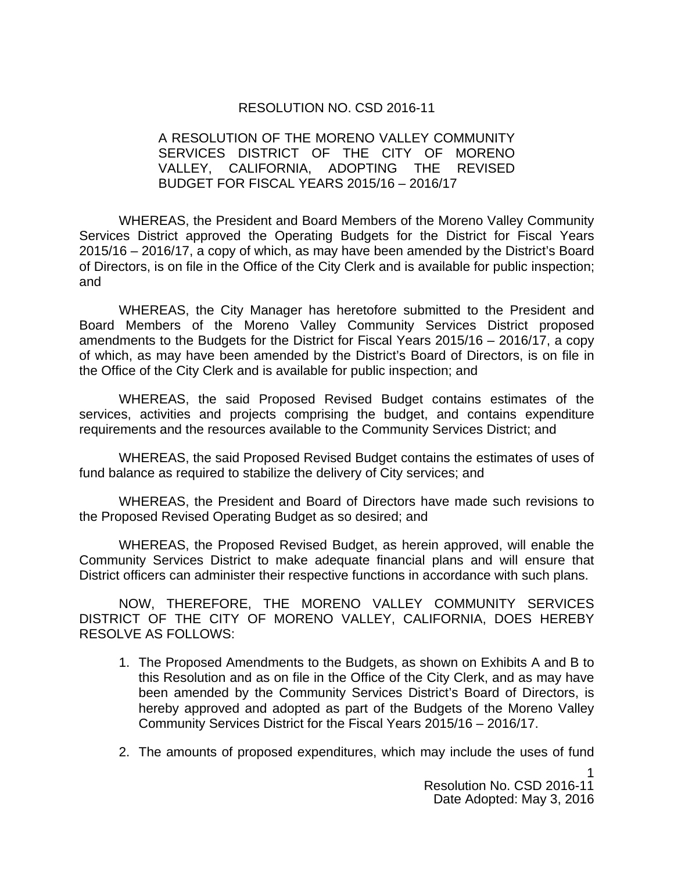#### RESOLUTION NO. CSD 2016-11

#### A RESOLUTION OF THE MORENO VALLEY COMMUNITY SERVICES DISTRICT OF THE CITY OF MORENO VALLEY, CALIFORNIA, ADOPTING THE REVISED BUDGET FOR FISCAL YEARS 2015/16 – 2016/17

WHEREAS, the President and Board Members of the Moreno Valley Community Services District approved the Operating Budgets for the District for Fiscal Years 2015/16 – 2016/17, a copy of which, as may have been amended by the District's Board of Directors, is on file in the Office of the City Clerk and is available for public inspection; and

WHEREAS, the City Manager has heretofore submitted to the President and Board Members of the Moreno Valley Community Services District proposed amendments to the Budgets for the District for Fiscal Years 2015/16 – 2016/17, a copy of which, as may have been amended by the District's Board of Directors, is on file in the Office of the City Clerk and is available for public inspection; and

WHEREAS, the said Proposed Revised Budget contains estimates of the services, activities and projects comprising the budget, and contains expenditure requirements and the resources available to the Community Services District; and

WHEREAS, the said Proposed Revised Budget contains the estimates of uses of fund balance as required to stabilize the delivery of City services; and

WHEREAS, the President and Board of Directors have made such revisions to the Proposed Revised Operating Budget as so desired; and

WHEREAS, the Proposed Revised Budget, as herein approved, will enable the Community Services District to make adequate financial plans and will ensure that District officers can administer their respective functions in accordance with such plans.

NOW, THEREFORE, THE MORENO VALLEY COMMUNITY SERVICES DISTRICT OF THE CITY OF MORENO VALLEY, CALIFORNIA, DOES HEREBY RESOLVE AS FOLLOWS:

- 1. The Proposed Amendments to the Budgets, as shown on Exhibits A and B to this Resolution and as on file in the Office of the City Clerk, and as may have been amended by the Community Services District's Board of Directors, is hereby approved and adopted as part of the Budgets of the Moreno Valley Community Services District for the Fiscal Years 2015/16 – 2016/17.
- 2. The amounts of proposed expenditures, which may include the uses of fund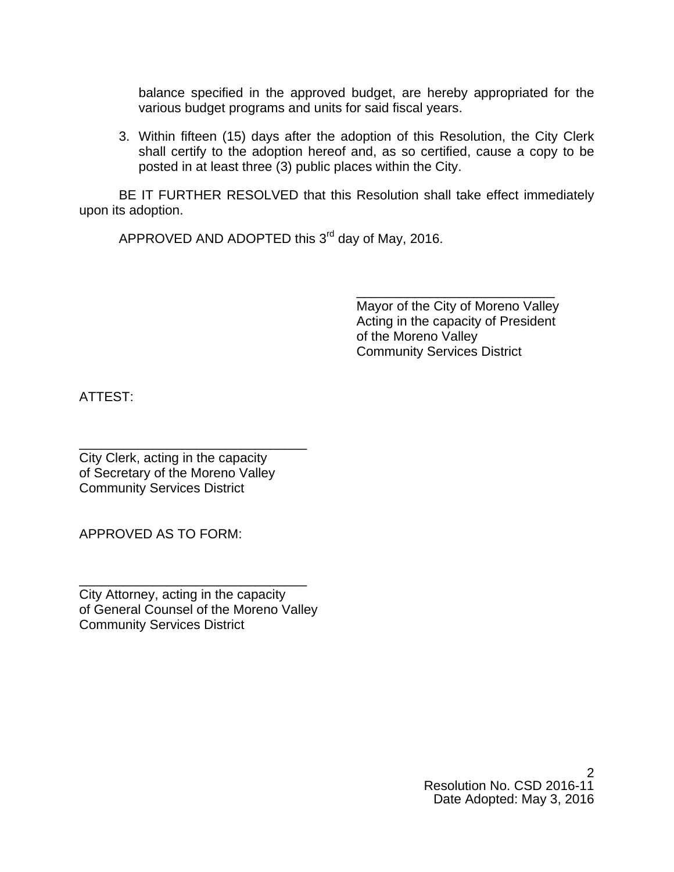balance specified in the approved budget, are hereby appropriated for the various budget programs and units for said fiscal years.

3. Within fifteen (15) days after the adoption of this Resolution, the City Clerk shall certify to the adoption hereof and, as so certified, cause a copy to be posted in at least three (3) public places within the City.

BE IT FURTHER RESOLVED that this Resolution shall take effect immediately upon its adoption.

 $\overline{\phantom{a}}$  , and the contract of the contract of the contract of the contract of the contract of the contract of the contract of the contract of the contract of the contract of the contract of the contract of the contrac

APPROVED AND ADOPTED this  $3<sup>rd</sup>$  day of May, 2016.

 Mayor of the City of Moreno Valley Acting in the capacity of President of the Moreno Valley Community Services District

ATTEST:

\_\_\_\_\_\_\_\_\_\_\_\_\_\_\_\_\_\_\_\_\_\_\_\_\_\_\_\_\_\_\_ City Clerk, acting in the capacity of Secretary of the Moreno Valley Community Services District

APPROVED AS TO FORM:

City Attorney, acting in the capacity of General Counsel of the Moreno Valley Community Services District

\_\_\_\_\_\_\_\_\_\_\_\_\_\_\_\_\_\_\_\_\_\_\_\_\_\_\_\_\_\_\_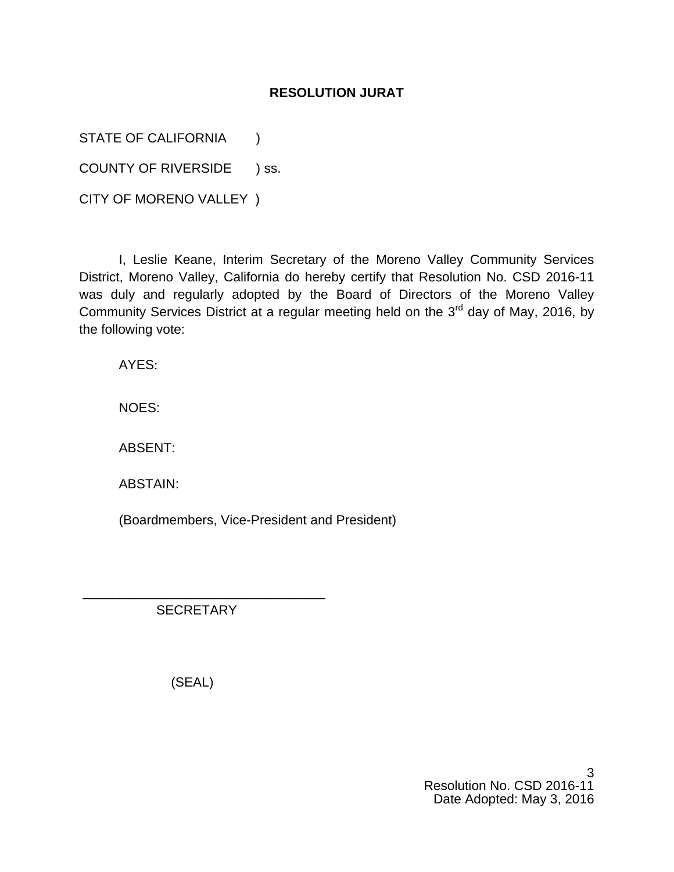### **RESOLUTION JURAT**

STATE OF CALIFORNIA (1)

COUNTY OF RIVERSIDE ) ss.

CITY OF MORENO VALLEY )

I, Leslie Keane, Interim Secretary of the Moreno Valley Community Services District, Moreno Valley, California do hereby certify that Resolution No. CSD 2016-11 was duly and regularly adopted by the Board of Directors of the Moreno Valley Community Services District at a regular meeting held on the  $3<sup>rd</sup>$  day of May, 2016, by the following vote:

AYES:

NOES:

ABSENT:

ABSTAIN:

(Boardmembers, Vice-President and President)

 \_\_\_\_\_\_\_\_\_\_\_\_\_\_\_\_\_\_\_\_\_\_\_\_\_\_\_\_\_\_\_\_\_ **SECRETARY** 

(SEAL)

3 Resolution No. CSD 2016-11 Date Adopted: May 3, 2016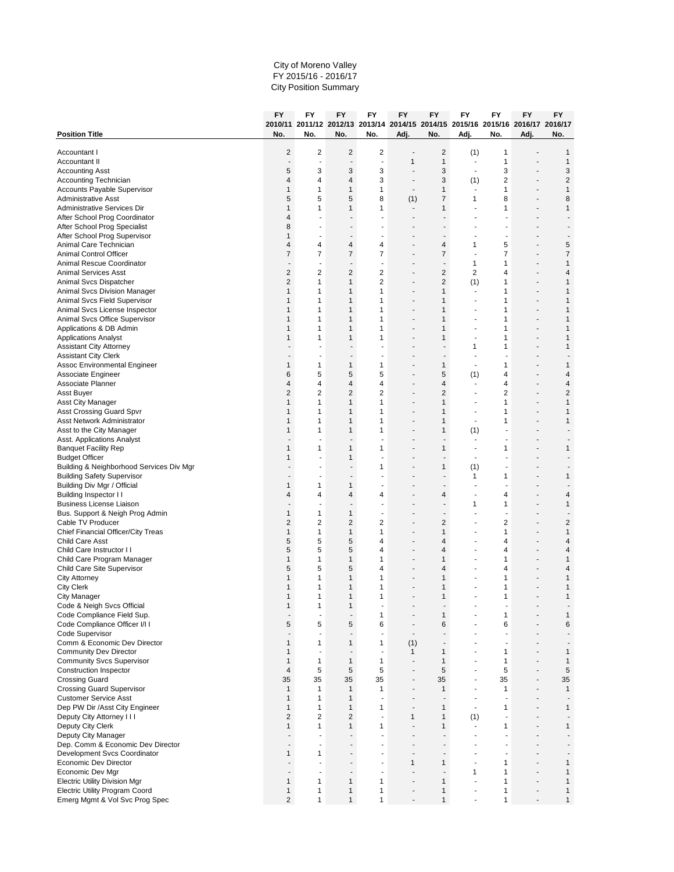#### City of Moreno Valley FY 2015/16 - 2016/17 City Position Summary

| 2010/11 2011/12 2012/13 2013/14 2014/15 2014/15 2015/16 2015/16 2016/17 2016/17<br><b>Position Title</b><br>No.<br>No.<br>No.<br>No.<br>Adj.<br>Adj.<br>No.<br>Adj.<br>No.<br>No.<br>$\overline{2}$<br>$\overline{2}$<br>$\overline{2}$<br>2<br>$\overline{\mathbf{c}}$<br>(1)<br>1<br>1<br>Accountant I<br>$\mathbf{1}$<br>$\mathbf{1}$<br>1<br>1<br>Accountant II<br>Ĭ.<br>÷<br>3<br>3<br>3<br>3<br>5<br>3<br>3<br><b>Accounting Asst</b><br>٠<br>$\overline{\phantom{a}}$<br>3<br>2<br>$\overline{c}$<br>$\overline{4}$<br>3<br>Accounting Technician<br>$\overline{4}$<br>4<br>(1)<br>٠<br>$\mathbf{1}$<br>$\mathbf{1}$<br>$\mathbf{1}$<br>1<br>$\mathbf{1}$<br>$\mathbf{1}$<br>$\mathbf{1}$<br>Accounts Payable Supervisor<br>$\blacksquare$<br>$\overline{\phantom{a}}$<br>٠<br>5<br>5<br>8<br>$\overline{7}$<br>8<br>8<br><b>Administrative Asst</b><br>5<br>(1)<br>1<br>$\mathbf{1}$<br>1<br>$\mathbf{1}$<br>$\mathbf{1}$<br>Administrative Services Dir<br>$\mathbf{1}$<br>$\mathbf{1}$<br>1<br>ä,<br>After School Prog Coordinator<br>$\overline{4}$<br>٠<br>$\blacksquare$<br>٠<br>٠<br>٠<br>After School Prog Specialist<br>8<br>After School Prog Supervisor<br>$\mathbf{1}$<br>$\blacksquare$<br>÷,<br>٠<br>٠<br>Animal Care Technician<br>$\overline{\mathbf{4}}$<br>5<br>$\overline{4}$<br>$\overline{4}$<br>4<br>4<br>1<br>5<br>$\overline{7}$<br>$\overline{7}$<br>$\overline{7}$<br>$\overline{7}$<br>$\overline{7}$<br>7<br>$\overline{7}$<br><b>Animal Control Officer</b><br>$\mathbf{1}$<br>$\mathbf{1}$<br>Animal Rescue Coordinator<br>1<br>$\blacksquare$<br>$\blacksquare$<br>÷,<br>$\overline{\phantom{a}}$<br>٠<br>$\overline{c}$<br>$\mathbf 2$<br>$\overline{2}$<br>$\overline{c}$<br>$\overline{2}$<br>2<br><b>Animal Services Asst</b><br>4<br>4<br>$\overline{2}$<br>$\mathbf{1}$<br>2<br>$\overline{2}$<br>$\mathbf{1}$<br>Animal Svcs Dispatcher<br>$\mathbf{1}$<br>(1)<br>1<br>÷,<br>$\mathbf{1}$<br>1<br>$\mathbf{1}$<br>Animal Svcs Division Manager<br>1<br>$\mathbf{1}$<br>1<br>$\mathbf{1}$<br>$\overline{a}$<br>$\mathbf{1}$<br>$\mathbf{1}$<br>1<br>$\mathbf{1}$<br>Animal Svcs Field Supervisor<br>$\mathbf{1}$<br>1<br>$\mathbf{1}$<br>Animal Svcs License Inspector<br>$\mathbf{1}$<br>1<br>$\mathbf{1}$<br>1<br>1<br>1<br>1<br>٠<br>٠<br>٠<br>Animal Svcs Office Supervisor<br>$\mathbf{1}$<br>1<br>$\mathbf{1}$<br>1<br>1<br>1<br>$\mathbf{1}$<br>$\mathbf{1}$<br>1<br>$\mathbf{1}$<br>$\mathbf{1}$<br>$\mathbf{1}$<br>Applications & DB Admin<br>1<br>1<br>÷.<br>٠<br><b>Applications Analyst</b><br>1<br>1<br>$\mathbf{1}$<br>1<br>1<br>1<br>1<br>٠<br><b>Assistant City Attorney</b><br>1<br>1<br>1<br><b>Assistant City Clerk</b><br>$\blacksquare$<br>٠<br>$\mathbf{1}$<br>$\mathbf{1}$<br>Assoc Environmental Engineer<br>$\mathbf{1}$<br>$\mathbf{1}$<br>1<br>1<br>1<br>$\overline{\phantom{a}}$<br>5<br>5<br>5<br>5<br>Associate Engineer<br>6<br>(1)<br>4<br>4<br>٠<br>$\overline{\mathbf{4}}$<br>4<br>4<br>Associate Planner<br>$\overline{4}$<br>$\overline{4}$<br>4<br>4<br>٠<br>$\overline{2}$<br>$\overline{2}$<br>$\overline{2}$<br>$\overline{2}$<br>$\overline{2}$<br>$\overline{2}$<br>$\sqrt{2}$<br>Asst Buyer<br><b>Asst City Manager</b><br>1<br>$\mathbf{1}$<br>$\mathbf{1}$<br>1<br>1<br>1<br>$\mathbf{1}$<br>٠<br>$\overline{\phantom{a}}$<br><b>Asst Crossing Guard Spvr</b><br>$\mathbf{1}$<br>$\mathbf{1}$<br>$\mathbf{1}$<br>1<br>1<br>1<br>$\mathbf{1}$<br>÷,<br>$\mathbf{1}$<br>1<br>1<br>$\mathbf{1}$<br>Asst Network Administrator<br>$\mathbf{1}$<br>$\mathbf{1}$<br>1<br>$\blacksquare$<br>Asst to the City Manager<br>$\mathbf{1}$<br>1<br>$\mathbf{1}$<br>1<br>1<br>(1)<br>Asst. Applications Analyst<br><b>Banquet Facility Rep</b><br>1<br>1<br>1<br>1<br>1<br>1<br>1<br>$\blacksquare$<br><b>Budget Officer</b><br>$\mathbf{1}$<br>1<br>L,<br>$\overline{\phantom{a}}$<br>٠<br>ä,<br>$\mathbf{1}$<br>Building & Neighborhood Services Div Mgr<br>1<br>(1)<br><b>Building Safety Supervisor</b><br>1<br>1<br>1<br>٠<br>$\mathbf{1}$<br>Building Div Mgr / Official<br>$\mathbf{1}$<br>$\mathbf{1}$<br>Building Inspector II<br>$\overline{4}$<br>$\overline{4}$<br>4<br>4<br>4<br>4<br>4<br>٠<br><b>Business License Liaison</b><br>1<br>$\mathbf{1}$<br>1<br>$\blacksquare$<br>$\mathbf{1}$<br>$\mathbf{1}$<br>$\mathbf{1}$<br>Bus. Support & Neigh Prog Admin<br>$\overline{a}$<br>$\overline{\phantom{a}}$<br>$\overline{a}$<br>ä,<br>$\overline{2}$<br>$\overline{2}$<br>$\overline{2}$<br>$\overline{2}$<br>$\overline{2}$<br>2<br>$\overline{c}$<br>Cable TV Producer<br>٠<br>Chief Financial Officer/City Treas<br>$\mathbf{1}$<br>$\mathbf{1}$<br>$\mathbf{1}$<br>1<br>$\mathbf{1}$<br>$\mathbf{1}$<br>$\mathbf{1}$<br>5<br>5<br>5<br>4<br>Child Care Asst<br>4<br>4<br>4<br>÷.<br>٠<br>5<br>5<br>5<br>Child Care Instructor I I<br>4<br>$\overline{4}$<br>4<br>$\overline{4}$<br>Child Care Program Manager<br>$\mathbf{1}$<br>$\mathbf{1}$<br>1<br>$\mathbf{1}$<br>$\mathbf{1}$<br>$\mathbf{1}$<br>$\mathbf{1}$<br>ä,<br>٠<br>Child Care Site Supervisor<br>5<br>5<br>5<br>4<br>4<br>4<br>4<br>$\mathbf{1}$<br>$\mathbf{1}$<br><b>City Attorney</b><br>$\mathbf{1}$<br>$\mathbf{1}$<br>1<br>1<br>$\mathbf{1}$<br><b>City Clerk</b><br>1<br>$\mathbf{1}$<br>1<br>1<br>1<br>1<br>1<br>٠<br>٠<br>$\overline{\phantom{a}}$<br>$\mathbf{1}$<br><b>City Manager</b><br>$\mathbf{1}$<br>$\mathbf{1}$<br>1<br>1<br>1<br>1<br>Code & Neigh Svcs Official<br>$\mathbf{1}$<br>$\mathbf{1}$<br>$\mathbf{1}$<br>$\mathbf{1}$<br>Code Compliance Field Sup.<br>1<br>1<br>$\mathbf{1}$<br>$\blacksquare$<br>$\blacksquare$<br>6<br>6<br>5<br>5<br>5<br>6<br>6<br>Code Compliance Officer I/I I<br>Code Supervisor<br>÷,<br>$\overline{\phantom{a}}$<br>$\blacksquare$<br>$\blacksquare$<br>÷.<br>÷<br>٠<br>$\overline{\phantom{a}}$<br>$\mathbf{1}$<br>Comm & Economic Dev Director<br>$\mathbf{1}$<br>$\mathbf{1}$<br>1<br>(1)<br>÷,<br>$\overline{\phantom{a}}$<br>٠<br><b>Community Dev Director</b><br>$\mathbf{1}$<br>$\mathbf{1}$<br>$\mathbf{1}$<br>$\mathbf{1}$<br>$\mathbf{1}$<br>÷,<br>÷<br>$\blacksquare$<br>$\overline{a}$<br>٠<br>$\mathbf{1}$<br>$\mathbf{1}$<br>1<br>$\mathbf{1}$<br>$\mathbf{1}$<br>$\mathbf{1}$<br><b>Community Svcs Supervisor</b><br>$\mathbf{1}$<br>$\blacksquare$<br>5<br>5<br>5<br>5<br>$\sqrt{5}$<br>5<br><b>Construction Inspector</b><br>$\overline{4}$<br>35<br>35<br>35<br>35<br>35<br>35<br>35<br><b>Crossing Guard</b><br>÷<br>$\overline{a}$<br>٠<br><b>Crossing Guard Supervisor</b><br>$\mathbf{1}$<br>1<br>$\mathbf{1}$<br>1<br>$\mathbf{1}$<br>$\mathbf{1}$<br>$\mathbf{1}$<br>٠<br>٠<br>$\mathbf{1}$<br>$\mathbf{1}$<br>$\mathbf{1}$<br><b>Customer Service Asst</b><br>$\overline{\phantom{a}}$<br>$\blacksquare$<br>÷,<br>÷,<br>٠<br>$\mathbf{1}$<br>$\mathbf{1}$<br>1<br>$\mathbf{1}$<br>$\mathbf{1}$<br>$\mathbf{1}$<br>Dep PW Dir /Asst City Engineer<br>1<br>$\overline{a}$<br>$\overline{\phantom{a}}$<br>$\overline{2}$<br>$\overline{2}$<br>$\overline{2}$<br>$\mathbf{1}$<br>Deputy City Attorney I I I<br>1<br>(1)<br>Deputy City Clerk<br>1<br>1<br>$\mathbf{1}$<br>1<br>1<br>1<br>1<br>$\blacksquare$<br>$\overline{a}$<br>Deputy City Manager<br>$\overline{a}$<br>ä,<br>$\overline{a}$<br>$\blacksquare$<br>Dep. Comm & Economic Dev Director<br>$\overline{\phantom{a}}$<br>÷<br>$\blacksquare$<br>$\overline{a}$<br>٠<br>Development Svcs Coordinator<br>$\mathbf{1}$<br>1<br>٠<br>$\blacksquare$<br>٠<br>$\mathbf{1}$<br>$\mathbf{1}$<br>Economic Dev Director<br>$\mathbf{1}$<br>$\mathbf{1}$<br>÷<br>Economic Dev Mgr<br>$\mathbf{1}$<br>$\mathbf{1}$<br>1<br>$\overline{a}$<br>$\overline{a}$<br>÷.<br>$\blacksquare$<br>$\overline{a}$<br>٠<br>۰<br>$\mathbf{1}$<br>1<br>$\mathbf{1}$<br><b>Electric Utility Division Mgr</b><br>1<br>1<br>$\mathbf{1}$<br>$\mathbf{1}$<br>÷,<br>$\mathbf{1}$<br>$\mathbf{1}$<br>1<br>$\mathbf{1}$<br><b>Electric Utility Program Coord</b><br>$\mathbf{1}$<br>1<br>$\mathbf{1}$<br>ä,<br>Emerg Mgmt & Vol Svc Prog Spec<br>$\overline{2}$<br>$\mathbf{1}$<br>$\mathbf{1}$<br>1<br>$\mathbf{1}$<br>$\mathbf{1}$<br>1 |  |  | FY | FY | FY | FY | FY | FY | FY | FY | FY |
|-----------------------------------------------------------------------------------------------------------------------------------------------------------------------------------------------------------------------------------------------------------------------------------------------------------------------------------------------------------------------------------------------------------------------------------------------------------------------------------------------------------------------------------------------------------------------------------------------------------------------------------------------------------------------------------------------------------------------------------------------------------------------------------------------------------------------------------------------------------------------------------------------------------------------------------------------------------------------------------------------------------------------------------------------------------------------------------------------------------------------------------------------------------------------------------------------------------------------------------------------------------------------------------------------------------------------------------------------------------------------------------------------------------------------------------------------------------------------------------------------------------------------------------------------------------------------------------------------------------------------------------------------------------------------------------------------------------------------------------------------------------------------------------------------------------------------------------------------------------------------------------------------------------------------------------------------------------------------------------------------------------------------------------------------------------------------------------------------------------------------------------------------------------------------------------------------------------------------------------------------------------------------------------------------------------------------------------------------------------------------------------------------------------------------------------------------------------------------------------------------------------------------------------------------------------------------------------------------------------------------------------------------------------------------------------------------------------------------------------------------------------------------------------------------------------------------------------------------------------------------------------------------------------------------------------------------------------------------------------------------------------------------------------------------------------------------------------------------------------------------------------------------------------------------------------------------------------------------------------------------------------------------------------------------------------------------------------------------------------------------------------------------------------------------------------------------------------------------------------------------------------------------------------------------------------------------------------------------------------------------------------------------------------------------------------------------------------------------------------------------------------------------------------------------------------------------------------------------------------------------------------------------------------------------------------------------------------------------------------------------------------------------------------------------------------------------------------------------------------------------------------------------------------------------------------------------------------------------------------------------------------------------------------------------------------------------------------------------------------------------------------------------------------------------------------------------------------------------------------------------------------------------------------------------------------------------------------------------------------------------------------------------------------------------------------------------------------------------------------------------------------------------------------------------------------------------------------------------------------------------------------------------------------------------------------------------------------------------------------------------------------------------------------------------------------------------------------------------------------------------------------------------------------------------------------------------------------------------------------------------------------------------------------------------------------------------------------------------------------------------------------------------------------------------------------------------------------------------------------------------------------------------------------------------------------------------------------------------------------------------------------------------------------------------------------------------------------------------------------------------------------------------------------------------------------------------------------------------------------------------------------------------------------------------------------------------------------------------------------------------------------------------------------------------------------------------------------------------------------------------------------------------------------------------------------------------------------------------------------------------------------------------------------------------------------------------------------------------------------------------------------------------------------------------------------------------------------------------------------------------------------------------------------------------------------------------------------------------------------------------------------------------------------------------------------------------------------------------------------------------------------------------------------------------------------------------------------------------------------------------------------------------------------------------------------------------------------------------------------------------------------------------------------------------------------------------------------------------------------------------------------------------------------------------------------------------------------------------------------------------------------------------------------------------------------------------------------------------------------------------------------------------------------------------------------------------------------------------------------------------------------------------------------------------------------------------------------------------------------------------------------------------------------------------------------------------------------------------------------------------------------------------------------------------------------------------------------------------------------------------------------------------------------------------------------------------------------------------------------------------------------------------------------------------------------------------------------------------------------------|--|--|----|----|----|----|----|----|----|----|----|
|                                                                                                                                                                                                                                                                                                                                                                                                                                                                                                                                                                                                                                                                                                                                                                                                                                                                                                                                                                                                                                                                                                                                                                                                                                                                                                                                                                                                                                                                                                                                                                                                                                                                                                                                                                                                                                                                                                                                                                                                                                                                                                                                                                                                                                                                                                                                                                                                                                                                                                                                                                                                                                                                                                                                                                                                                                                                                                                                                                                                                                                                                                                                                                                                                                                                                                                                                                                                                                                                                                                                                                                                                                                                                                                                                                                                                                                                                                                                                                                                                                                                                                                                                                                                                                                                                                                                                                                                                                                                                                                                                                                                                                                                                                                                                                                                                                                                                                                                                                                                                                                                                                                                                                                                                                                                                                                                                                                                                                                                                                                                                                                                                                                                                                                                                                                                                                                                                                                                                                                                                                                                                                                                                                                                                                                                                                                                                                                                                                                                                                                                                                                                                                                                                                                                                                                                                                                                                                                                                                                                                                                                                                                                                                                                                                                                                                                                                                                                                                                                                                                                                                                                                                                                                                                                                                                                                                                                                                                                                                                                                                                                                                                 |  |  |    |    |    |    |    |    |    |    |    |
|                                                                                                                                                                                                                                                                                                                                                                                                                                                                                                                                                                                                                                                                                                                                                                                                                                                                                                                                                                                                                                                                                                                                                                                                                                                                                                                                                                                                                                                                                                                                                                                                                                                                                                                                                                                                                                                                                                                                                                                                                                                                                                                                                                                                                                                                                                                                                                                                                                                                                                                                                                                                                                                                                                                                                                                                                                                                                                                                                                                                                                                                                                                                                                                                                                                                                                                                                                                                                                                                                                                                                                                                                                                                                                                                                                                                                                                                                                                                                                                                                                                                                                                                                                                                                                                                                                                                                                                                                                                                                                                                                                                                                                                                                                                                                                                                                                                                                                                                                                                                                                                                                                                                                                                                                                                                                                                                                                                                                                                                                                                                                                                                                                                                                                                                                                                                                                                                                                                                                                                                                                                                                                                                                                                                                                                                                                                                                                                                                                                                                                                                                                                                                                                                                                                                                                                                                                                                                                                                                                                                                                                                                                                                                                                                                                                                                                                                                                                                                                                                                                                                                                                                                                                                                                                                                                                                                                                                                                                                                                                                                                                                                                                 |  |  |    |    |    |    |    |    |    |    |    |
|                                                                                                                                                                                                                                                                                                                                                                                                                                                                                                                                                                                                                                                                                                                                                                                                                                                                                                                                                                                                                                                                                                                                                                                                                                                                                                                                                                                                                                                                                                                                                                                                                                                                                                                                                                                                                                                                                                                                                                                                                                                                                                                                                                                                                                                                                                                                                                                                                                                                                                                                                                                                                                                                                                                                                                                                                                                                                                                                                                                                                                                                                                                                                                                                                                                                                                                                                                                                                                                                                                                                                                                                                                                                                                                                                                                                                                                                                                                                                                                                                                                                                                                                                                                                                                                                                                                                                                                                                                                                                                                                                                                                                                                                                                                                                                                                                                                                                                                                                                                                                                                                                                                                                                                                                                                                                                                                                                                                                                                                                                                                                                                                                                                                                                                                                                                                                                                                                                                                                                                                                                                                                                                                                                                                                                                                                                                                                                                                                                                                                                                                                                                                                                                                                                                                                                                                                                                                                                                                                                                                                                                                                                                                                                                                                                                                                                                                                                                                                                                                                                                                                                                                                                                                                                                                                                                                                                                                                                                                                                                                                                                                                                                 |  |  |    |    |    |    |    |    |    |    |    |
|                                                                                                                                                                                                                                                                                                                                                                                                                                                                                                                                                                                                                                                                                                                                                                                                                                                                                                                                                                                                                                                                                                                                                                                                                                                                                                                                                                                                                                                                                                                                                                                                                                                                                                                                                                                                                                                                                                                                                                                                                                                                                                                                                                                                                                                                                                                                                                                                                                                                                                                                                                                                                                                                                                                                                                                                                                                                                                                                                                                                                                                                                                                                                                                                                                                                                                                                                                                                                                                                                                                                                                                                                                                                                                                                                                                                                                                                                                                                                                                                                                                                                                                                                                                                                                                                                                                                                                                                                                                                                                                                                                                                                                                                                                                                                                                                                                                                                                                                                                                                                                                                                                                                                                                                                                                                                                                                                                                                                                                                                                                                                                                                                                                                                                                                                                                                                                                                                                                                                                                                                                                                                                                                                                                                                                                                                                                                                                                                                                                                                                                                                                                                                                                                                                                                                                                                                                                                                                                                                                                                                                                                                                                                                                                                                                                                                                                                                                                                                                                                                                                                                                                                                                                                                                                                                                                                                                                                                                                                                                                                                                                                                                                 |  |  |    |    |    |    |    |    |    |    |    |
|                                                                                                                                                                                                                                                                                                                                                                                                                                                                                                                                                                                                                                                                                                                                                                                                                                                                                                                                                                                                                                                                                                                                                                                                                                                                                                                                                                                                                                                                                                                                                                                                                                                                                                                                                                                                                                                                                                                                                                                                                                                                                                                                                                                                                                                                                                                                                                                                                                                                                                                                                                                                                                                                                                                                                                                                                                                                                                                                                                                                                                                                                                                                                                                                                                                                                                                                                                                                                                                                                                                                                                                                                                                                                                                                                                                                                                                                                                                                                                                                                                                                                                                                                                                                                                                                                                                                                                                                                                                                                                                                                                                                                                                                                                                                                                                                                                                                                                                                                                                                                                                                                                                                                                                                                                                                                                                                                                                                                                                                                                                                                                                                                                                                                                                                                                                                                                                                                                                                                                                                                                                                                                                                                                                                                                                                                                                                                                                                                                                                                                                                                                                                                                                                                                                                                                                                                                                                                                                                                                                                                                                                                                                                                                                                                                                                                                                                                                                                                                                                                                                                                                                                                                                                                                                                                                                                                                                                                                                                                                                                                                                                                                                 |  |  |    |    |    |    |    |    |    |    |    |
|                                                                                                                                                                                                                                                                                                                                                                                                                                                                                                                                                                                                                                                                                                                                                                                                                                                                                                                                                                                                                                                                                                                                                                                                                                                                                                                                                                                                                                                                                                                                                                                                                                                                                                                                                                                                                                                                                                                                                                                                                                                                                                                                                                                                                                                                                                                                                                                                                                                                                                                                                                                                                                                                                                                                                                                                                                                                                                                                                                                                                                                                                                                                                                                                                                                                                                                                                                                                                                                                                                                                                                                                                                                                                                                                                                                                                                                                                                                                                                                                                                                                                                                                                                                                                                                                                                                                                                                                                                                                                                                                                                                                                                                                                                                                                                                                                                                                                                                                                                                                                                                                                                                                                                                                                                                                                                                                                                                                                                                                                                                                                                                                                                                                                                                                                                                                                                                                                                                                                                                                                                                                                                                                                                                                                                                                                                                                                                                                                                                                                                                                                                                                                                                                                                                                                                                                                                                                                                                                                                                                                                                                                                                                                                                                                                                                                                                                                                                                                                                                                                                                                                                                                                                                                                                                                                                                                                                                                                                                                                                                                                                                                                                 |  |  |    |    |    |    |    |    |    |    |    |
|                                                                                                                                                                                                                                                                                                                                                                                                                                                                                                                                                                                                                                                                                                                                                                                                                                                                                                                                                                                                                                                                                                                                                                                                                                                                                                                                                                                                                                                                                                                                                                                                                                                                                                                                                                                                                                                                                                                                                                                                                                                                                                                                                                                                                                                                                                                                                                                                                                                                                                                                                                                                                                                                                                                                                                                                                                                                                                                                                                                                                                                                                                                                                                                                                                                                                                                                                                                                                                                                                                                                                                                                                                                                                                                                                                                                                                                                                                                                                                                                                                                                                                                                                                                                                                                                                                                                                                                                                                                                                                                                                                                                                                                                                                                                                                                                                                                                                                                                                                                                                                                                                                                                                                                                                                                                                                                                                                                                                                                                                                                                                                                                                                                                                                                                                                                                                                                                                                                                                                                                                                                                                                                                                                                                                                                                                                                                                                                                                                                                                                                                                                                                                                                                                                                                                                                                                                                                                                                                                                                                                                                                                                                                                                                                                                                                                                                                                                                                                                                                                                                                                                                                                                                                                                                                                                                                                                                                                                                                                                                                                                                                                                                 |  |  |    |    |    |    |    |    |    |    |    |
|                                                                                                                                                                                                                                                                                                                                                                                                                                                                                                                                                                                                                                                                                                                                                                                                                                                                                                                                                                                                                                                                                                                                                                                                                                                                                                                                                                                                                                                                                                                                                                                                                                                                                                                                                                                                                                                                                                                                                                                                                                                                                                                                                                                                                                                                                                                                                                                                                                                                                                                                                                                                                                                                                                                                                                                                                                                                                                                                                                                                                                                                                                                                                                                                                                                                                                                                                                                                                                                                                                                                                                                                                                                                                                                                                                                                                                                                                                                                                                                                                                                                                                                                                                                                                                                                                                                                                                                                                                                                                                                                                                                                                                                                                                                                                                                                                                                                                                                                                                                                                                                                                                                                                                                                                                                                                                                                                                                                                                                                                                                                                                                                                                                                                                                                                                                                                                                                                                                                                                                                                                                                                                                                                                                                                                                                                                                                                                                                                                                                                                                                                                                                                                                                                                                                                                                                                                                                                                                                                                                                                                                                                                                                                                                                                                                                                                                                                                                                                                                                                                                                                                                                                                                                                                                                                                                                                                                                                                                                                                                                                                                                                                                 |  |  |    |    |    |    |    |    |    |    |    |
|                                                                                                                                                                                                                                                                                                                                                                                                                                                                                                                                                                                                                                                                                                                                                                                                                                                                                                                                                                                                                                                                                                                                                                                                                                                                                                                                                                                                                                                                                                                                                                                                                                                                                                                                                                                                                                                                                                                                                                                                                                                                                                                                                                                                                                                                                                                                                                                                                                                                                                                                                                                                                                                                                                                                                                                                                                                                                                                                                                                                                                                                                                                                                                                                                                                                                                                                                                                                                                                                                                                                                                                                                                                                                                                                                                                                                                                                                                                                                                                                                                                                                                                                                                                                                                                                                                                                                                                                                                                                                                                                                                                                                                                                                                                                                                                                                                                                                                                                                                                                                                                                                                                                                                                                                                                                                                                                                                                                                                                                                                                                                                                                                                                                                                                                                                                                                                                                                                                                                                                                                                                                                                                                                                                                                                                                                                                                                                                                                                                                                                                                                                                                                                                                                                                                                                                                                                                                                                                                                                                                                                                                                                                                                                                                                                                                                                                                                                                                                                                                                                                                                                                                                                                                                                                                                                                                                                                                                                                                                                                                                                                                                                                 |  |  |    |    |    |    |    |    |    |    |    |
|                                                                                                                                                                                                                                                                                                                                                                                                                                                                                                                                                                                                                                                                                                                                                                                                                                                                                                                                                                                                                                                                                                                                                                                                                                                                                                                                                                                                                                                                                                                                                                                                                                                                                                                                                                                                                                                                                                                                                                                                                                                                                                                                                                                                                                                                                                                                                                                                                                                                                                                                                                                                                                                                                                                                                                                                                                                                                                                                                                                                                                                                                                                                                                                                                                                                                                                                                                                                                                                                                                                                                                                                                                                                                                                                                                                                                                                                                                                                                                                                                                                                                                                                                                                                                                                                                                                                                                                                                                                                                                                                                                                                                                                                                                                                                                                                                                                                                                                                                                                                                                                                                                                                                                                                                                                                                                                                                                                                                                                                                                                                                                                                                                                                                                                                                                                                                                                                                                                                                                                                                                                                                                                                                                                                                                                                                                                                                                                                                                                                                                                                                                                                                                                                                                                                                                                                                                                                                                                                                                                                                                                                                                                                                                                                                                                                                                                                                                                                                                                                                                                                                                                                                                                                                                                                                                                                                                                                                                                                                                                                                                                                                                                 |  |  |    |    |    |    |    |    |    |    |    |
|                                                                                                                                                                                                                                                                                                                                                                                                                                                                                                                                                                                                                                                                                                                                                                                                                                                                                                                                                                                                                                                                                                                                                                                                                                                                                                                                                                                                                                                                                                                                                                                                                                                                                                                                                                                                                                                                                                                                                                                                                                                                                                                                                                                                                                                                                                                                                                                                                                                                                                                                                                                                                                                                                                                                                                                                                                                                                                                                                                                                                                                                                                                                                                                                                                                                                                                                                                                                                                                                                                                                                                                                                                                                                                                                                                                                                                                                                                                                                                                                                                                                                                                                                                                                                                                                                                                                                                                                                                                                                                                                                                                                                                                                                                                                                                                                                                                                                                                                                                                                                                                                                                                                                                                                                                                                                                                                                                                                                                                                                                                                                                                                                                                                                                                                                                                                                                                                                                                                                                                                                                                                                                                                                                                                                                                                                                                                                                                                                                                                                                                                                                                                                                                                                                                                                                                                                                                                                                                                                                                                                                                                                                                                                                                                                                                                                                                                                                                                                                                                                                                                                                                                                                                                                                                                                                                                                                                                                                                                                                                                                                                                                                                 |  |  |    |    |    |    |    |    |    |    |    |
|                                                                                                                                                                                                                                                                                                                                                                                                                                                                                                                                                                                                                                                                                                                                                                                                                                                                                                                                                                                                                                                                                                                                                                                                                                                                                                                                                                                                                                                                                                                                                                                                                                                                                                                                                                                                                                                                                                                                                                                                                                                                                                                                                                                                                                                                                                                                                                                                                                                                                                                                                                                                                                                                                                                                                                                                                                                                                                                                                                                                                                                                                                                                                                                                                                                                                                                                                                                                                                                                                                                                                                                                                                                                                                                                                                                                                                                                                                                                                                                                                                                                                                                                                                                                                                                                                                                                                                                                                                                                                                                                                                                                                                                                                                                                                                                                                                                                                                                                                                                                                                                                                                                                                                                                                                                                                                                                                                                                                                                                                                                                                                                                                                                                                                                                                                                                                                                                                                                                                                                                                                                                                                                                                                                                                                                                                                                                                                                                                                                                                                                                                                                                                                                                                                                                                                                                                                                                                                                                                                                                                                                                                                                                                                                                                                                                                                                                                                                                                                                                                                                                                                                                                                                                                                                                                                                                                                                                                                                                                                                                                                                                                                                 |  |  |    |    |    |    |    |    |    |    |    |
|                                                                                                                                                                                                                                                                                                                                                                                                                                                                                                                                                                                                                                                                                                                                                                                                                                                                                                                                                                                                                                                                                                                                                                                                                                                                                                                                                                                                                                                                                                                                                                                                                                                                                                                                                                                                                                                                                                                                                                                                                                                                                                                                                                                                                                                                                                                                                                                                                                                                                                                                                                                                                                                                                                                                                                                                                                                                                                                                                                                                                                                                                                                                                                                                                                                                                                                                                                                                                                                                                                                                                                                                                                                                                                                                                                                                                                                                                                                                                                                                                                                                                                                                                                                                                                                                                                                                                                                                                                                                                                                                                                                                                                                                                                                                                                                                                                                                                                                                                                                                                                                                                                                                                                                                                                                                                                                                                                                                                                                                                                                                                                                                                                                                                                                                                                                                                                                                                                                                                                                                                                                                                                                                                                                                                                                                                                                                                                                                                                                                                                                                                                                                                                                                                                                                                                                                                                                                                                                                                                                                                                                                                                                                                                                                                                                                                                                                                                                                                                                                                                                                                                                                                                                                                                                                                                                                                                                                                                                                                                                                                                                                                                                 |  |  |    |    |    |    |    |    |    |    |    |
|                                                                                                                                                                                                                                                                                                                                                                                                                                                                                                                                                                                                                                                                                                                                                                                                                                                                                                                                                                                                                                                                                                                                                                                                                                                                                                                                                                                                                                                                                                                                                                                                                                                                                                                                                                                                                                                                                                                                                                                                                                                                                                                                                                                                                                                                                                                                                                                                                                                                                                                                                                                                                                                                                                                                                                                                                                                                                                                                                                                                                                                                                                                                                                                                                                                                                                                                                                                                                                                                                                                                                                                                                                                                                                                                                                                                                                                                                                                                                                                                                                                                                                                                                                                                                                                                                                                                                                                                                                                                                                                                                                                                                                                                                                                                                                                                                                                                                                                                                                                                                                                                                                                                                                                                                                                                                                                                                                                                                                                                                                                                                                                                                                                                                                                                                                                                                                                                                                                                                                                                                                                                                                                                                                                                                                                                                                                                                                                                                                                                                                                                                                                                                                                                                                                                                                                                                                                                                                                                                                                                                                                                                                                                                                                                                                                                                                                                                                                                                                                                                                                                                                                                                                                                                                                                                                                                                                                                                                                                                                                                                                                                                                                 |  |  |    |    |    |    |    |    |    |    |    |
|                                                                                                                                                                                                                                                                                                                                                                                                                                                                                                                                                                                                                                                                                                                                                                                                                                                                                                                                                                                                                                                                                                                                                                                                                                                                                                                                                                                                                                                                                                                                                                                                                                                                                                                                                                                                                                                                                                                                                                                                                                                                                                                                                                                                                                                                                                                                                                                                                                                                                                                                                                                                                                                                                                                                                                                                                                                                                                                                                                                                                                                                                                                                                                                                                                                                                                                                                                                                                                                                                                                                                                                                                                                                                                                                                                                                                                                                                                                                                                                                                                                                                                                                                                                                                                                                                                                                                                                                                                                                                                                                                                                                                                                                                                                                                                                                                                                                                                                                                                                                                                                                                                                                                                                                                                                                                                                                                                                                                                                                                                                                                                                                                                                                                                                                                                                                                                                                                                                                                                                                                                                                                                                                                                                                                                                                                                                                                                                                                                                                                                                                                                                                                                                                                                                                                                                                                                                                                                                                                                                                                                                                                                                                                                                                                                                                                                                                                                                                                                                                                                                                                                                                                                                                                                                                                                                                                                                                                                                                                                                                                                                                                                                 |  |  |    |    |    |    |    |    |    |    |    |
|                                                                                                                                                                                                                                                                                                                                                                                                                                                                                                                                                                                                                                                                                                                                                                                                                                                                                                                                                                                                                                                                                                                                                                                                                                                                                                                                                                                                                                                                                                                                                                                                                                                                                                                                                                                                                                                                                                                                                                                                                                                                                                                                                                                                                                                                                                                                                                                                                                                                                                                                                                                                                                                                                                                                                                                                                                                                                                                                                                                                                                                                                                                                                                                                                                                                                                                                                                                                                                                                                                                                                                                                                                                                                                                                                                                                                                                                                                                                                                                                                                                                                                                                                                                                                                                                                                                                                                                                                                                                                                                                                                                                                                                                                                                                                                                                                                                                                                                                                                                                                                                                                                                                                                                                                                                                                                                                                                                                                                                                                                                                                                                                                                                                                                                                                                                                                                                                                                                                                                                                                                                                                                                                                                                                                                                                                                                                                                                                                                                                                                                                                                                                                                                                                                                                                                                                                                                                                                                                                                                                                                                                                                                                                                                                                                                                                                                                                                                                                                                                                                                                                                                                                                                                                                                                                                                                                                                                                                                                                                                                                                                                                                                 |  |  |    |    |    |    |    |    |    |    |    |
|                                                                                                                                                                                                                                                                                                                                                                                                                                                                                                                                                                                                                                                                                                                                                                                                                                                                                                                                                                                                                                                                                                                                                                                                                                                                                                                                                                                                                                                                                                                                                                                                                                                                                                                                                                                                                                                                                                                                                                                                                                                                                                                                                                                                                                                                                                                                                                                                                                                                                                                                                                                                                                                                                                                                                                                                                                                                                                                                                                                                                                                                                                                                                                                                                                                                                                                                                                                                                                                                                                                                                                                                                                                                                                                                                                                                                                                                                                                                                                                                                                                                                                                                                                                                                                                                                                                                                                                                                                                                                                                                                                                                                                                                                                                                                                                                                                                                                                                                                                                                                                                                                                                                                                                                                                                                                                                                                                                                                                                                                                                                                                                                                                                                                                                                                                                                                                                                                                                                                                                                                                                                                                                                                                                                                                                                                                                                                                                                                                                                                                                                                                                                                                                                                                                                                                                                                                                                                                                                                                                                                                                                                                                                                                                                                                                                                                                                                                                                                                                                                                                                                                                                                                                                                                                                                                                                                                                                                                                                                                                                                                                                                                                 |  |  |    |    |    |    |    |    |    |    |    |
|                                                                                                                                                                                                                                                                                                                                                                                                                                                                                                                                                                                                                                                                                                                                                                                                                                                                                                                                                                                                                                                                                                                                                                                                                                                                                                                                                                                                                                                                                                                                                                                                                                                                                                                                                                                                                                                                                                                                                                                                                                                                                                                                                                                                                                                                                                                                                                                                                                                                                                                                                                                                                                                                                                                                                                                                                                                                                                                                                                                                                                                                                                                                                                                                                                                                                                                                                                                                                                                                                                                                                                                                                                                                                                                                                                                                                                                                                                                                                                                                                                                                                                                                                                                                                                                                                                                                                                                                                                                                                                                                                                                                                                                                                                                                                                                                                                                                                                                                                                                                                                                                                                                                                                                                                                                                                                                                                                                                                                                                                                                                                                                                                                                                                                                                                                                                                                                                                                                                                                                                                                                                                                                                                                                                                                                                                                                                                                                                                                                                                                                                                                                                                                                                                                                                                                                                                                                                                                                                                                                                                                                                                                                                                                                                                                                                                                                                                                                                                                                                                                                                                                                                                                                                                                                                                                                                                                                                                                                                                                                                                                                                                                                 |  |  |    |    |    |    |    |    |    |    |    |
|                                                                                                                                                                                                                                                                                                                                                                                                                                                                                                                                                                                                                                                                                                                                                                                                                                                                                                                                                                                                                                                                                                                                                                                                                                                                                                                                                                                                                                                                                                                                                                                                                                                                                                                                                                                                                                                                                                                                                                                                                                                                                                                                                                                                                                                                                                                                                                                                                                                                                                                                                                                                                                                                                                                                                                                                                                                                                                                                                                                                                                                                                                                                                                                                                                                                                                                                                                                                                                                                                                                                                                                                                                                                                                                                                                                                                                                                                                                                                                                                                                                                                                                                                                                                                                                                                                                                                                                                                                                                                                                                                                                                                                                                                                                                                                                                                                                                                                                                                                                                                                                                                                                                                                                                                                                                                                                                                                                                                                                                                                                                                                                                                                                                                                                                                                                                                                                                                                                                                                                                                                                                                                                                                                                                                                                                                                                                                                                                                                                                                                                                                                                                                                                                                                                                                                                                                                                                                                                                                                                                                                                                                                                                                                                                                                                                                                                                                                                                                                                                                                                                                                                                                                                                                                                                                                                                                                                                                                                                                                                                                                                                                                                 |  |  |    |    |    |    |    |    |    |    |    |
|                                                                                                                                                                                                                                                                                                                                                                                                                                                                                                                                                                                                                                                                                                                                                                                                                                                                                                                                                                                                                                                                                                                                                                                                                                                                                                                                                                                                                                                                                                                                                                                                                                                                                                                                                                                                                                                                                                                                                                                                                                                                                                                                                                                                                                                                                                                                                                                                                                                                                                                                                                                                                                                                                                                                                                                                                                                                                                                                                                                                                                                                                                                                                                                                                                                                                                                                                                                                                                                                                                                                                                                                                                                                                                                                                                                                                                                                                                                                                                                                                                                                                                                                                                                                                                                                                                                                                                                                                                                                                                                                                                                                                                                                                                                                                                                                                                                                                                                                                                                                                                                                                                                                                                                                                                                                                                                                                                                                                                                                                                                                                                                                                                                                                                                                                                                                                                                                                                                                                                                                                                                                                                                                                                                                                                                                                                                                                                                                                                                                                                                                                                                                                                                                                                                                                                                                                                                                                                                                                                                                                                                                                                                                                                                                                                                                                                                                                                                                                                                                                                                                                                                                                                                                                                                                                                                                                                                                                                                                                                                                                                                                                                                 |  |  |    |    |    |    |    |    |    |    |    |
|                                                                                                                                                                                                                                                                                                                                                                                                                                                                                                                                                                                                                                                                                                                                                                                                                                                                                                                                                                                                                                                                                                                                                                                                                                                                                                                                                                                                                                                                                                                                                                                                                                                                                                                                                                                                                                                                                                                                                                                                                                                                                                                                                                                                                                                                                                                                                                                                                                                                                                                                                                                                                                                                                                                                                                                                                                                                                                                                                                                                                                                                                                                                                                                                                                                                                                                                                                                                                                                                                                                                                                                                                                                                                                                                                                                                                                                                                                                                                                                                                                                                                                                                                                                                                                                                                                                                                                                                                                                                                                                                                                                                                                                                                                                                                                                                                                                                                                                                                                                                                                                                                                                                                                                                                                                                                                                                                                                                                                                                                                                                                                                                                                                                                                                                                                                                                                                                                                                                                                                                                                                                                                                                                                                                                                                                                                                                                                                                                                                                                                                                                                                                                                                                                                                                                                                                                                                                                                                                                                                                                                                                                                                                                                                                                                                                                                                                                                                                                                                                                                                                                                                                                                                                                                                                                                                                                                                                                                                                                                                                                                                                                                                 |  |  |    |    |    |    |    |    |    |    |    |
|                                                                                                                                                                                                                                                                                                                                                                                                                                                                                                                                                                                                                                                                                                                                                                                                                                                                                                                                                                                                                                                                                                                                                                                                                                                                                                                                                                                                                                                                                                                                                                                                                                                                                                                                                                                                                                                                                                                                                                                                                                                                                                                                                                                                                                                                                                                                                                                                                                                                                                                                                                                                                                                                                                                                                                                                                                                                                                                                                                                                                                                                                                                                                                                                                                                                                                                                                                                                                                                                                                                                                                                                                                                                                                                                                                                                                                                                                                                                                                                                                                                                                                                                                                                                                                                                                                                                                                                                                                                                                                                                                                                                                                                                                                                                                                                                                                                                                                                                                                                                                                                                                                                                                                                                                                                                                                                                                                                                                                                                                                                                                                                                                                                                                                                                                                                                                                                                                                                                                                                                                                                                                                                                                                                                                                                                                                                                                                                                                                                                                                                                                                                                                                                                                                                                                                                                                                                                                                                                                                                                                                                                                                                                                                                                                                                                                                                                                                                                                                                                                                                                                                                                                                                                                                                                                                                                                                                                                                                                                                                                                                                                                                                 |  |  |    |    |    |    |    |    |    |    |    |
|                                                                                                                                                                                                                                                                                                                                                                                                                                                                                                                                                                                                                                                                                                                                                                                                                                                                                                                                                                                                                                                                                                                                                                                                                                                                                                                                                                                                                                                                                                                                                                                                                                                                                                                                                                                                                                                                                                                                                                                                                                                                                                                                                                                                                                                                                                                                                                                                                                                                                                                                                                                                                                                                                                                                                                                                                                                                                                                                                                                                                                                                                                                                                                                                                                                                                                                                                                                                                                                                                                                                                                                                                                                                                                                                                                                                                                                                                                                                                                                                                                                                                                                                                                                                                                                                                                                                                                                                                                                                                                                                                                                                                                                                                                                                                                                                                                                                                                                                                                                                                                                                                                                                                                                                                                                                                                                                                                                                                                                                                                                                                                                                                                                                                                                                                                                                                                                                                                                                                                                                                                                                                                                                                                                                                                                                                                                                                                                                                                                                                                                                                                                                                                                                                                                                                                                                                                                                                                                                                                                                                                                                                                                                                                                                                                                                                                                                                                                                                                                                                                                                                                                                                                                                                                                                                                                                                                                                                                                                                                                                                                                                                                                 |  |  |    |    |    |    |    |    |    |    |    |
|                                                                                                                                                                                                                                                                                                                                                                                                                                                                                                                                                                                                                                                                                                                                                                                                                                                                                                                                                                                                                                                                                                                                                                                                                                                                                                                                                                                                                                                                                                                                                                                                                                                                                                                                                                                                                                                                                                                                                                                                                                                                                                                                                                                                                                                                                                                                                                                                                                                                                                                                                                                                                                                                                                                                                                                                                                                                                                                                                                                                                                                                                                                                                                                                                                                                                                                                                                                                                                                                                                                                                                                                                                                                                                                                                                                                                                                                                                                                                                                                                                                                                                                                                                                                                                                                                                                                                                                                                                                                                                                                                                                                                                                                                                                                                                                                                                                                                                                                                                                                                                                                                                                                                                                                                                                                                                                                                                                                                                                                                                                                                                                                                                                                                                                                                                                                                                                                                                                                                                                                                                                                                                                                                                                                                                                                                                                                                                                                                                                                                                                                                                                                                                                                                                                                                                                                                                                                                                                                                                                                                                                                                                                                                                                                                                                                                                                                                                                                                                                                                                                                                                                                                                                                                                                                                                                                                                                                                                                                                                                                                                                                                                                 |  |  |    |    |    |    |    |    |    |    |    |
|                                                                                                                                                                                                                                                                                                                                                                                                                                                                                                                                                                                                                                                                                                                                                                                                                                                                                                                                                                                                                                                                                                                                                                                                                                                                                                                                                                                                                                                                                                                                                                                                                                                                                                                                                                                                                                                                                                                                                                                                                                                                                                                                                                                                                                                                                                                                                                                                                                                                                                                                                                                                                                                                                                                                                                                                                                                                                                                                                                                                                                                                                                                                                                                                                                                                                                                                                                                                                                                                                                                                                                                                                                                                                                                                                                                                                                                                                                                                                                                                                                                                                                                                                                                                                                                                                                                                                                                                                                                                                                                                                                                                                                                                                                                                                                                                                                                                                                                                                                                                                                                                                                                                                                                                                                                                                                                                                                                                                                                                                                                                                                                                                                                                                                                                                                                                                                                                                                                                                                                                                                                                                                                                                                                                                                                                                                                                                                                                                                                                                                                                                                                                                                                                                                                                                                                                                                                                                                                                                                                                                                                                                                                                                                                                                                                                                                                                                                                                                                                                                                                                                                                                                                                                                                                                                                                                                                                                                                                                                                                                                                                                                                                 |  |  |    |    |    |    |    |    |    |    |    |
|                                                                                                                                                                                                                                                                                                                                                                                                                                                                                                                                                                                                                                                                                                                                                                                                                                                                                                                                                                                                                                                                                                                                                                                                                                                                                                                                                                                                                                                                                                                                                                                                                                                                                                                                                                                                                                                                                                                                                                                                                                                                                                                                                                                                                                                                                                                                                                                                                                                                                                                                                                                                                                                                                                                                                                                                                                                                                                                                                                                                                                                                                                                                                                                                                                                                                                                                                                                                                                                                                                                                                                                                                                                                                                                                                                                                                                                                                                                                                                                                                                                                                                                                                                                                                                                                                                                                                                                                                                                                                                                                                                                                                                                                                                                                                                                                                                                                                                                                                                                                                                                                                                                                                                                                                                                                                                                                                                                                                                                                                                                                                                                                                                                                                                                                                                                                                                                                                                                                                                                                                                                                                                                                                                                                                                                                                                                                                                                                                                                                                                                                                                                                                                                                                                                                                                                                                                                                                                                                                                                                                                                                                                                                                                                                                                                                                                                                                                                                                                                                                                                                                                                                                                                                                                                                                                                                                                                                                                                                                                                                                                                                                                                 |  |  |    |    |    |    |    |    |    |    |    |
|                                                                                                                                                                                                                                                                                                                                                                                                                                                                                                                                                                                                                                                                                                                                                                                                                                                                                                                                                                                                                                                                                                                                                                                                                                                                                                                                                                                                                                                                                                                                                                                                                                                                                                                                                                                                                                                                                                                                                                                                                                                                                                                                                                                                                                                                                                                                                                                                                                                                                                                                                                                                                                                                                                                                                                                                                                                                                                                                                                                                                                                                                                                                                                                                                                                                                                                                                                                                                                                                                                                                                                                                                                                                                                                                                                                                                                                                                                                                                                                                                                                                                                                                                                                                                                                                                                                                                                                                                                                                                                                                                                                                                                                                                                                                                                                                                                                                                                                                                                                                                                                                                                                                                                                                                                                                                                                                                                                                                                                                                                                                                                                                                                                                                                                                                                                                                                                                                                                                                                                                                                                                                                                                                                                                                                                                                                                                                                                                                                                                                                                                                                                                                                                                                                                                                                                                                                                                                                                                                                                                                                                                                                                                                                                                                                                                                                                                                                                                                                                                                                                                                                                                                                                                                                                                                                                                                                                                                                                                                                                                                                                                                                                 |  |  |    |    |    |    |    |    |    |    |    |
|                                                                                                                                                                                                                                                                                                                                                                                                                                                                                                                                                                                                                                                                                                                                                                                                                                                                                                                                                                                                                                                                                                                                                                                                                                                                                                                                                                                                                                                                                                                                                                                                                                                                                                                                                                                                                                                                                                                                                                                                                                                                                                                                                                                                                                                                                                                                                                                                                                                                                                                                                                                                                                                                                                                                                                                                                                                                                                                                                                                                                                                                                                                                                                                                                                                                                                                                                                                                                                                                                                                                                                                                                                                                                                                                                                                                                                                                                                                                                                                                                                                                                                                                                                                                                                                                                                                                                                                                                                                                                                                                                                                                                                                                                                                                                                                                                                                                                                                                                                                                                                                                                                                                                                                                                                                                                                                                                                                                                                                                                                                                                                                                                                                                                                                                                                                                                                                                                                                                                                                                                                                                                                                                                                                                                                                                                                                                                                                                                                                                                                                                                                                                                                                                                                                                                                                                                                                                                                                                                                                                                                                                                                                                                                                                                                                                                                                                                                                                                                                                                                                                                                                                                                                                                                                                                                                                                                                                                                                                                                                                                                                                                                                 |  |  |    |    |    |    |    |    |    |    |    |
|                                                                                                                                                                                                                                                                                                                                                                                                                                                                                                                                                                                                                                                                                                                                                                                                                                                                                                                                                                                                                                                                                                                                                                                                                                                                                                                                                                                                                                                                                                                                                                                                                                                                                                                                                                                                                                                                                                                                                                                                                                                                                                                                                                                                                                                                                                                                                                                                                                                                                                                                                                                                                                                                                                                                                                                                                                                                                                                                                                                                                                                                                                                                                                                                                                                                                                                                                                                                                                                                                                                                                                                                                                                                                                                                                                                                                                                                                                                                                                                                                                                                                                                                                                                                                                                                                                                                                                                                                                                                                                                                                                                                                                                                                                                                                                                                                                                                                                                                                                                                                                                                                                                                                                                                                                                                                                                                                                                                                                                                                                                                                                                                                                                                                                                                                                                                                                                                                                                                                                                                                                                                                                                                                                                                                                                                                                                                                                                                                                                                                                                                                                                                                                                                                                                                                                                                                                                                                                                                                                                                                                                                                                                                                                                                                                                                                                                                                                                                                                                                                                                                                                                                                                                                                                                                                                                                                                                                                                                                                                                                                                                                                                                 |  |  |    |    |    |    |    |    |    |    |    |
|                                                                                                                                                                                                                                                                                                                                                                                                                                                                                                                                                                                                                                                                                                                                                                                                                                                                                                                                                                                                                                                                                                                                                                                                                                                                                                                                                                                                                                                                                                                                                                                                                                                                                                                                                                                                                                                                                                                                                                                                                                                                                                                                                                                                                                                                                                                                                                                                                                                                                                                                                                                                                                                                                                                                                                                                                                                                                                                                                                                                                                                                                                                                                                                                                                                                                                                                                                                                                                                                                                                                                                                                                                                                                                                                                                                                                                                                                                                                                                                                                                                                                                                                                                                                                                                                                                                                                                                                                                                                                                                                                                                                                                                                                                                                                                                                                                                                                                                                                                                                                                                                                                                                                                                                                                                                                                                                                                                                                                                                                                                                                                                                                                                                                                                                                                                                                                                                                                                                                                                                                                                                                                                                                                                                                                                                                                                                                                                                                                                                                                                                                                                                                                                                                                                                                                                                                                                                                                                                                                                                                                                                                                                                                                                                                                                                                                                                                                                                                                                                                                                                                                                                                                                                                                                                                                                                                                                                                                                                                                                                                                                                                                                 |  |  |    |    |    |    |    |    |    |    |    |
|                                                                                                                                                                                                                                                                                                                                                                                                                                                                                                                                                                                                                                                                                                                                                                                                                                                                                                                                                                                                                                                                                                                                                                                                                                                                                                                                                                                                                                                                                                                                                                                                                                                                                                                                                                                                                                                                                                                                                                                                                                                                                                                                                                                                                                                                                                                                                                                                                                                                                                                                                                                                                                                                                                                                                                                                                                                                                                                                                                                                                                                                                                                                                                                                                                                                                                                                                                                                                                                                                                                                                                                                                                                                                                                                                                                                                                                                                                                                                                                                                                                                                                                                                                                                                                                                                                                                                                                                                                                                                                                                                                                                                                                                                                                                                                                                                                                                                                                                                                                                                                                                                                                                                                                                                                                                                                                                                                                                                                                                                                                                                                                                                                                                                                                                                                                                                                                                                                                                                                                                                                                                                                                                                                                                                                                                                                                                                                                                                                                                                                                                                                                                                                                                                                                                                                                                                                                                                                                                                                                                                                                                                                                                                                                                                                                                                                                                                                                                                                                                                                                                                                                                                                                                                                                                                                                                                                                                                                                                                                                                                                                                                                                 |  |  |    |    |    |    |    |    |    |    |    |
|                                                                                                                                                                                                                                                                                                                                                                                                                                                                                                                                                                                                                                                                                                                                                                                                                                                                                                                                                                                                                                                                                                                                                                                                                                                                                                                                                                                                                                                                                                                                                                                                                                                                                                                                                                                                                                                                                                                                                                                                                                                                                                                                                                                                                                                                                                                                                                                                                                                                                                                                                                                                                                                                                                                                                                                                                                                                                                                                                                                                                                                                                                                                                                                                                                                                                                                                                                                                                                                                                                                                                                                                                                                                                                                                                                                                                                                                                                                                                                                                                                                                                                                                                                                                                                                                                                                                                                                                                                                                                                                                                                                                                                                                                                                                                                                                                                                                                                                                                                                                                                                                                                                                                                                                                                                                                                                                                                                                                                                                                                                                                                                                                                                                                                                                                                                                                                                                                                                                                                                                                                                                                                                                                                                                                                                                                                                                                                                                                                                                                                                                                                                                                                                                                                                                                                                                                                                                                                                                                                                                                                                                                                                                                                                                                                                                                                                                                                                                                                                                                                                                                                                                                                                                                                                                                                                                                                                                                                                                                                                                                                                                                                                 |  |  |    |    |    |    |    |    |    |    |    |
|                                                                                                                                                                                                                                                                                                                                                                                                                                                                                                                                                                                                                                                                                                                                                                                                                                                                                                                                                                                                                                                                                                                                                                                                                                                                                                                                                                                                                                                                                                                                                                                                                                                                                                                                                                                                                                                                                                                                                                                                                                                                                                                                                                                                                                                                                                                                                                                                                                                                                                                                                                                                                                                                                                                                                                                                                                                                                                                                                                                                                                                                                                                                                                                                                                                                                                                                                                                                                                                                                                                                                                                                                                                                                                                                                                                                                                                                                                                                                                                                                                                                                                                                                                                                                                                                                                                                                                                                                                                                                                                                                                                                                                                                                                                                                                                                                                                                                                                                                                                                                                                                                                                                                                                                                                                                                                                                                                                                                                                                                                                                                                                                                                                                                                                                                                                                                                                                                                                                                                                                                                                                                                                                                                                                                                                                                                                                                                                                                                                                                                                                                                                                                                                                                                                                                                                                                                                                                                                                                                                                                                                                                                                                                                                                                                                                                                                                                                                                                                                                                                                                                                                                                                                                                                                                                                                                                                                                                                                                                                                                                                                                                                                 |  |  |    |    |    |    |    |    |    |    |    |
|                                                                                                                                                                                                                                                                                                                                                                                                                                                                                                                                                                                                                                                                                                                                                                                                                                                                                                                                                                                                                                                                                                                                                                                                                                                                                                                                                                                                                                                                                                                                                                                                                                                                                                                                                                                                                                                                                                                                                                                                                                                                                                                                                                                                                                                                                                                                                                                                                                                                                                                                                                                                                                                                                                                                                                                                                                                                                                                                                                                                                                                                                                                                                                                                                                                                                                                                                                                                                                                                                                                                                                                                                                                                                                                                                                                                                                                                                                                                                                                                                                                                                                                                                                                                                                                                                                                                                                                                                                                                                                                                                                                                                                                                                                                                                                                                                                                                                                                                                                                                                                                                                                                                                                                                                                                                                                                                                                                                                                                                                                                                                                                                                                                                                                                                                                                                                                                                                                                                                                                                                                                                                                                                                                                                                                                                                                                                                                                                                                                                                                                                                                                                                                                                                                                                                                                                                                                                                                                                                                                                                                                                                                                                                                                                                                                                                                                                                                                                                                                                                                                                                                                                                                                                                                                                                                                                                                                                                                                                                                                                                                                                                                                 |  |  |    |    |    |    |    |    |    |    |    |
|                                                                                                                                                                                                                                                                                                                                                                                                                                                                                                                                                                                                                                                                                                                                                                                                                                                                                                                                                                                                                                                                                                                                                                                                                                                                                                                                                                                                                                                                                                                                                                                                                                                                                                                                                                                                                                                                                                                                                                                                                                                                                                                                                                                                                                                                                                                                                                                                                                                                                                                                                                                                                                                                                                                                                                                                                                                                                                                                                                                                                                                                                                                                                                                                                                                                                                                                                                                                                                                                                                                                                                                                                                                                                                                                                                                                                                                                                                                                                                                                                                                                                                                                                                                                                                                                                                                                                                                                                                                                                                                                                                                                                                                                                                                                                                                                                                                                                                                                                                                                                                                                                                                                                                                                                                                                                                                                                                                                                                                                                                                                                                                                                                                                                                                                                                                                                                                                                                                                                                                                                                                                                                                                                                                                                                                                                                                                                                                                                                                                                                                                                                                                                                                                                                                                                                                                                                                                                                                                                                                                                                                                                                                                                                                                                                                                                                                                                                                                                                                                                                                                                                                                                                                                                                                                                                                                                                                                                                                                                                                                                                                                                                                 |  |  |    |    |    |    |    |    |    |    |    |
|                                                                                                                                                                                                                                                                                                                                                                                                                                                                                                                                                                                                                                                                                                                                                                                                                                                                                                                                                                                                                                                                                                                                                                                                                                                                                                                                                                                                                                                                                                                                                                                                                                                                                                                                                                                                                                                                                                                                                                                                                                                                                                                                                                                                                                                                                                                                                                                                                                                                                                                                                                                                                                                                                                                                                                                                                                                                                                                                                                                                                                                                                                                                                                                                                                                                                                                                                                                                                                                                                                                                                                                                                                                                                                                                                                                                                                                                                                                                                                                                                                                                                                                                                                                                                                                                                                                                                                                                                                                                                                                                                                                                                                                                                                                                                                                                                                                                                                                                                                                                                                                                                                                                                                                                                                                                                                                                                                                                                                                                                                                                                                                                                                                                                                                                                                                                                                                                                                                                                                                                                                                                                                                                                                                                                                                                                                                                                                                                                                                                                                                                                                                                                                                                                                                                                                                                                                                                                                                                                                                                                                                                                                                                                                                                                                                                                                                                                                                                                                                                                                                                                                                                                                                                                                                                                                                                                                                                                                                                                                                                                                                                                                                 |  |  |    |    |    |    |    |    |    |    |    |
|                                                                                                                                                                                                                                                                                                                                                                                                                                                                                                                                                                                                                                                                                                                                                                                                                                                                                                                                                                                                                                                                                                                                                                                                                                                                                                                                                                                                                                                                                                                                                                                                                                                                                                                                                                                                                                                                                                                                                                                                                                                                                                                                                                                                                                                                                                                                                                                                                                                                                                                                                                                                                                                                                                                                                                                                                                                                                                                                                                                                                                                                                                                                                                                                                                                                                                                                                                                                                                                                                                                                                                                                                                                                                                                                                                                                                                                                                                                                                                                                                                                                                                                                                                                                                                                                                                                                                                                                                                                                                                                                                                                                                                                                                                                                                                                                                                                                                                                                                                                                                                                                                                                                                                                                                                                                                                                                                                                                                                                                                                                                                                                                                                                                                                                                                                                                                                                                                                                                                                                                                                                                                                                                                                                                                                                                                                                                                                                                                                                                                                                                                                                                                                                                                                                                                                                                                                                                                                                                                                                                                                                                                                                                                                                                                                                                                                                                                                                                                                                                                                                                                                                                                                                                                                                                                                                                                                                                                                                                                                                                                                                                                                                 |  |  |    |    |    |    |    |    |    |    |    |
|                                                                                                                                                                                                                                                                                                                                                                                                                                                                                                                                                                                                                                                                                                                                                                                                                                                                                                                                                                                                                                                                                                                                                                                                                                                                                                                                                                                                                                                                                                                                                                                                                                                                                                                                                                                                                                                                                                                                                                                                                                                                                                                                                                                                                                                                                                                                                                                                                                                                                                                                                                                                                                                                                                                                                                                                                                                                                                                                                                                                                                                                                                                                                                                                                                                                                                                                                                                                                                                                                                                                                                                                                                                                                                                                                                                                                                                                                                                                                                                                                                                                                                                                                                                                                                                                                                                                                                                                                                                                                                                                                                                                                                                                                                                                                                                                                                                                                                                                                                                                                                                                                                                                                                                                                                                                                                                                                                                                                                                                                                                                                                                                                                                                                                                                                                                                                                                                                                                                                                                                                                                                                                                                                                                                                                                                                                                                                                                                                                                                                                                                                                                                                                                                                                                                                                                                                                                                                                                                                                                                                                                                                                                                                                                                                                                                                                                                                                                                                                                                                                                                                                                                                                                                                                                                                                                                                                                                                                                                                                                                                                                                                                                 |  |  |    |    |    |    |    |    |    |    |    |
|                                                                                                                                                                                                                                                                                                                                                                                                                                                                                                                                                                                                                                                                                                                                                                                                                                                                                                                                                                                                                                                                                                                                                                                                                                                                                                                                                                                                                                                                                                                                                                                                                                                                                                                                                                                                                                                                                                                                                                                                                                                                                                                                                                                                                                                                                                                                                                                                                                                                                                                                                                                                                                                                                                                                                                                                                                                                                                                                                                                                                                                                                                                                                                                                                                                                                                                                                                                                                                                                                                                                                                                                                                                                                                                                                                                                                                                                                                                                                                                                                                                                                                                                                                                                                                                                                                                                                                                                                                                                                                                                                                                                                                                                                                                                                                                                                                                                                                                                                                                                                                                                                                                                                                                                                                                                                                                                                                                                                                                                                                                                                                                                                                                                                                                                                                                                                                                                                                                                                                                                                                                                                                                                                                                                                                                                                                                                                                                                                                                                                                                                                                                                                                                                                                                                                                                                                                                                                                                                                                                                                                                                                                                                                                                                                                                                                                                                                                                                                                                                                                                                                                                                                                                                                                                                                                                                                                                                                                                                                                                                                                                                                                                 |  |  |    |    |    |    |    |    |    |    |    |
|                                                                                                                                                                                                                                                                                                                                                                                                                                                                                                                                                                                                                                                                                                                                                                                                                                                                                                                                                                                                                                                                                                                                                                                                                                                                                                                                                                                                                                                                                                                                                                                                                                                                                                                                                                                                                                                                                                                                                                                                                                                                                                                                                                                                                                                                                                                                                                                                                                                                                                                                                                                                                                                                                                                                                                                                                                                                                                                                                                                                                                                                                                                                                                                                                                                                                                                                                                                                                                                                                                                                                                                                                                                                                                                                                                                                                                                                                                                                                                                                                                                                                                                                                                                                                                                                                                                                                                                                                                                                                                                                                                                                                                                                                                                                                                                                                                                                                                                                                                                                                                                                                                                                                                                                                                                                                                                                                                                                                                                                                                                                                                                                                                                                                                                                                                                                                                                                                                                                                                                                                                                                                                                                                                                                                                                                                                                                                                                                                                                                                                                                                                                                                                                                                                                                                                                                                                                                                                                                                                                                                                                                                                                                                                                                                                                                                                                                                                                                                                                                                                                                                                                                                                                                                                                                                                                                                                                                                                                                                                                                                                                                                                                 |  |  |    |    |    |    |    |    |    |    |    |
|                                                                                                                                                                                                                                                                                                                                                                                                                                                                                                                                                                                                                                                                                                                                                                                                                                                                                                                                                                                                                                                                                                                                                                                                                                                                                                                                                                                                                                                                                                                                                                                                                                                                                                                                                                                                                                                                                                                                                                                                                                                                                                                                                                                                                                                                                                                                                                                                                                                                                                                                                                                                                                                                                                                                                                                                                                                                                                                                                                                                                                                                                                                                                                                                                                                                                                                                                                                                                                                                                                                                                                                                                                                                                                                                                                                                                                                                                                                                                                                                                                                                                                                                                                                                                                                                                                                                                                                                                                                                                                                                                                                                                                                                                                                                                                                                                                                                                                                                                                                                                                                                                                                                                                                                                                                                                                                                                                                                                                                                                                                                                                                                                                                                                                                                                                                                                                                                                                                                                                                                                                                                                                                                                                                                                                                                                                                                                                                                                                                                                                                                                                                                                                                                                                                                                                                                                                                                                                                                                                                                                                                                                                                                                                                                                                                                                                                                                                                                                                                                                                                                                                                                                                                                                                                                                                                                                                                                                                                                                                                                                                                                                                                 |  |  |    |    |    |    |    |    |    |    |    |
|                                                                                                                                                                                                                                                                                                                                                                                                                                                                                                                                                                                                                                                                                                                                                                                                                                                                                                                                                                                                                                                                                                                                                                                                                                                                                                                                                                                                                                                                                                                                                                                                                                                                                                                                                                                                                                                                                                                                                                                                                                                                                                                                                                                                                                                                                                                                                                                                                                                                                                                                                                                                                                                                                                                                                                                                                                                                                                                                                                                                                                                                                                                                                                                                                                                                                                                                                                                                                                                                                                                                                                                                                                                                                                                                                                                                                                                                                                                                                                                                                                                                                                                                                                                                                                                                                                                                                                                                                                                                                                                                                                                                                                                                                                                                                                                                                                                                                                                                                                                                                                                                                                                                                                                                                                                                                                                                                                                                                                                                                                                                                                                                                                                                                                                                                                                                                                                                                                                                                                                                                                                                                                                                                                                                                                                                                                                                                                                                                                                                                                                                                                                                                                                                                                                                                                                                                                                                                                                                                                                                                                                                                                                                                                                                                                                                                                                                                                                                                                                                                                                                                                                                                                                                                                                                                                                                                                                                                                                                                                                                                                                                                                                 |  |  |    |    |    |    |    |    |    |    |    |
|                                                                                                                                                                                                                                                                                                                                                                                                                                                                                                                                                                                                                                                                                                                                                                                                                                                                                                                                                                                                                                                                                                                                                                                                                                                                                                                                                                                                                                                                                                                                                                                                                                                                                                                                                                                                                                                                                                                                                                                                                                                                                                                                                                                                                                                                                                                                                                                                                                                                                                                                                                                                                                                                                                                                                                                                                                                                                                                                                                                                                                                                                                                                                                                                                                                                                                                                                                                                                                                                                                                                                                                                                                                                                                                                                                                                                                                                                                                                                                                                                                                                                                                                                                                                                                                                                                                                                                                                                                                                                                                                                                                                                                                                                                                                                                                                                                                                                                                                                                                                                                                                                                                                                                                                                                                                                                                                                                                                                                                                                                                                                                                                                                                                                                                                                                                                                                                                                                                                                                                                                                                                                                                                                                                                                                                                                                                                                                                                                                                                                                                                                                                                                                                                                                                                                                                                                                                                                                                                                                                                                                                                                                                                                                                                                                                                                                                                                                                                                                                                                                                                                                                                                                                                                                                                                                                                                                                                                                                                                                                                                                                                                                                 |  |  |    |    |    |    |    |    |    |    |    |
|                                                                                                                                                                                                                                                                                                                                                                                                                                                                                                                                                                                                                                                                                                                                                                                                                                                                                                                                                                                                                                                                                                                                                                                                                                                                                                                                                                                                                                                                                                                                                                                                                                                                                                                                                                                                                                                                                                                                                                                                                                                                                                                                                                                                                                                                                                                                                                                                                                                                                                                                                                                                                                                                                                                                                                                                                                                                                                                                                                                                                                                                                                                                                                                                                                                                                                                                                                                                                                                                                                                                                                                                                                                                                                                                                                                                                                                                                                                                                                                                                                                                                                                                                                                                                                                                                                                                                                                                                                                                                                                                                                                                                                                                                                                                                                                                                                                                                                                                                                                                                                                                                                                                                                                                                                                                                                                                                                                                                                                                                                                                                                                                                                                                                                                                                                                                                                                                                                                                                                                                                                                                                                                                                                                                                                                                                                                                                                                                                                                                                                                                                                                                                                                                                                                                                                                                                                                                                                                                                                                                                                                                                                                                                                                                                                                                                                                                                                                                                                                                                                                                                                                                                                                                                                                                                                                                                                                                                                                                                                                                                                                                                                                 |  |  |    |    |    |    |    |    |    |    |    |
|                                                                                                                                                                                                                                                                                                                                                                                                                                                                                                                                                                                                                                                                                                                                                                                                                                                                                                                                                                                                                                                                                                                                                                                                                                                                                                                                                                                                                                                                                                                                                                                                                                                                                                                                                                                                                                                                                                                                                                                                                                                                                                                                                                                                                                                                                                                                                                                                                                                                                                                                                                                                                                                                                                                                                                                                                                                                                                                                                                                                                                                                                                                                                                                                                                                                                                                                                                                                                                                                                                                                                                                                                                                                                                                                                                                                                                                                                                                                                                                                                                                                                                                                                                                                                                                                                                                                                                                                                                                                                                                                                                                                                                                                                                                                                                                                                                                                                                                                                                                                                                                                                                                                                                                                                                                                                                                                                                                                                                                                                                                                                                                                                                                                                                                                                                                                                                                                                                                                                                                                                                                                                                                                                                                                                                                                                                                                                                                                                                                                                                                                                                                                                                                                                                                                                                                                                                                                                                                                                                                                                                                                                                                                                                                                                                                                                                                                                                                                                                                                                                                                                                                                                                                                                                                                                                                                                                                                                                                                                                                                                                                                                                                 |  |  |    |    |    |    |    |    |    |    |    |
|                                                                                                                                                                                                                                                                                                                                                                                                                                                                                                                                                                                                                                                                                                                                                                                                                                                                                                                                                                                                                                                                                                                                                                                                                                                                                                                                                                                                                                                                                                                                                                                                                                                                                                                                                                                                                                                                                                                                                                                                                                                                                                                                                                                                                                                                                                                                                                                                                                                                                                                                                                                                                                                                                                                                                                                                                                                                                                                                                                                                                                                                                                                                                                                                                                                                                                                                                                                                                                                                                                                                                                                                                                                                                                                                                                                                                                                                                                                                                                                                                                                                                                                                                                                                                                                                                                                                                                                                                                                                                                                                                                                                                                                                                                                                                                                                                                                                                                                                                                                                                                                                                                                                                                                                                                                                                                                                                                                                                                                                                                                                                                                                                                                                                                                                                                                                                                                                                                                                                                                                                                                                                                                                                                                                                                                                                                                                                                                                                                                                                                                                                                                                                                                                                                                                                                                                                                                                                                                                                                                                                                                                                                                                                                                                                                                                                                                                                                                                                                                                                                                                                                                                                                                                                                                                                                                                                                                                                                                                                                                                                                                                                                                 |  |  |    |    |    |    |    |    |    |    |    |
|                                                                                                                                                                                                                                                                                                                                                                                                                                                                                                                                                                                                                                                                                                                                                                                                                                                                                                                                                                                                                                                                                                                                                                                                                                                                                                                                                                                                                                                                                                                                                                                                                                                                                                                                                                                                                                                                                                                                                                                                                                                                                                                                                                                                                                                                                                                                                                                                                                                                                                                                                                                                                                                                                                                                                                                                                                                                                                                                                                                                                                                                                                                                                                                                                                                                                                                                                                                                                                                                                                                                                                                                                                                                                                                                                                                                                                                                                                                                                                                                                                                                                                                                                                                                                                                                                                                                                                                                                                                                                                                                                                                                                                                                                                                                                                                                                                                                                                                                                                                                                                                                                                                                                                                                                                                                                                                                                                                                                                                                                                                                                                                                                                                                                                                                                                                                                                                                                                                                                                                                                                                                                                                                                                                                                                                                                                                                                                                                                                                                                                                                                                                                                                                                                                                                                                                                                                                                                                                                                                                                                                                                                                                                                                                                                                                                                                                                                                                                                                                                                                                                                                                                                                                                                                                                                                                                                                                                                                                                                                                                                                                                                                                 |  |  |    |    |    |    |    |    |    |    |    |
|                                                                                                                                                                                                                                                                                                                                                                                                                                                                                                                                                                                                                                                                                                                                                                                                                                                                                                                                                                                                                                                                                                                                                                                                                                                                                                                                                                                                                                                                                                                                                                                                                                                                                                                                                                                                                                                                                                                                                                                                                                                                                                                                                                                                                                                                                                                                                                                                                                                                                                                                                                                                                                                                                                                                                                                                                                                                                                                                                                                                                                                                                                                                                                                                                                                                                                                                                                                                                                                                                                                                                                                                                                                                                                                                                                                                                                                                                                                                                                                                                                                                                                                                                                                                                                                                                                                                                                                                                                                                                                                                                                                                                                                                                                                                                                                                                                                                                                                                                                                                                                                                                                                                                                                                                                                                                                                                                                                                                                                                                                                                                                                                                                                                                                                                                                                                                                                                                                                                                                                                                                                                                                                                                                                                                                                                                                                                                                                                                                                                                                                                                                                                                                                                                                                                                                                                                                                                                                                                                                                                                                                                                                                                                                                                                                                                                                                                                                                                                                                                                                                                                                                                                                                                                                                                                                                                                                                                                                                                                                                                                                                                                                                 |  |  |    |    |    |    |    |    |    |    |    |
|                                                                                                                                                                                                                                                                                                                                                                                                                                                                                                                                                                                                                                                                                                                                                                                                                                                                                                                                                                                                                                                                                                                                                                                                                                                                                                                                                                                                                                                                                                                                                                                                                                                                                                                                                                                                                                                                                                                                                                                                                                                                                                                                                                                                                                                                                                                                                                                                                                                                                                                                                                                                                                                                                                                                                                                                                                                                                                                                                                                                                                                                                                                                                                                                                                                                                                                                                                                                                                                                                                                                                                                                                                                                                                                                                                                                                                                                                                                                                                                                                                                                                                                                                                                                                                                                                                                                                                                                                                                                                                                                                                                                                                                                                                                                                                                                                                                                                                                                                                                                                                                                                                                                                                                                                                                                                                                                                                                                                                                                                                                                                                                                                                                                                                                                                                                                                                                                                                                                                                                                                                                                                                                                                                                                                                                                                                                                                                                                                                                                                                                                                                                                                                                                                                                                                                                                                                                                                                                                                                                                                                                                                                                                                                                                                                                                                                                                                                                                                                                                                                                                                                                                                                                                                                                                                                                                                                                                                                                                                                                                                                                                                                                 |  |  |    |    |    |    |    |    |    |    |    |
|                                                                                                                                                                                                                                                                                                                                                                                                                                                                                                                                                                                                                                                                                                                                                                                                                                                                                                                                                                                                                                                                                                                                                                                                                                                                                                                                                                                                                                                                                                                                                                                                                                                                                                                                                                                                                                                                                                                                                                                                                                                                                                                                                                                                                                                                                                                                                                                                                                                                                                                                                                                                                                                                                                                                                                                                                                                                                                                                                                                                                                                                                                                                                                                                                                                                                                                                                                                                                                                                                                                                                                                                                                                                                                                                                                                                                                                                                                                                                                                                                                                                                                                                                                                                                                                                                                                                                                                                                                                                                                                                                                                                                                                                                                                                                                                                                                                                                                                                                                                                                                                                                                                                                                                                                                                                                                                                                                                                                                                                                                                                                                                                                                                                                                                                                                                                                                                                                                                                                                                                                                                                                                                                                                                                                                                                                                                                                                                                                                                                                                                                                                                                                                                                                                                                                                                                                                                                                                                                                                                                                                                                                                                                                                                                                                                                                                                                                                                                                                                                                                                                                                                                                                                                                                                                                                                                                                                                                                                                                                                                                                                                                                                 |  |  |    |    |    |    |    |    |    |    |    |
|                                                                                                                                                                                                                                                                                                                                                                                                                                                                                                                                                                                                                                                                                                                                                                                                                                                                                                                                                                                                                                                                                                                                                                                                                                                                                                                                                                                                                                                                                                                                                                                                                                                                                                                                                                                                                                                                                                                                                                                                                                                                                                                                                                                                                                                                                                                                                                                                                                                                                                                                                                                                                                                                                                                                                                                                                                                                                                                                                                                                                                                                                                                                                                                                                                                                                                                                                                                                                                                                                                                                                                                                                                                                                                                                                                                                                                                                                                                                                                                                                                                                                                                                                                                                                                                                                                                                                                                                                                                                                                                                                                                                                                                                                                                                                                                                                                                                                                                                                                                                                                                                                                                                                                                                                                                                                                                                                                                                                                                                                                                                                                                                                                                                                                                                                                                                                                                                                                                                                                                                                                                                                                                                                                                                                                                                                                                                                                                                                                                                                                                                                                                                                                                                                                                                                                                                                                                                                                                                                                                                                                                                                                                                                                                                                                                                                                                                                                                                                                                                                                                                                                                                                                                                                                                                                                                                                                                                                                                                                                                                                                                                                                                 |  |  |    |    |    |    |    |    |    |    |    |
|                                                                                                                                                                                                                                                                                                                                                                                                                                                                                                                                                                                                                                                                                                                                                                                                                                                                                                                                                                                                                                                                                                                                                                                                                                                                                                                                                                                                                                                                                                                                                                                                                                                                                                                                                                                                                                                                                                                                                                                                                                                                                                                                                                                                                                                                                                                                                                                                                                                                                                                                                                                                                                                                                                                                                                                                                                                                                                                                                                                                                                                                                                                                                                                                                                                                                                                                                                                                                                                                                                                                                                                                                                                                                                                                                                                                                                                                                                                                                                                                                                                                                                                                                                                                                                                                                                                                                                                                                                                                                                                                                                                                                                                                                                                                                                                                                                                                                                                                                                                                                                                                                                                                                                                                                                                                                                                                                                                                                                                                                                                                                                                                                                                                                                                                                                                                                                                                                                                                                                                                                                                                                                                                                                                                                                                                                                                                                                                                                                                                                                                                                                                                                                                                                                                                                                                                                                                                                                                                                                                                                                                                                                                                                                                                                                                                                                                                                                                                                                                                                                                                                                                                                                                                                                                                                                                                                                                                                                                                                                                                                                                                                                                 |  |  |    |    |    |    |    |    |    |    |    |
|                                                                                                                                                                                                                                                                                                                                                                                                                                                                                                                                                                                                                                                                                                                                                                                                                                                                                                                                                                                                                                                                                                                                                                                                                                                                                                                                                                                                                                                                                                                                                                                                                                                                                                                                                                                                                                                                                                                                                                                                                                                                                                                                                                                                                                                                                                                                                                                                                                                                                                                                                                                                                                                                                                                                                                                                                                                                                                                                                                                                                                                                                                                                                                                                                                                                                                                                                                                                                                                                                                                                                                                                                                                                                                                                                                                                                                                                                                                                                                                                                                                                                                                                                                                                                                                                                                                                                                                                                                                                                                                                                                                                                                                                                                                                                                                                                                                                                                                                                                                                                                                                                                                                                                                                                                                                                                                                                                                                                                                                                                                                                                                                                                                                                                                                                                                                                                                                                                                                                                                                                                                                                                                                                                                                                                                                                                                                                                                                                                                                                                                                                                                                                                                                                                                                                                                                                                                                                                                                                                                                                                                                                                                                                                                                                                                                                                                                                                                                                                                                                                                                                                                                                                                                                                                                                                                                                                                                                                                                                                                                                                                                                                                 |  |  |    |    |    |    |    |    |    |    |    |
|                                                                                                                                                                                                                                                                                                                                                                                                                                                                                                                                                                                                                                                                                                                                                                                                                                                                                                                                                                                                                                                                                                                                                                                                                                                                                                                                                                                                                                                                                                                                                                                                                                                                                                                                                                                                                                                                                                                                                                                                                                                                                                                                                                                                                                                                                                                                                                                                                                                                                                                                                                                                                                                                                                                                                                                                                                                                                                                                                                                                                                                                                                                                                                                                                                                                                                                                                                                                                                                                                                                                                                                                                                                                                                                                                                                                                                                                                                                                                                                                                                                                                                                                                                                                                                                                                                                                                                                                                                                                                                                                                                                                                                                                                                                                                                                                                                                                                                                                                                                                                                                                                                                                                                                                                                                                                                                                                                                                                                                                                                                                                                                                                                                                                                                                                                                                                                                                                                                                                                                                                                                                                                                                                                                                                                                                                                                                                                                                                                                                                                                                                                                                                                                                                                                                                                                                                                                                                                                                                                                                                                                                                                                                                                                                                                                                                                                                                                                                                                                                                                                                                                                                                                                                                                                                                                                                                                                                                                                                                                                                                                                                                                                 |  |  |    |    |    |    |    |    |    |    |    |
|                                                                                                                                                                                                                                                                                                                                                                                                                                                                                                                                                                                                                                                                                                                                                                                                                                                                                                                                                                                                                                                                                                                                                                                                                                                                                                                                                                                                                                                                                                                                                                                                                                                                                                                                                                                                                                                                                                                                                                                                                                                                                                                                                                                                                                                                                                                                                                                                                                                                                                                                                                                                                                                                                                                                                                                                                                                                                                                                                                                                                                                                                                                                                                                                                                                                                                                                                                                                                                                                                                                                                                                                                                                                                                                                                                                                                                                                                                                                                                                                                                                                                                                                                                                                                                                                                                                                                                                                                                                                                                                                                                                                                                                                                                                                                                                                                                                                                                                                                                                                                                                                                                                                                                                                                                                                                                                                                                                                                                                                                                                                                                                                                                                                                                                                                                                                                                                                                                                                                                                                                                                                                                                                                                                                                                                                                                                                                                                                                                                                                                                                                                                                                                                                                                                                                                                                                                                                                                                                                                                                                                                                                                                                                                                                                                                                                                                                                                                                                                                                                                                                                                                                                                                                                                                                                                                                                                                                                                                                                                                                                                                                                                                 |  |  |    |    |    |    |    |    |    |    |    |
|                                                                                                                                                                                                                                                                                                                                                                                                                                                                                                                                                                                                                                                                                                                                                                                                                                                                                                                                                                                                                                                                                                                                                                                                                                                                                                                                                                                                                                                                                                                                                                                                                                                                                                                                                                                                                                                                                                                                                                                                                                                                                                                                                                                                                                                                                                                                                                                                                                                                                                                                                                                                                                                                                                                                                                                                                                                                                                                                                                                                                                                                                                                                                                                                                                                                                                                                                                                                                                                                                                                                                                                                                                                                                                                                                                                                                                                                                                                                                                                                                                                                                                                                                                                                                                                                                                                                                                                                                                                                                                                                                                                                                                                                                                                                                                                                                                                                                                                                                                                                                                                                                                                                                                                                                                                                                                                                                                                                                                                                                                                                                                                                                                                                                                                                                                                                                                                                                                                                                                                                                                                                                                                                                                                                                                                                                                                                                                                                                                                                                                                                                                                                                                                                                                                                                                                                                                                                                                                                                                                                                                                                                                                                                                                                                                                                                                                                                                                                                                                                                                                                                                                                                                                                                                                                                                                                                                                                                                                                                                                                                                                                                                                 |  |  |    |    |    |    |    |    |    |    |    |
|                                                                                                                                                                                                                                                                                                                                                                                                                                                                                                                                                                                                                                                                                                                                                                                                                                                                                                                                                                                                                                                                                                                                                                                                                                                                                                                                                                                                                                                                                                                                                                                                                                                                                                                                                                                                                                                                                                                                                                                                                                                                                                                                                                                                                                                                                                                                                                                                                                                                                                                                                                                                                                                                                                                                                                                                                                                                                                                                                                                                                                                                                                                                                                                                                                                                                                                                                                                                                                                                                                                                                                                                                                                                                                                                                                                                                                                                                                                                                                                                                                                                                                                                                                                                                                                                                                                                                                                                                                                                                                                                                                                                                                                                                                                                                                                                                                                                                                                                                                                                                                                                                                                                                                                                                                                                                                                                                                                                                                                                                                                                                                                                                                                                                                                                                                                                                                                                                                                                                                                                                                                                                                                                                                                                                                                                                                                                                                                                                                                                                                                                                                                                                                                                                                                                                                                                                                                                                                                                                                                                                                                                                                                                                                                                                                                                                                                                                                                                                                                                                                                                                                                                                                                                                                                                                                                                                                                                                                                                                                                                                                                                                                                 |  |  |    |    |    |    |    |    |    |    |    |
|                                                                                                                                                                                                                                                                                                                                                                                                                                                                                                                                                                                                                                                                                                                                                                                                                                                                                                                                                                                                                                                                                                                                                                                                                                                                                                                                                                                                                                                                                                                                                                                                                                                                                                                                                                                                                                                                                                                                                                                                                                                                                                                                                                                                                                                                                                                                                                                                                                                                                                                                                                                                                                                                                                                                                                                                                                                                                                                                                                                                                                                                                                                                                                                                                                                                                                                                                                                                                                                                                                                                                                                                                                                                                                                                                                                                                                                                                                                                                                                                                                                                                                                                                                                                                                                                                                                                                                                                                                                                                                                                                                                                                                                                                                                                                                                                                                                                                                                                                                                                                                                                                                                                                                                                                                                                                                                                                                                                                                                                                                                                                                                                                                                                                                                                                                                                                                                                                                                                                                                                                                                                                                                                                                                                                                                                                                                                                                                                                                                                                                                                                                                                                                                                                                                                                                                                                                                                                                                                                                                                                                                                                                                                                                                                                                                                                                                                                                                                                                                                                                                                                                                                                                                                                                                                                                                                                                                                                                                                                                                                                                                                                                                 |  |  |    |    |    |    |    |    |    |    |    |
|                                                                                                                                                                                                                                                                                                                                                                                                                                                                                                                                                                                                                                                                                                                                                                                                                                                                                                                                                                                                                                                                                                                                                                                                                                                                                                                                                                                                                                                                                                                                                                                                                                                                                                                                                                                                                                                                                                                                                                                                                                                                                                                                                                                                                                                                                                                                                                                                                                                                                                                                                                                                                                                                                                                                                                                                                                                                                                                                                                                                                                                                                                                                                                                                                                                                                                                                                                                                                                                                                                                                                                                                                                                                                                                                                                                                                                                                                                                                                                                                                                                                                                                                                                                                                                                                                                                                                                                                                                                                                                                                                                                                                                                                                                                                                                                                                                                                                                                                                                                                                                                                                                                                                                                                                                                                                                                                                                                                                                                                                                                                                                                                                                                                                                                                                                                                                                                                                                                                                                                                                                                                                                                                                                                                                                                                                                                                                                                                                                                                                                                                                                                                                                                                                                                                                                                                                                                                                                                                                                                                                                                                                                                                                                                                                                                                                                                                                                                                                                                                                                                                                                                                                                                                                                                                                                                                                                                                                                                                                                                                                                                                                                                 |  |  |    |    |    |    |    |    |    |    |    |
|                                                                                                                                                                                                                                                                                                                                                                                                                                                                                                                                                                                                                                                                                                                                                                                                                                                                                                                                                                                                                                                                                                                                                                                                                                                                                                                                                                                                                                                                                                                                                                                                                                                                                                                                                                                                                                                                                                                                                                                                                                                                                                                                                                                                                                                                                                                                                                                                                                                                                                                                                                                                                                                                                                                                                                                                                                                                                                                                                                                                                                                                                                                                                                                                                                                                                                                                                                                                                                                                                                                                                                                                                                                                                                                                                                                                                                                                                                                                                                                                                                                                                                                                                                                                                                                                                                                                                                                                                                                                                                                                                                                                                                                                                                                                                                                                                                                                                                                                                                                                                                                                                                                                                                                                                                                                                                                                                                                                                                                                                                                                                                                                                                                                                                                                                                                                                                                                                                                                                                                                                                                                                                                                                                                                                                                                                                                                                                                                                                                                                                                                                                                                                                                                                                                                                                                                                                                                                                                                                                                                                                                                                                                                                                                                                                                                                                                                                                                                                                                                                                                                                                                                                                                                                                                                                                                                                                                                                                                                                                                                                                                                                                                 |  |  |    |    |    |    |    |    |    |    |    |
|                                                                                                                                                                                                                                                                                                                                                                                                                                                                                                                                                                                                                                                                                                                                                                                                                                                                                                                                                                                                                                                                                                                                                                                                                                                                                                                                                                                                                                                                                                                                                                                                                                                                                                                                                                                                                                                                                                                                                                                                                                                                                                                                                                                                                                                                                                                                                                                                                                                                                                                                                                                                                                                                                                                                                                                                                                                                                                                                                                                                                                                                                                                                                                                                                                                                                                                                                                                                                                                                                                                                                                                                                                                                                                                                                                                                                                                                                                                                                                                                                                                                                                                                                                                                                                                                                                                                                                                                                                                                                                                                                                                                                                                                                                                                                                                                                                                                                                                                                                                                                                                                                                                                                                                                                                                                                                                                                                                                                                                                                                                                                                                                                                                                                                                                                                                                                                                                                                                                                                                                                                                                                                                                                                                                                                                                                                                                                                                                                                                                                                                                                                                                                                                                                                                                                                                                                                                                                                                                                                                                                                                                                                                                                                                                                                                                                                                                                                                                                                                                                                                                                                                                                                                                                                                                                                                                                                                                                                                                                                                                                                                                                                                 |  |  |    |    |    |    |    |    |    |    |    |
|                                                                                                                                                                                                                                                                                                                                                                                                                                                                                                                                                                                                                                                                                                                                                                                                                                                                                                                                                                                                                                                                                                                                                                                                                                                                                                                                                                                                                                                                                                                                                                                                                                                                                                                                                                                                                                                                                                                                                                                                                                                                                                                                                                                                                                                                                                                                                                                                                                                                                                                                                                                                                                                                                                                                                                                                                                                                                                                                                                                                                                                                                                                                                                                                                                                                                                                                                                                                                                                                                                                                                                                                                                                                                                                                                                                                                                                                                                                                                                                                                                                                                                                                                                                                                                                                                                                                                                                                                                                                                                                                                                                                                                                                                                                                                                                                                                                                                                                                                                                                                                                                                                                                                                                                                                                                                                                                                                                                                                                                                                                                                                                                                                                                                                                                                                                                                                                                                                                                                                                                                                                                                                                                                                                                                                                                                                                                                                                                                                                                                                                                                                                                                                                                                                                                                                                                                                                                                                                                                                                                                                                                                                                                                                                                                                                                                                                                                                                                                                                                                                                                                                                                                                                                                                                                                                                                                                                                                                                                                                                                                                                                                                                 |  |  |    |    |    |    |    |    |    |    |    |
|                                                                                                                                                                                                                                                                                                                                                                                                                                                                                                                                                                                                                                                                                                                                                                                                                                                                                                                                                                                                                                                                                                                                                                                                                                                                                                                                                                                                                                                                                                                                                                                                                                                                                                                                                                                                                                                                                                                                                                                                                                                                                                                                                                                                                                                                                                                                                                                                                                                                                                                                                                                                                                                                                                                                                                                                                                                                                                                                                                                                                                                                                                                                                                                                                                                                                                                                                                                                                                                                                                                                                                                                                                                                                                                                                                                                                                                                                                                                                                                                                                                                                                                                                                                                                                                                                                                                                                                                                                                                                                                                                                                                                                                                                                                                                                                                                                                                                                                                                                                                                                                                                                                                                                                                                                                                                                                                                                                                                                                                                                                                                                                                                                                                                                                                                                                                                                                                                                                                                                                                                                                                                                                                                                                                                                                                                                                                                                                                                                                                                                                                                                                                                                                                                                                                                                                                                                                                                                                                                                                                                                                                                                                                                                                                                                                                                                                                                                                                                                                                                                                                                                                                                                                                                                                                                                                                                                                                                                                                                                                                                                                                                                                 |  |  |    |    |    |    |    |    |    |    |    |
|                                                                                                                                                                                                                                                                                                                                                                                                                                                                                                                                                                                                                                                                                                                                                                                                                                                                                                                                                                                                                                                                                                                                                                                                                                                                                                                                                                                                                                                                                                                                                                                                                                                                                                                                                                                                                                                                                                                                                                                                                                                                                                                                                                                                                                                                                                                                                                                                                                                                                                                                                                                                                                                                                                                                                                                                                                                                                                                                                                                                                                                                                                                                                                                                                                                                                                                                                                                                                                                                                                                                                                                                                                                                                                                                                                                                                                                                                                                                                                                                                                                                                                                                                                                                                                                                                                                                                                                                                                                                                                                                                                                                                                                                                                                                                                                                                                                                                                                                                                                                                                                                                                                                                                                                                                                                                                                                                                                                                                                                                                                                                                                                                                                                                                                                                                                                                                                                                                                                                                                                                                                                                                                                                                                                                                                                                                                                                                                                                                                                                                                                                                                                                                                                                                                                                                                                                                                                                                                                                                                                                                                                                                                                                                                                                                                                                                                                                                                                                                                                                                                                                                                                                                                                                                                                                                                                                                                                                                                                                                                                                                                                                                                 |  |  |    |    |    |    |    |    |    |    |    |
|                                                                                                                                                                                                                                                                                                                                                                                                                                                                                                                                                                                                                                                                                                                                                                                                                                                                                                                                                                                                                                                                                                                                                                                                                                                                                                                                                                                                                                                                                                                                                                                                                                                                                                                                                                                                                                                                                                                                                                                                                                                                                                                                                                                                                                                                                                                                                                                                                                                                                                                                                                                                                                                                                                                                                                                                                                                                                                                                                                                                                                                                                                                                                                                                                                                                                                                                                                                                                                                                                                                                                                                                                                                                                                                                                                                                                                                                                                                                                                                                                                                                                                                                                                                                                                                                                                                                                                                                                                                                                                                                                                                                                                                                                                                                                                                                                                                                                                                                                                                                                                                                                                                                                                                                                                                                                                                                                                                                                                                                                                                                                                                                                                                                                                                                                                                                                                                                                                                                                                                                                                                                                                                                                                                                                                                                                                                                                                                                                                                                                                                                                                                                                                                                                                                                                                                                                                                                                                                                                                                                                                                                                                                                                                                                                                                                                                                                                                                                                                                                                                                                                                                                                                                                                                                                                                                                                                                                                                                                                                                                                                                                                                                 |  |  |    |    |    |    |    |    |    |    |    |
|                                                                                                                                                                                                                                                                                                                                                                                                                                                                                                                                                                                                                                                                                                                                                                                                                                                                                                                                                                                                                                                                                                                                                                                                                                                                                                                                                                                                                                                                                                                                                                                                                                                                                                                                                                                                                                                                                                                                                                                                                                                                                                                                                                                                                                                                                                                                                                                                                                                                                                                                                                                                                                                                                                                                                                                                                                                                                                                                                                                                                                                                                                                                                                                                                                                                                                                                                                                                                                                                                                                                                                                                                                                                                                                                                                                                                                                                                                                                                                                                                                                                                                                                                                                                                                                                                                                                                                                                                                                                                                                                                                                                                                                                                                                                                                                                                                                                                                                                                                                                                                                                                                                                                                                                                                                                                                                                                                                                                                                                                                                                                                                                                                                                                                                                                                                                                                                                                                                                                                                                                                                                                                                                                                                                                                                                                                                                                                                                                                                                                                                                                                                                                                                                                                                                                                                                                                                                                                                                                                                                                                                                                                                                                                                                                                                                                                                                                                                                                                                                                                                                                                                                                                                                                                                                                                                                                                                                                                                                                                                                                                                                                                                 |  |  |    |    |    |    |    |    |    |    |    |
|                                                                                                                                                                                                                                                                                                                                                                                                                                                                                                                                                                                                                                                                                                                                                                                                                                                                                                                                                                                                                                                                                                                                                                                                                                                                                                                                                                                                                                                                                                                                                                                                                                                                                                                                                                                                                                                                                                                                                                                                                                                                                                                                                                                                                                                                                                                                                                                                                                                                                                                                                                                                                                                                                                                                                                                                                                                                                                                                                                                                                                                                                                                                                                                                                                                                                                                                                                                                                                                                                                                                                                                                                                                                                                                                                                                                                                                                                                                                                                                                                                                                                                                                                                                                                                                                                                                                                                                                                                                                                                                                                                                                                                                                                                                                                                                                                                                                                                                                                                                                                                                                                                                                                                                                                                                                                                                                                                                                                                                                                                                                                                                                                                                                                                                                                                                                                                                                                                                                                                                                                                                                                                                                                                                                                                                                                                                                                                                                                                                                                                                                                                                                                                                                                                                                                                                                                                                                                                                                                                                                                                                                                                                                                                                                                                                                                                                                                                                                                                                                                                                                                                                                                                                                                                                                                                                                                                                                                                                                                                                                                                                                                                                 |  |  |    |    |    |    |    |    |    |    |    |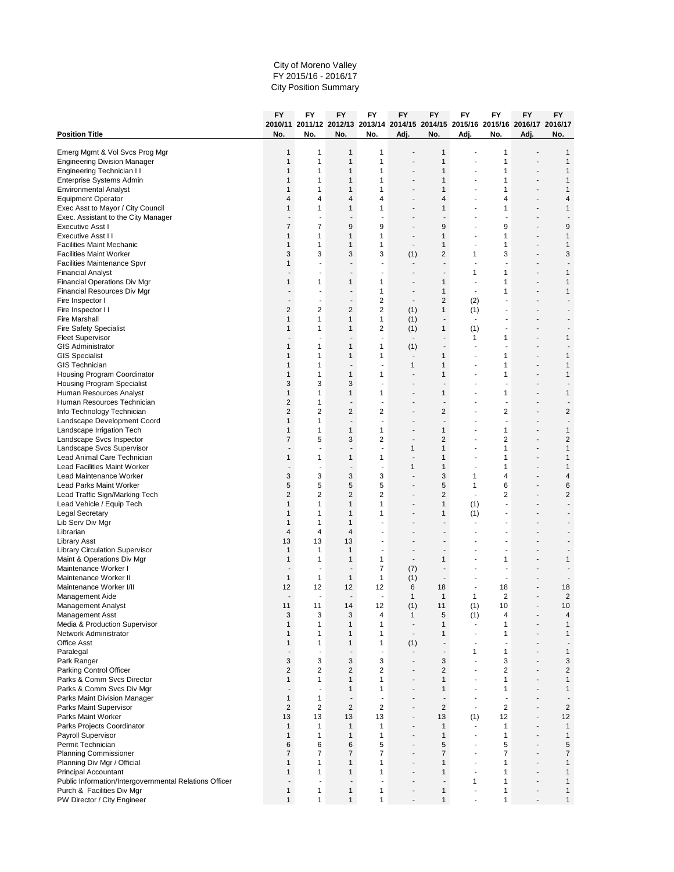#### City of Moreno Valley FY 2015/16 - 2016/17 City Position Summary

|                                                               | FY                             | <b>FY</b>                      | <b>FY</b>                                | FY                                       | FY<br>2010/11 2011/12 2012/13 2013/14 2014/15 2014/15 2015/16 2015/16 2016/17 2016/17 | FY                            | FY                               | FY                                       | <b>FY</b>                | <b>FY</b>                      |
|---------------------------------------------------------------|--------------------------------|--------------------------------|------------------------------------------|------------------------------------------|---------------------------------------------------------------------------------------|-------------------------------|----------------------------------|------------------------------------------|--------------------------|--------------------------------|
| <b>Position Title</b>                                         | No.                            | No.                            | No.                                      | No.                                      | Adj.                                                                                  | No.                           | Adj.                             | No.                                      | Adj.                     | No.                            |
| Emerg Mgmt & Vol Svcs Prog Mgr                                | $\mathbf{1}$                   | 1                              | $\mathbf{1}$                             | 1                                        |                                                                                       | 1                             |                                  | 1                                        |                          | 1                              |
| <b>Engineering Division Manager</b>                           | $\mathbf{1}$                   | 1                              | 1                                        | 1                                        |                                                                                       | 1                             |                                  | 1                                        |                          | $\mathbf{1}$                   |
| Engineering Technician II                                     | $\mathbf{1}$                   | 1                              | 1                                        | 1                                        |                                                                                       | 1                             |                                  | 1                                        |                          | $\mathbf{1}$                   |
| Enterprise Systems Admin<br><b>Environmental Analyst</b>      | $\mathbf{1}$<br>$\mathbf{1}$   | 1<br>1                         | $\mathbf{1}$<br>$\mathbf{1}$             | 1<br>1                                   |                                                                                       | 1<br>1                        | ä,                               | $\mathbf{1}$<br>1                        |                          | $\mathbf{1}$<br>$\mathbf{1}$   |
| <b>Equipment Operator</b>                                     | $\overline{4}$                 | 4                              | $\overline{4}$                           | 4                                        |                                                                                       | 4                             |                                  | 4                                        |                          | $\overline{4}$                 |
| Exec Asst to Mayor / City Council                             | $\mathbf{1}$                   | 1                              | 1                                        | 1                                        | ٠                                                                                     | 1                             |                                  | 1                                        |                          | $\mathbf{1}$                   |
| Exec. Assistant to the City Manager                           |                                | $\overline{\phantom{a}}$       | $\overline{a}$                           | $\overline{\phantom{a}}$                 | ٠                                                                                     | ٠                             |                                  | $\overline{\phantom{a}}$                 |                          | ٠                              |
| Executive Asst I                                              | $\overline{7}$                 | $\overline{7}$                 | 9                                        | 9                                        |                                                                                       | 9                             |                                  | 9                                        |                          | 9                              |
| Executive Asst II                                             | $\mathbf{1}$                   | 1                              | $\mathbf{1}$                             | 1                                        |                                                                                       | 1                             |                                  | 1                                        |                          | $\mathbf{1}$                   |
| <b>Facilities Maint Mechanic</b>                              | $\mathbf{1}$<br>3              | $\mathbf{1}$                   | $\mathbf{1}$                             | 1<br>3                                   |                                                                                       | 1                             |                                  | 1<br>3                                   |                          | $\mathbf{1}$                   |
| <b>Facilities Maint Worker</b><br>Facilities Maintenance Spvr | $\mathbf{1}$                   | 3                              | 3<br>٠                                   | ÷,                                       | (1)<br>$\overline{\phantom{a}}$                                                       | 2<br>÷                        | 1                                |                                          |                          | 3                              |
| <b>Financial Analyst</b>                                      |                                | ÷                              | $\overline{a}$                           | $\overline{a}$                           | $\overline{a}$                                                                        | ä,                            | 1                                | 1                                        |                          | 1                              |
| Financial Operations Div Mgr                                  | $\mathbf{1}$                   | 1                              | $\mathbf{1}$                             | 1                                        |                                                                                       | 1                             | ä,                               | 1                                        |                          | $\mathbf{1}$                   |
| Financial Resources Div Mgr                                   |                                |                                |                                          | 1                                        |                                                                                       | 1                             | $\overline{\phantom{a}}$         | 1                                        |                          | $\mathbf{1}$                   |
| Fire Inspector I                                              |                                | ٠                              | $\blacksquare$                           | $\overline{2}$                           | $\blacksquare$                                                                        | 2                             | (2)                              |                                          |                          |                                |
| Fire Inspector II                                             | $\overline{2}$<br>$\mathbf{1}$ | 2<br>$\mathbf{1}$              | $\overline{\mathbf{c}}$                  | $\overline{\mathbf{c}}$                  | (1)                                                                                   | 1<br>$\overline{\phantom{a}}$ | (1)<br>$\overline{a}$            |                                          |                          |                                |
| <b>Fire Marshall</b><br><b>Fire Safety Specialist</b>         | $\mathbf{1}$                   | 1                              | $\mathbf{1}$<br>1                        | $\mathbf{1}$<br>2                        | (1)<br>(1)                                                                            | 1                             | (1)                              |                                          |                          |                                |
| <b>Fleet Supervisor</b>                                       |                                |                                |                                          | Ĭ.                                       | $\overline{\phantom{a}}$                                                              |                               | 1                                | 1                                        |                          | $\mathbf{1}$                   |
| <b>GIS Administrator</b>                                      | $\mathbf{1}$                   | 1                              | $\mathbf{1}$                             | 1                                        | (1)                                                                                   | $\overline{\phantom{a}}$      |                                  |                                          |                          |                                |
| <b>GIS Specialist</b>                                         | $\mathbf{1}$                   | 1                              | $\mathbf{1}$                             | 1                                        | $\overline{\phantom{a}}$                                                              | 1                             |                                  | 1                                        |                          | $\mathbf{1}$                   |
| <b>GIS Technician</b>                                         | $\mathbf{1}$                   | 1                              | $\blacksquare$                           | $\overline{\phantom{a}}$                 | $\mathbf{1}$                                                                          | 1                             | ä,                               | $\mathbf{1}$                             |                          | $\mathbf{1}$                   |
| Housing Program Coordinator                                   | $\mathbf{1}$                   | 1<br>3                         | $\mathbf{1}$<br>3                        | 1                                        |                                                                                       | 1                             |                                  | 1                                        |                          | $\mathbf{1}$                   |
| Housing Program Specialist<br>Human Resources Analyst         | 3<br>$\mathbf{1}$              | 1                              | 1                                        | 1                                        | ٠                                                                                     | 1                             |                                  | 1                                        |                          | $\mathbf{1}$                   |
| Human Resources Technician                                    | $\overline{2}$                 | 1                              | ÷                                        | ÷,                                       | ٠                                                                                     | ÷                             |                                  |                                          |                          |                                |
| Info Technology Technician                                    | $\overline{2}$                 | 2                              | $\overline{2}$                           | 2                                        |                                                                                       | $\overline{2}$                |                                  | $\overline{2}$                           |                          | $\overline{2}$                 |
| Landscape Development Coord                                   | $\mathbf{1}$                   | $\mathbf{1}$                   | $\overline{a}$                           | $\overline{a}$                           |                                                                                       | ÷,                            |                                  | ÷,                                       |                          |                                |
| Landscape Irrigation Tech                                     | $\mathbf{1}$                   | $\mathbf{1}$                   | $\mathbf{1}$                             | 1                                        |                                                                                       | 1                             |                                  | $\mathbf{1}$                             |                          | $\mathbf{1}$                   |
| Landscape Svcs Inspector                                      | $\overline{7}$                 | 5<br>٠                         | 3<br>$\overline{\phantom{a}}$            | 2<br>ä,                                  | ٠<br>1                                                                                | $\overline{2}$<br>1           | ÷,                               | 2<br>$\mathbf{1}$                        |                          | $\overline{2}$<br>$\mathbf{1}$ |
| Landscape Svcs Supervisor<br>Lead Animal Care Technician      | $\mathbf{1}$                   | $\mathbf{1}$                   | $\mathbf{1}$                             | 1                                        | $\overline{\phantom{a}}$                                                              | 1                             | ÷                                | $\mathbf{1}$                             |                          | $\mathbf{1}$                   |
| <b>Lead Facilities Maint Worker</b>                           |                                | ÷,                             | $\overline{a}$                           | ä,                                       | 1                                                                                     | 1                             |                                  | 1                                        |                          | $\mathbf{1}$                   |
| Lead Maintenance Worker                                       | 3                              | 3                              | 3                                        | 3                                        |                                                                                       | 3                             | 1                                | 4                                        |                          | $\overline{4}$                 |
| Lead Parks Maint Worker                                       | 5                              | 5                              | 5                                        | 5                                        | $\blacksquare$                                                                        | 5                             | 1                                | 6                                        |                          | 6                              |
| Lead Traffic Sign/Marking Tech                                | $\overline{2}$                 | $\overline{2}$                 | $\overline{2}$                           | $\overline{2}$                           |                                                                                       | $\overline{2}$                | ÷                                | $\overline{2}$                           |                          | $\sqrt{2}$                     |
| Lead Vehicle / Equip Tech<br><b>Legal Secretary</b>           | $\mathbf{1}$<br>$\mathbf{1}$   | $\mathbf{1}$<br>1              | $\mathbf{1}$<br>1                        | 1<br>1                                   |                                                                                       | $\mathbf{1}$<br>1             | (1)<br>(1)                       | ÷                                        |                          | ÷,                             |
| Lib Serv Div Mgr                                              | $\mathbf{1}$                   | $\mathbf{1}$                   | 1                                        |                                          |                                                                                       |                               |                                  |                                          |                          |                                |
| Librarian                                                     | $\overline{4}$                 | 4                              | $\overline{4}$                           |                                          |                                                                                       | ٠                             |                                  |                                          |                          |                                |
| <b>Library Asst</b>                                           | 13                             | 13                             | 13                                       | ä,                                       | ٠                                                                                     | ٠                             |                                  |                                          |                          |                                |
| <b>Library Circulation Supervisor</b>                         | $\mathbf{1}$                   | $\mathbf{1}$                   | $\mathbf{1}$                             | $\blacksquare$                           | $\overline{a}$                                                                        | ÷,                            |                                  | ÷                                        |                          |                                |
| Maint & Operations Div Mgr                                    | $\mathbf{1}$                   | 1                              | 1                                        | $\mathbf{1}$                             | $\overline{\phantom{a}}$                                                              | 1                             |                                  | 1                                        |                          | $\mathbf{1}$                   |
| Maintenance Worker I<br>Maintenance Worker II                 | $\mathbf{1}$                   | $\mathbf{1}$                   | $\mathbf{1}$                             | $\overline{7}$<br>$\mathbf{1}$           | (7)<br>(1)                                                                            | $\blacksquare$                |                                  | $\blacksquare$                           |                          |                                |
| Maintenance Worker I/II                                       | 12                             | 12                             | 12                                       | 12                                       | 6                                                                                     | 18                            |                                  | 18                                       |                          | 18                             |
| Management Aide                                               | $\blacksquare$                 | ÷,                             | $\overline{\phantom{a}}$                 | $\overline{a}$                           | $\mathbf{1}$                                                                          | 1                             | 1                                | $\overline{2}$                           |                          | $\overline{2}$                 |
| <b>Management Analyst</b>                                     | 11                             | 11                             | 14                                       | 12                                       | (1)                                                                                   | 11                            | (1)                              | 10                                       |                          | 10                             |
| <b>Management Asst</b>                                        | $\sqrt{3}$                     | 3                              | 3                                        | 4                                        | $\mathbf{1}$                                                                          | 5                             | (1)                              | 4                                        |                          | $\overline{\mathbf{4}}$        |
| Media & Production Supervisor<br>Network Administrator        | $\mathbf{1}$<br>$\mathbf{1}$   | 1<br>1                         | $\mathbf{1}$<br>1                        | 1<br>1                                   | $\overline{\phantom{a}}$<br>$\overline{\phantom{a}}$                                  | 1<br>1                        | $\overline{a}$<br>ä,             | $\mathbf{1}$<br>$\mathbf{1}$             | $\blacksquare$           | $\mathbf{1}$<br>$\mathbf{1}$   |
| <b>Office Asst</b>                                            | $\mathbf{1}$                   | $\mathbf{1}$                   | $\mathbf{1}$                             | $\mathbf{1}$                             | (1)                                                                                   | $\overline{\phantom{a}}$      | $\overline{a}$                   | ÷,                                       |                          | $\overline{a}$                 |
| Paralegal                                                     |                                | ÷,                             | ÷,                                       | ÷,                                       | $\overline{a}$                                                                        | $\blacksquare$                | 1                                | $\mathbf{1}$                             |                          | $\mathbf{1}$                   |
| Park Ranger                                                   | 3                              | 3                              | 3                                        | 3                                        | ÷                                                                                     | 3                             | ä,                               | 3                                        |                          | 3                              |
| Parking Control Officer                                       | $\overline{c}$                 | 2                              | 2                                        | $\overline{2}$                           | $\blacksquare$                                                                        | 2                             | ٠                                | $\overline{2}$                           | $\blacksquare$           | $\sqrt{2}$                     |
| Parks & Comm Svcs Director                                    | $\mathbf{1}$                   | $\mathbf{1}$                   | $\mathbf{1}$                             | $\mathbf{1}$                             | ÷,                                                                                    | $\mathbf{1}$                  |                                  | $\mathbf{1}$                             |                          | $\mathbf{1}$                   |
| Parks & Comm Svcs Div Mgr<br>Parks Maint Division Manager     | $\blacksquare$<br>$\mathbf{1}$ | ÷,<br>$\mathbf{1}$             | $\mathbf{1}$<br>$\overline{\phantom{a}}$ | $\mathbf{1}$<br>$\overline{\phantom{a}}$ | $\overline{a}$                                                                        | 1<br>$\overline{\phantom{a}}$ | $\overline{a}$<br>$\overline{a}$ | $\mathbf{1}$<br>$\overline{\phantom{a}}$ |                          | $\mathbf{1}$<br>٠              |
| Parks Maint Supervisor                                        | $\overline{2}$                 | $\overline{2}$                 | $\overline{2}$                           | $\overline{2}$                           |                                                                                       | $\overline{2}$                | $\overline{\phantom{a}}$         | $\overline{2}$                           |                          | $\overline{2}$                 |
| Parks Maint Worker                                            | 13                             | 13                             | 13                                       | 13                                       | $\blacksquare$                                                                        | 13                            | (1)                              | 12                                       | $\blacksquare$           | 12                             |
| Parks Projects Coordinator                                    | $\mathbf{1}$                   | $\mathbf{1}$                   | $\mathbf{1}$                             | $\mathbf{1}$                             | $\overline{\phantom{a}}$                                                              | 1                             | $\overline{\phantom{a}}$         | $\mathbf{1}$                             | $\overline{\phantom{a}}$ | $\mathbf{1}$                   |
| Payroll Supervisor                                            | $\mathbf{1}$                   | $\mathbf{1}$                   | $\mathbf{1}$                             | $\mathbf{1}$                             | $\overline{a}$                                                                        | 1                             | ÷                                | $\mathbf{1}$                             | $\overline{a}$           | $\mathbf{1}$                   |
| Permit Technician                                             | 6                              | 6                              | 6                                        | 5                                        | ä,                                                                                    | 5                             |                                  | 5                                        |                          | 5                              |
| <b>Planning Commissioner</b>                                  | $\overline{7}$<br>$\mathbf{1}$ | $\overline{7}$<br>$\mathbf{1}$ | $\overline{7}$                           | $\overline{7}$<br>$\mathbf{1}$           | $\blacksquare$                                                                        | 7                             | ÷,<br>٠                          | $\overline{7}$                           | $\blacksquare$           | $\overline{7}$                 |
| Planning Div Mgr / Official<br><b>Principal Accountant</b>    | $\mathbf{1}$                   | $\mathbf{1}$                   | 1<br>$\mathbf{1}$                        | $\mathbf{1}$                             | ÷,                                                                                    | 1<br>$\mathbf{1}$             |                                  | 1<br>$\mathbf{1}$                        |                          | $\mathbf{1}$<br>$\mathbf{1}$   |
| Public Information/Intergovernmental Relations Officer        |                                | ÷,                             | $\centerdot$                             | ÷,                                       |                                                                                       | $\overline{\phantom{a}}$      | $\mathbf{1}$                     | $\mathbf{1}$                             |                          | $\mathbf{1}$                   |
| Purch & Facilities Div Mgr                                    | $\mathbf{1}$                   | $\mathbf{1}$                   | $\mathbf{1}$                             | $\mathbf{1}$                             |                                                                                       | $\mathbf{1}$                  | ä,                               | 1                                        |                          | $\mathbf{1}$                   |
| PW Director / City Engineer                                   | $\mathbf{1}$                   | $\mathbf{1}$                   | $\mathbf{1}$                             | 1                                        |                                                                                       | $\mathbf{1}$                  |                                  | $\mathbf{1}$                             |                          | $\mathbf{1}$                   |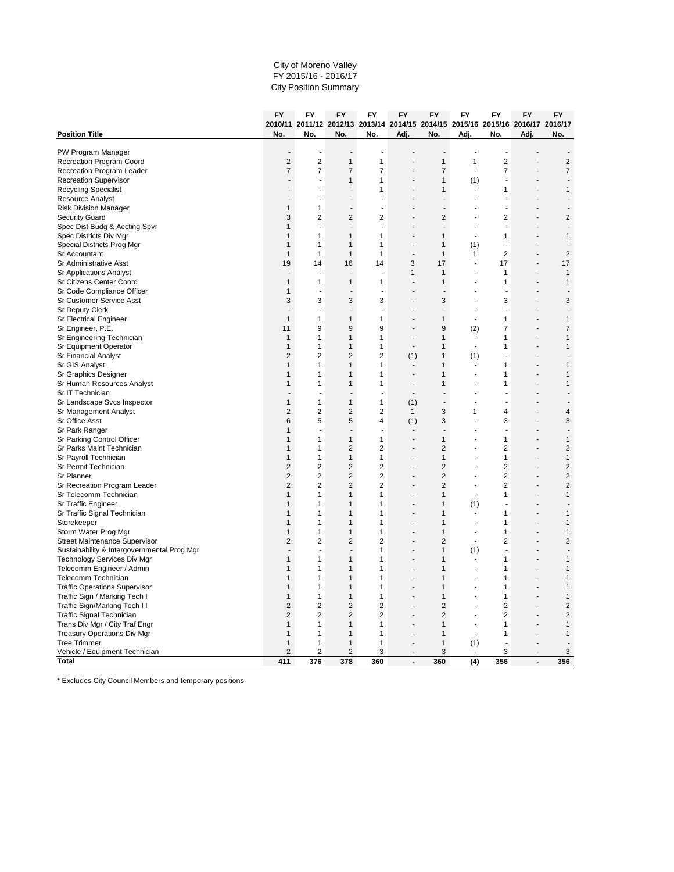#### City of Moreno Valley FY 2015/16 - 2016/17 City Position Summary

**FY**

| 2010/11 2011/12 2012/13 2013/14 2014/15 2014/15 2015/16 2015/16 2016/17 2016/17<br><b>Position Title</b><br>No.<br>No.<br>No.<br>No.<br>Adj.<br>No.<br>Adj.<br>No.<br>Adj.<br>No.<br>PW Program Manager<br>$\overline{2}$<br>$\overline{2}$<br>$\overline{2}$<br>$\mathbf{1}$<br>$\mathbf{1}$<br>$\overline{2}$<br>Recreation Program Coord<br>$\mathbf{1}$<br>1<br>$\overline{7}$<br>$\overline{7}$<br>$\overline{7}$<br>$\overline{7}$<br>$\overline{7}$<br>$\overline{7}$<br>$\overline{7}$<br>Recreation Program Leader<br>J.<br>$\mathbf{1}$<br><b>Recreation Supervisor</b><br>1<br>$\mathbf{1}$<br>(1)<br>J.<br>$\mathbf{1}$<br><b>Recycling Specialist</b><br>1<br>1<br>1<br>$\overline{a}$<br><b>Resource Analyst</b><br>$\overline{a}$<br><b>Risk Division Manager</b><br>$\mathbf{1}$<br>$\mathbf{1}$<br>$\overline{a}$<br>÷.<br>÷.<br>÷.<br>$\overline{2}$<br>$\overline{c}$<br>$\overline{2}$<br>$\overline{2}$<br>$\overline{2}$<br>$\overline{2}$<br><b>Security Guard</b><br>3<br>Spec Dist Budg & Accting Spvr<br>$\mathbf{1}$<br>÷,<br>$\overline{\phantom{a}}$<br>$\blacksquare$<br>$\overline{\phantom{a}}$<br>$\overline{\phantom{a}}$<br>$\overline{\phantom{a}}$<br>Spec Districts Div Mgr<br>1<br>1<br>1<br>$\mathbf{1}$<br>1<br>1<br>1<br>J.<br>Special Districts Prog Mgr<br>$\mathbf{1}$<br>$\mathbf{1}$<br>$\mathbf{1}$<br>1<br>1<br>(1)<br>$\overline{\phantom{a}}$<br>$\overline{2}$<br>$\overline{2}$<br>Sr Accountant<br>$\mathbf{1}$<br>$\mathbf{1}$<br>$\mathbf{1}$<br>$\mathbf{1}$<br>$\mathbf{1}$<br>1<br>$\overline{\phantom{a}}$<br>3<br>17<br>17<br>Sr Administrative Asst<br>19<br>14<br>16<br>14<br>17<br><b>Sr Applications Analyst</b><br>$\mathbf{1}$<br>$\mathbf{1}$<br>$\mathbf{1}$<br>$\mathbf{1}$<br>L.<br>J.<br>÷.<br>ä,<br>×.<br>Sr Citizens Center Coord<br>$\mathbf{1}$<br>1<br>$\mathbf{1}$<br>$\mathbf{1}$<br>$\mathbf{1}$<br>$\mathbf{1}$<br>$\mathbf{1}$<br>Sr Code Compliance Officer<br>$\mathbf{1}$<br>Ĭ.<br>÷,<br>$\overline{\phantom{a}}$<br>÷,<br>÷,<br>Sr Customer Service Asst<br>3<br>3<br>3<br>3<br>3<br>3<br>3<br><b>Sr Deputy Clerk</b><br>Ĭ.<br>÷,<br>÷,<br>ä,<br>÷,<br>Sr Electrical Engineer<br>$\mathbf{1}$<br>$\mathbf{1}$<br>$\mathbf{1}$<br>$\mathbf{1}$<br>$\mathbf{1}$<br>$\mathbf{1}$<br>$\mathbf{1}$<br>9<br>9<br>$\overline{7}$<br>$\overline{7}$<br>Sr Engineer, P.E.<br>11<br>9<br>9<br>(2)<br>Sr Engineering Technician<br>$\mathbf{1}$<br>$\mathbf{1}$<br>$\mathbf{1}$<br>1<br>$\mathbf{1}$<br>1<br>$\mathbf{1}$<br>Sr Equipment Operator<br>$\mathbf{1}$<br>1<br>$\mathbf{1}$<br>1<br>$\mathbf{1}$<br>1<br>1<br>$\overline{2}$<br>$\overline{2}$<br>$\overline{2}$<br><b>Sr Financial Analyst</b><br>$\overline{2}$<br>(1)<br>1<br>(1)<br>÷.<br>Sr GIS Analyst<br>$\mathbf{1}$<br>1<br>$\mathbf{1}$<br>1<br>1<br>1<br>1<br>Sr Graphics Designer<br>$\mathbf{1}$<br>$\mathbf{1}$<br>1<br>$\mathbf{1}$<br>1<br>1<br>1<br>J.<br>J.<br>Sr Human Resources Analyst<br>1<br>1<br>1<br>1<br>1<br>1<br>1<br>Sr IT Technician<br>J.<br>÷.<br>ä,<br>r.<br>ä,<br>$\mathbf{1}$<br>$\mathbf{1}$<br>$\mathbf{1}$<br>Sr Landscape Svcs Inspector<br>$\mathbf{1}$<br>(1)<br>Ĭ.<br>J.<br>$\overline{2}$<br>$\overline{2}$<br>$\overline{2}$<br>$\overline{2}$<br>3<br>4<br>$\overline{4}$<br>Sr Management Analyst<br>1<br>1<br>5<br>3<br>3<br>Sr Office Asst<br>6<br>5<br>4<br>3<br>(1)<br>Sr Park Ranger<br>$\mathbf{1}$<br>J.<br>J.<br>÷.<br>ä,<br>ä,<br>$\mathbf{1}$<br>$\mathbf{1}$<br>$\mathbf{1}$<br>$\mathbf{1}$<br>1<br>$\mathbf{1}$<br>Sr Parking Control Officer<br>$\mathbf{1}$<br>$\overline{c}$<br>$\overline{2}$<br>$\overline{2}$<br>$\overline{2}$<br>$\overline{2}$<br>Sr Parks Maint Technician<br>1<br>$\mathbf{1}$<br>Sr Payroll Technician<br>$\mathbf{1}$<br>$\mathbf{1}$<br>1<br>$\mathbf{1}$<br>$\mathbf{1}$<br>1<br>1<br>$\overline{2}$<br>Sr Permit Technician<br>$\overline{2}$<br>2<br>$\overline{2}$<br>$\overline{c}$<br>$\overline{2}$<br>$\overline{2}$<br>$\overline{2}$<br>$\overline{2}$<br>$\overline{2}$<br>2<br>$\overline{c}$<br>$\overline{2}$<br>$\overline{2}$<br>Sr Planner<br>$\overline{2}$<br>$\overline{2}$<br>$\overline{2}$<br>$\overline{2}$<br>$\overline{2}$<br>$\overline{2}$<br>$\overline{2}$<br>Sr Recreation Program Leader<br>Sr Telecomm Technician<br>$\mathbf{1}$<br>$\mathbf{1}$<br>$\mathbf{1}$<br>$\mathbf{1}$<br>1<br>$\mathbf{1}$<br>1<br>Sr Traffic Engineer<br>$\mathbf{1}$<br>$\mathbf{1}$<br>1<br>1<br>1<br>(1)<br>Ĭ.<br>Sr Traffic Signal Technician<br>1<br>$\mathbf{1}$<br>$\mathbf{1}$<br>1<br>$\mathbf{1}$<br>1<br>$\mathbf{1}$<br>Storekeeper<br>$\mathbf{1}$<br>1<br>$\mathbf{1}$<br>1<br>$\mathbf{1}$<br>1<br>$\mathbf{1}$<br>Storm Water Prog Mgr<br>$\mathbf{1}$<br>$\mathbf{1}$<br>1<br>1<br>$\mathbf{1}$<br>1<br>1<br><b>Street Maintenance Supervisor</b><br>$\overline{2}$<br>$\overline{2}$<br>$\overline{2}$<br>$\overline{2}$<br>2<br>$\overline{2}$<br>$\overline{2}$<br>÷,<br>Sustainability & Intergovernmental Prog Mgr<br>1<br>(1)<br>$\mathbf{1}$<br>Ĭ.<br>$\mathbf{1}$<br>$\mathbf{1}$<br>$\mathbf{1}$<br>Technology Services Div Mgr<br>1<br>1<br>$\mathbf{1}$<br>1<br>Telecomm Engineer / Admin<br>$\mathbf{1}$<br>$\mathbf{1}$<br>$\mathbf{1}$<br>1<br>1<br>$\mathbf{1}$<br>$\mathbf{1}$<br>Telecomm Technician<br>$\mathbf{1}$<br>1<br>$\mathbf{1}$<br>1<br>$\mathbf{1}$<br>1<br>1<br><b>Traffic Operations Supervisor</b><br>1<br>1<br>$\mathbf{1}$<br>1<br>1<br>1<br>1<br>J.<br>Traffic Sign / Marking Tech I<br>$\mathbf{1}$<br>$\mathbf{1}$<br>$\mathbf{1}$<br>1<br>1<br>1<br>1<br>Traffic Sign/Marking Tech II<br>$\overline{2}$<br>$\overline{2}$<br>$\overline{2}$<br>$\overline{2}$<br>$\overline{2}$<br>$\overline{2}$<br>$\overline{2}$<br>$\overline{2}$<br>$\overline{2}$<br>$\overline{2}$<br>$\overline{2}$<br>$\overline{2}$<br>2<br>$\overline{2}$<br><b>Traffic Signal Technician</b><br>Ĩ.<br>Trans Div Mgr / City Traf Engr<br>$\mathbf{1}$<br>1<br>$\mathbf{1}$<br>1<br>1<br>1<br>1<br>J.<br><b>Treasury Operations Div Mgr</b><br>$\mathbf{1}$<br>$\mathbf{1}$<br>1<br>1<br>1<br>$\mathbf{1}$<br>1<br>J.<br><b>Tree Trimmer</b><br>$\mathbf{1}$<br>$\mathbf{1}$<br>$\mathbf{1}$<br>$\mathbf{1}$<br>$\mathbf{1}$<br>(1)<br>ä,<br>$\overline{2}$<br>$\overline{2}$<br>Vehicle / Equipment Technician<br>$\overline{2}$<br>3<br>3<br>3<br>3<br><b>Total</b><br>411<br>(4)<br>356<br>376<br>378<br>360<br>360<br>356<br>$\overline{a}$<br>$\overline{a}$ | FY | FY | FY | FY | FY | FY | FY | FY | FY | FY |
|--------------------------------------------------------------------------------------------------------------------------------------------------------------------------------------------------------------------------------------------------------------------------------------------------------------------------------------------------------------------------------------------------------------------------------------------------------------------------------------------------------------------------------------------------------------------------------------------------------------------------------------------------------------------------------------------------------------------------------------------------------------------------------------------------------------------------------------------------------------------------------------------------------------------------------------------------------------------------------------------------------------------------------------------------------------------------------------------------------------------------------------------------------------------------------------------------------------------------------------------------------------------------------------------------------------------------------------------------------------------------------------------------------------------------------------------------------------------------------------------------------------------------------------------------------------------------------------------------------------------------------------------------------------------------------------------------------------------------------------------------------------------------------------------------------------------------------------------------------------------------------------------------------------------------------------------------------------------------------------------------------------------------------------------------------------------------------------------------------------------------------------------------------------------------------------------------------------------------------------------------------------------------------------------------------------------------------------------------------------------------------------------------------------------------------------------------------------------------------------------------------------------------------------------------------------------------------------------------------------------------------------------------------------------------------------------------------------------------------------------------------------------------------------------------------------------------------------------------------------------------------------------------------------------------------------------------------------------------------------------------------------------------------------------------------------------------------------------------------------------------------------------------------------------------------------------------------------------------------------------------------------------------------------------------------------------------------------------------------------------------------------------------------------------------------------------------------------------------------------------------------------------------------------------------------------------------------------------------------------------------------------------------------------------------------------------------------------------------------------------------------------------------------------------------------------------------------------------------------------------------------------------------------------------------------------------------------------------------------------------------------------------------------------------------------------------------------------------------------------------------------------------------------------------------------------------------------------------------------------------------------------------------------------------------------------------------------------------------------------------------------------------------------------------------------------------------------------------------------------------------------------------------------------------------------------------------------------------------------------------------------------------------------------------------------------------------------------------------------------------------------------------------------------------------------------------------------------------------------------------------------------------------------------------------------------------------------------------------------------------------------------------------------------------------------------------------------------------------------------------------------------------------------------------------------------------------------------------------------------------------------------------------------------------------------------------------------------------------------------------------------------------------------------------------------------------------------------------------------------------------------------------------------------------------------------------------------------------------------------------------------------------------------------------------------------------------------------------------------------------------------------------------------------------------------------------------------------------------------------------------------------------------------------------------------------------------------------------------------------------------------------------------------------------------------------------------------------------------------------------------------------------------------------------------------------------------------------------------------------------------------------------------------------------------------------------------------------------------------------------------------------------------------------------------------------------------|----|----|----|----|----|----|----|----|----|----|
|                                                                                                                                                                                                                                                                                                                                                                                                                                                                                                                                                                                                                                                                                                                                                                                                                                                                                                                                                                                                                                                                                                                                                                                                                                                                                                                                                                                                                                                                                                                                                                                                                                                                                                                                                                                                                                                                                                                                                                                                                                                                                                                                                                                                                                                                                                                                                                                                                                                                                                                                                                                                                                                                                                                                                                                                                                                                                                                                                                                                                                                                                                                                                                                                                                                                                                                                                                                                                                                                                                                                                                                                                                                                                                                                                                                                                                                                                                                                                                                                                                                                                                                                                                                                                                                                                                                                                                                                                                                                                                                                                                                                                                                                                                                                                                                                                                                                                                                                                                                                                                                                                                                                                                                                                                                                                                                                                                                                                                                                                                                                                                                                                                                                                                                                                                                                                                                                                                                                                                                                                                                                                                                                                                                                                                                                                                                                                                                                                                                  |    |    |    |    |    |    |    |    |    |    |
|                                                                                                                                                                                                                                                                                                                                                                                                                                                                                                                                                                                                                                                                                                                                                                                                                                                                                                                                                                                                                                                                                                                                                                                                                                                                                                                                                                                                                                                                                                                                                                                                                                                                                                                                                                                                                                                                                                                                                                                                                                                                                                                                                                                                                                                                                                                                                                                                                                                                                                                                                                                                                                                                                                                                                                                                                                                                                                                                                                                                                                                                                                                                                                                                                                                                                                                                                                                                                                                                                                                                                                                                                                                                                                                                                                                                                                                                                                                                                                                                                                                                                                                                                                                                                                                                                                                                                                                                                                                                                                                                                                                                                                                                                                                                                                                                                                                                                                                                                                                                                                                                                                                                                                                                                                                                                                                                                                                                                                                                                                                                                                                                                                                                                                                                                                                                                                                                                                                                                                                                                                                                                                                                                                                                                                                                                                                                                                                                                                                  |    |    |    |    |    |    |    |    |    |    |
|                                                                                                                                                                                                                                                                                                                                                                                                                                                                                                                                                                                                                                                                                                                                                                                                                                                                                                                                                                                                                                                                                                                                                                                                                                                                                                                                                                                                                                                                                                                                                                                                                                                                                                                                                                                                                                                                                                                                                                                                                                                                                                                                                                                                                                                                                                                                                                                                                                                                                                                                                                                                                                                                                                                                                                                                                                                                                                                                                                                                                                                                                                                                                                                                                                                                                                                                                                                                                                                                                                                                                                                                                                                                                                                                                                                                                                                                                                                                                                                                                                                                                                                                                                                                                                                                                                                                                                                                                                                                                                                                                                                                                                                                                                                                                                                                                                                                                                                                                                                                                                                                                                                                                                                                                                                                                                                                                                                                                                                                                                                                                                                                                                                                                                                                                                                                                                                                                                                                                                                                                                                                                                                                                                                                                                                                                                                                                                                                                                                  |    |    |    |    |    |    |    |    |    |    |
|                                                                                                                                                                                                                                                                                                                                                                                                                                                                                                                                                                                                                                                                                                                                                                                                                                                                                                                                                                                                                                                                                                                                                                                                                                                                                                                                                                                                                                                                                                                                                                                                                                                                                                                                                                                                                                                                                                                                                                                                                                                                                                                                                                                                                                                                                                                                                                                                                                                                                                                                                                                                                                                                                                                                                                                                                                                                                                                                                                                                                                                                                                                                                                                                                                                                                                                                                                                                                                                                                                                                                                                                                                                                                                                                                                                                                                                                                                                                                                                                                                                                                                                                                                                                                                                                                                                                                                                                                                                                                                                                                                                                                                                                                                                                                                                                                                                                                                                                                                                                                                                                                                                                                                                                                                                                                                                                                                                                                                                                                                                                                                                                                                                                                                                                                                                                                                                                                                                                                                                                                                                                                                                                                                                                                                                                                                                                                                                                                                                  |    |    |    |    |    |    |    |    |    |    |
|                                                                                                                                                                                                                                                                                                                                                                                                                                                                                                                                                                                                                                                                                                                                                                                                                                                                                                                                                                                                                                                                                                                                                                                                                                                                                                                                                                                                                                                                                                                                                                                                                                                                                                                                                                                                                                                                                                                                                                                                                                                                                                                                                                                                                                                                                                                                                                                                                                                                                                                                                                                                                                                                                                                                                                                                                                                                                                                                                                                                                                                                                                                                                                                                                                                                                                                                                                                                                                                                                                                                                                                                                                                                                                                                                                                                                                                                                                                                                                                                                                                                                                                                                                                                                                                                                                                                                                                                                                                                                                                                                                                                                                                                                                                                                                                                                                                                                                                                                                                                                                                                                                                                                                                                                                                                                                                                                                                                                                                                                                                                                                                                                                                                                                                                                                                                                                                                                                                                                                                                                                                                                                                                                                                                                                                                                                                                                                                                                                                  |    |    |    |    |    |    |    |    |    |    |
|                                                                                                                                                                                                                                                                                                                                                                                                                                                                                                                                                                                                                                                                                                                                                                                                                                                                                                                                                                                                                                                                                                                                                                                                                                                                                                                                                                                                                                                                                                                                                                                                                                                                                                                                                                                                                                                                                                                                                                                                                                                                                                                                                                                                                                                                                                                                                                                                                                                                                                                                                                                                                                                                                                                                                                                                                                                                                                                                                                                                                                                                                                                                                                                                                                                                                                                                                                                                                                                                                                                                                                                                                                                                                                                                                                                                                                                                                                                                                                                                                                                                                                                                                                                                                                                                                                                                                                                                                                                                                                                                                                                                                                                                                                                                                                                                                                                                                                                                                                                                                                                                                                                                                                                                                                                                                                                                                                                                                                                                                                                                                                                                                                                                                                                                                                                                                                                                                                                                                                                                                                                                                                                                                                                                                                                                                                                                                                                                                                                  |    |    |    |    |    |    |    |    |    |    |
|                                                                                                                                                                                                                                                                                                                                                                                                                                                                                                                                                                                                                                                                                                                                                                                                                                                                                                                                                                                                                                                                                                                                                                                                                                                                                                                                                                                                                                                                                                                                                                                                                                                                                                                                                                                                                                                                                                                                                                                                                                                                                                                                                                                                                                                                                                                                                                                                                                                                                                                                                                                                                                                                                                                                                                                                                                                                                                                                                                                                                                                                                                                                                                                                                                                                                                                                                                                                                                                                                                                                                                                                                                                                                                                                                                                                                                                                                                                                                                                                                                                                                                                                                                                                                                                                                                                                                                                                                                                                                                                                                                                                                                                                                                                                                                                                                                                                                                                                                                                                                                                                                                                                                                                                                                                                                                                                                                                                                                                                                                                                                                                                                                                                                                                                                                                                                                                                                                                                                                                                                                                                                                                                                                                                                                                                                                                                                                                                                                                  |    |    |    |    |    |    |    |    |    |    |
|                                                                                                                                                                                                                                                                                                                                                                                                                                                                                                                                                                                                                                                                                                                                                                                                                                                                                                                                                                                                                                                                                                                                                                                                                                                                                                                                                                                                                                                                                                                                                                                                                                                                                                                                                                                                                                                                                                                                                                                                                                                                                                                                                                                                                                                                                                                                                                                                                                                                                                                                                                                                                                                                                                                                                                                                                                                                                                                                                                                                                                                                                                                                                                                                                                                                                                                                                                                                                                                                                                                                                                                                                                                                                                                                                                                                                                                                                                                                                                                                                                                                                                                                                                                                                                                                                                                                                                                                                                                                                                                                                                                                                                                                                                                                                                                                                                                                                                                                                                                                                                                                                                                                                                                                                                                                                                                                                                                                                                                                                                                                                                                                                                                                                                                                                                                                                                                                                                                                                                                                                                                                                                                                                                                                                                                                                                                                                                                                                                                  |    |    |    |    |    |    |    |    |    |    |
|                                                                                                                                                                                                                                                                                                                                                                                                                                                                                                                                                                                                                                                                                                                                                                                                                                                                                                                                                                                                                                                                                                                                                                                                                                                                                                                                                                                                                                                                                                                                                                                                                                                                                                                                                                                                                                                                                                                                                                                                                                                                                                                                                                                                                                                                                                                                                                                                                                                                                                                                                                                                                                                                                                                                                                                                                                                                                                                                                                                                                                                                                                                                                                                                                                                                                                                                                                                                                                                                                                                                                                                                                                                                                                                                                                                                                                                                                                                                                                                                                                                                                                                                                                                                                                                                                                                                                                                                                                                                                                                                                                                                                                                                                                                                                                                                                                                                                                                                                                                                                                                                                                                                                                                                                                                                                                                                                                                                                                                                                                                                                                                                                                                                                                                                                                                                                                                                                                                                                                                                                                                                                                                                                                                                                                                                                                                                                                                                                                                  |    |    |    |    |    |    |    |    |    |    |
|                                                                                                                                                                                                                                                                                                                                                                                                                                                                                                                                                                                                                                                                                                                                                                                                                                                                                                                                                                                                                                                                                                                                                                                                                                                                                                                                                                                                                                                                                                                                                                                                                                                                                                                                                                                                                                                                                                                                                                                                                                                                                                                                                                                                                                                                                                                                                                                                                                                                                                                                                                                                                                                                                                                                                                                                                                                                                                                                                                                                                                                                                                                                                                                                                                                                                                                                                                                                                                                                                                                                                                                                                                                                                                                                                                                                                                                                                                                                                                                                                                                                                                                                                                                                                                                                                                                                                                                                                                                                                                                                                                                                                                                                                                                                                                                                                                                                                                                                                                                                                                                                                                                                                                                                                                                                                                                                                                                                                                                                                                                                                                                                                                                                                                                                                                                                                                                                                                                                                                                                                                                                                                                                                                                                                                                                                                                                                                                                                                                  |    |    |    |    |    |    |    |    |    |    |
|                                                                                                                                                                                                                                                                                                                                                                                                                                                                                                                                                                                                                                                                                                                                                                                                                                                                                                                                                                                                                                                                                                                                                                                                                                                                                                                                                                                                                                                                                                                                                                                                                                                                                                                                                                                                                                                                                                                                                                                                                                                                                                                                                                                                                                                                                                                                                                                                                                                                                                                                                                                                                                                                                                                                                                                                                                                                                                                                                                                                                                                                                                                                                                                                                                                                                                                                                                                                                                                                                                                                                                                                                                                                                                                                                                                                                                                                                                                                                                                                                                                                                                                                                                                                                                                                                                                                                                                                                                                                                                                                                                                                                                                                                                                                                                                                                                                                                                                                                                                                                                                                                                                                                                                                                                                                                                                                                                                                                                                                                                                                                                                                                                                                                                                                                                                                                                                                                                                                                                                                                                                                                                                                                                                                                                                                                                                                                                                                                                                  |    |    |    |    |    |    |    |    |    |    |
|                                                                                                                                                                                                                                                                                                                                                                                                                                                                                                                                                                                                                                                                                                                                                                                                                                                                                                                                                                                                                                                                                                                                                                                                                                                                                                                                                                                                                                                                                                                                                                                                                                                                                                                                                                                                                                                                                                                                                                                                                                                                                                                                                                                                                                                                                                                                                                                                                                                                                                                                                                                                                                                                                                                                                                                                                                                                                                                                                                                                                                                                                                                                                                                                                                                                                                                                                                                                                                                                                                                                                                                                                                                                                                                                                                                                                                                                                                                                                                                                                                                                                                                                                                                                                                                                                                                                                                                                                                                                                                                                                                                                                                                                                                                                                                                                                                                                                                                                                                                                                                                                                                                                                                                                                                                                                                                                                                                                                                                                                                                                                                                                                                                                                                                                                                                                                                                                                                                                                                                                                                                                                                                                                                                                                                                                                                                                                                                                                                                  |    |    |    |    |    |    |    |    |    |    |
|                                                                                                                                                                                                                                                                                                                                                                                                                                                                                                                                                                                                                                                                                                                                                                                                                                                                                                                                                                                                                                                                                                                                                                                                                                                                                                                                                                                                                                                                                                                                                                                                                                                                                                                                                                                                                                                                                                                                                                                                                                                                                                                                                                                                                                                                                                                                                                                                                                                                                                                                                                                                                                                                                                                                                                                                                                                                                                                                                                                                                                                                                                                                                                                                                                                                                                                                                                                                                                                                                                                                                                                                                                                                                                                                                                                                                                                                                                                                                                                                                                                                                                                                                                                                                                                                                                                                                                                                                                                                                                                                                                                                                                                                                                                                                                                                                                                                                                                                                                                                                                                                                                                                                                                                                                                                                                                                                                                                                                                                                                                                                                                                                                                                                                                                                                                                                                                                                                                                                                                                                                                                                                                                                                                                                                                                                                                                                                                                                                                  |    |    |    |    |    |    |    |    |    |    |
|                                                                                                                                                                                                                                                                                                                                                                                                                                                                                                                                                                                                                                                                                                                                                                                                                                                                                                                                                                                                                                                                                                                                                                                                                                                                                                                                                                                                                                                                                                                                                                                                                                                                                                                                                                                                                                                                                                                                                                                                                                                                                                                                                                                                                                                                                                                                                                                                                                                                                                                                                                                                                                                                                                                                                                                                                                                                                                                                                                                                                                                                                                                                                                                                                                                                                                                                                                                                                                                                                                                                                                                                                                                                                                                                                                                                                                                                                                                                                                                                                                                                                                                                                                                                                                                                                                                                                                                                                                                                                                                                                                                                                                                                                                                                                                                                                                                                                                                                                                                                                                                                                                                                                                                                                                                                                                                                                                                                                                                                                                                                                                                                                                                                                                                                                                                                                                                                                                                                                                                                                                                                                                                                                                                                                                                                                                                                                                                                                                                  |    |    |    |    |    |    |    |    |    |    |
|                                                                                                                                                                                                                                                                                                                                                                                                                                                                                                                                                                                                                                                                                                                                                                                                                                                                                                                                                                                                                                                                                                                                                                                                                                                                                                                                                                                                                                                                                                                                                                                                                                                                                                                                                                                                                                                                                                                                                                                                                                                                                                                                                                                                                                                                                                                                                                                                                                                                                                                                                                                                                                                                                                                                                                                                                                                                                                                                                                                                                                                                                                                                                                                                                                                                                                                                                                                                                                                                                                                                                                                                                                                                                                                                                                                                                                                                                                                                                                                                                                                                                                                                                                                                                                                                                                                                                                                                                                                                                                                                                                                                                                                                                                                                                                                                                                                                                                                                                                                                                                                                                                                                                                                                                                                                                                                                                                                                                                                                                                                                                                                                                                                                                                                                                                                                                                                                                                                                                                                                                                                                                                                                                                                                                                                                                                                                                                                                                                                  |    |    |    |    |    |    |    |    |    |    |
|                                                                                                                                                                                                                                                                                                                                                                                                                                                                                                                                                                                                                                                                                                                                                                                                                                                                                                                                                                                                                                                                                                                                                                                                                                                                                                                                                                                                                                                                                                                                                                                                                                                                                                                                                                                                                                                                                                                                                                                                                                                                                                                                                                                                                                                                                                                                                                                                                                                                                                                                                                                                                                                                                                                                                                                                                                                                                                                                                                                                                                                                                                                                                                                                                                                                                                                                                                                                                                                                                                                                                                                                                                                                                                                                                                                                                                                                                                                                                                                                                                                                                                                                                                                                                                                                                                                                                                                                                                                                                                                                                                                                                                                                                                                                                                                                                                                                                                                                                                                                                                                                                                                                                                                                                                                                                                                                                                                                                                                                                                                                                                                                                                                                                                                                                                                                                                                                                                                                                                                                                                                                                                                                                                                                                                                                                                                                                                                                                                                  |    |    |    |    |    |    |    |    |    |    |
|                                                                                                                                                                                                                                                                                                                                                                                                                                                                                                                                                                                                                                                                                                                                                                                                                                                                                                                                                                                                                                                                                                                                                                                                                                                                                                                                                                                                                                                                                                                                                                                                                                                                                                                                                                                                                                                                                                                                                                                                                                                                                                                                                                                                                                                                                                                                                                                                                                                                                                                                                                                                                                                                                                                                                                                                                                                                                                                                                                                                                                                                                                                                                                                                                                                                                                                                                                                                                                                                                                                                                                                                                                                                                                                                                                                                                                                                                                                                                                                                                                                                                                                                                                                                                                                                                                                                                                                                                                                                                                                                                                                                                                                                                                                                                                                                                                                                                                                                                                                                                                                                                                                                                                                                                                                                                                                                                                                                                                                                                                                                                                                                                                                                                                                                                                                                                                                                                                                                                                                                                                                                                                                                                                                                                                                                                                                                                                                                                                                  |    |    |    |    |    |    |    |    |    |    |
|                                                                                                                                                                                                                                                                                                                                                                                                                                                                                                                                                                                                                                                                                                                                                                                                                                                                                                                                                                                                                                                                                                                                                                                                                                                                                                                                                                                                                                                                                                                                                                                                                                                                                                                                                                                                                                                                                                                                                                                                                                                                                                                                                                                                                                                                                                                                                                                                                                                                                                                                                                                                                                                                                                                                                                                                                                                                                                                                                                                                                                                                                                                                                                                                                                                                                                                                                                                                                                                                                                                                                                                                                                                                                                                                                                                                                                                                                                                                                                                                                                                                                                                                                                                                                                                                                                                                                                                                                                                                                                                                                                                                                                                                                                                                                                                                                                                                                                                                                                                                                                                                                                                                                                                                                                                                                                                                                                                                                                                                                                                                                                                                                                                                                                                                                                                                                                                                                                                                                                                                                                                                                                                                                                                                                                                                                                                                                                                                                                                  |    |    |    |    |    |    |    |    |    |    |
|                                                                                                                                                                                                                                                                                                                                                                                                                                                                                                                                                                                                                                                                                                                                                                                                                                                                                                                                                                                                                                                                                                                                                                                                                                                                                                                                                                                                                                                                                                                                                                                                                                                                                                                                                                                                                                                                                                                                                                                                                                                                                                                                                                                                                                                                                                                                                                                                                                                                                                                                                                                                                                                                                                                                                                                                                                                                                                                                                                                                                                                                                                                                                                                                                                                                                                                                                                                                                                                                                                                                                                                                                                                                                                                                                                                                                                                                                                                                                                                                                                                                                                                                                                                                                                                                                                                                                                                                                                                                                                                                                                                                                                                                                                                                                                                                                                                                                                                                                                                                                                                                                                                                                                                                                                                                                                                                                                                                                                                                                                                                                                                                                                                                                                                                                                                                                                                                                                                                                                                                                                                                                                                                                                                                                                                                                                                                                                                                                                                  |    |    |    |    |    |    |    |    |    |    |
|                                                                                                                                                                                                                                                                                                                                                                                                                                                                                                                                                                                                                                                                                                                                                                                                                                                                                                                                                                                                                                                                                                                                                                                                                                                                                                                                                                                                                                                                                                                                                                                                                                                                                                                                                                                                                                                                                                                                                                                                                                                                                                                                                                                                                                                                                                                                                                                                                                                                                                                                                                                                                                                                                                                                                                                                                                                                                                                                                                                                                                                                                                                                                                                                                                                                                                                                                                                                                                                                                                                                                                                                                                                                                                                                                                                                                                                                                                                                                                                                                                                                                                                                                                                                                                                                                                                                                                                                                                                                                                                                                                                                                                                                                                                                                                                                                                                                                                                                                                                                                                                                                                                                                                                                                                                                                                                                                                                                                                                                                                                                                                                                                                                                                                                                                                                                                                                                                                                                                                                                                                                                                                                                                                                                                                                                                                                                                                                                                                                  |    |    |    |    |    |    |    |    |    |    |
|                                                                                                                                                                                                                                                                                                                                                                                                                                                                                                                                                                                                                                                                                                                                                                                                                                                                                                                                                                                                                                                                                                                                                                                                                                                                                                                                                                                                                                                                                                                                                                                                                                                                                                                                                                                                                                                                                                                                                                                                                                                                                                                                                                                                                                                                                                                                                                                                                                                                                                                                                                                                                                                                                                                                                                                                                                                                                                                                                                                                                                                                                                                                                                                                                                                                                                                                                                                                                                                                                                                                                                                                                                                                                                                                                                                                                                                                                                                                                                                                                                                                                                                                                                                                                                                                                                                                                                                                                                                                                                                                                                                                                                                                                                                                                                                                                                                                                                                                                                                                                                                                                                                                                                                                                                                                                                                                                                                                                                                                                                                                                                                                                                                                                                                                                                                                                                                                                                                                                                                                                                                                                                                                                                                                                                                                                                                                                                                                                                                  |    |    |    |    |    |    |    |    |    |    |
|                                                                                                                                                                                                                                                                                                                                                                                                                                                                                                                                                                                                                                                                                                                                                                                                                                                                                                                                                                                                                                                                                                                                                                                                                                                                                                                                                                                                                                                                                                                                                                                                                                                                                                                                                                                                                                                                                                                                                                                                                                                                                                                                                                                                                                                                                                                                                                                                                                                                                                                                                                                                                                                                                                                                                                                                                                                                                                                                                                                                                                                                                                                                                                                                                                                                                                                                                                                                                                                                                                                                                                                                                                                                                                                                                                                                                                                                                                                                                                                                                                                                                                                                                                                                                                                                                                                                                                                                                                                                                                                                                                                                                                                                                                                                                                                                                                                                                                                                                                                                                                                                                                                                                                                                                                                                                                                                                                                                                                                                                                                                                                                                                                                                                                                                                                                                                                                                                                                                                                                                                                                                                                                                                                                                                                                                                                                                                                                                                                                  |    |    |    |    |    |    |    |    |    |    |
|                                                                                                                                                                                                                                                                                                                                                                                                                                                                                                                                                                                                                                                                                                                                                                                                                                                                                                                                                                                                                                                                                                                                                                                                                                                                                                                                                                                                                                                                                                                                                                                                                                                                                                                                                                                                                                                                                                                                                                                                                                                                                                                                                                                                                                                                                                                                                                                                                                                                                                                                                                                                                                                                                                                                                                                                                                                                                                                                                                                                                                                                                                                                                                                                                                                                                                                                                                                                                                                                                                                                                                                                                                                                                                                                                                                                                                                                                                                                                                                                                                                                                                                                                                                                                                                                                                                                                                                                                                                                                                                                                                                                                                                                                                                                                                                                                                                                                                                                                                                                                                                                                                                                                                                                                                                                                                                                                                                                                                                                                                                                                                                                                                                                                                                                                                                                                                                                                                                                                                                                                                                                                                                                                                                                                                                                                                                                                                                                                                                  |    |    |    |    |    |    |    |    |    |    |
|                                                                                                                                                                                                                                                                                                                                                                                                                                                                                                                                                                                                                                                                                                                                                                                                                                                                                                                                                                                                                                                                                                                                                                                                                                                                                                                                                                                                                                                                                                                                                                                                                                                                                                                                                                                                                                                                                                                                                                                                                                                                                                                                                                                                                                                                                                                                                                                                                                                                                                                                                                                                                                                                                                                                                                                                                                                                                                                                                                                                                                                                                                                                                                                                                                                                                                                                                                                                                                                                                                                                                                                                                                                                                                                                                                                                                                                                                                                                                                                                                                                                                                                                                                                                                                                                                                                                                                                                                                                                                                                                                                                                                                                                                                                                                                                                                                                                                                                                                                                                                                                                                                                                                                                                                                                                                                                                                                                                                                                                                                                                                                                                                                                                                                                                                                                                                                                                                                                                                                                                                                                                                                                                                                                                                                                                                                                                                                                                                                                  |    |    |    |    |    |    |    |    |    |    |
|                                                                                                                                                                                                                                                                                                                                                                                                                                                                                                                                                                                                                                                                                                                                                                                                                                                                                                                                                                                                                                                                                                                                                                                                                                                                                                                                                                                                                                                                                                                                                                                                                                                                                                                                                                                                                                                                                                                                                                                                                                                                                                                                                                                                                                                                                                                                                                                                                                                                                                                                                                                                                                                                                                                                                                                                                                                                                                                                                                                                                                                                                                                                                                                                                                                                                                                                                                                                                                                                                                                                                                                                                                                                                                                                                                                                                                                                                                                                                                                                                                                                                                                                                                                                                                                                                                                                                                                                                                                                                                                                                                                                                                                                                                                                                                                                                                                                                                                                                                                                                                                                                                                                                                                                                                                                                                                                                                                                                                                                                                                                                                                                                                                                                                                                                                                                                                                                                                                                                                                                                                                                                                                                                                                                                                                                                                                                                                                                                                                  |    |    |    |    |    |    |    |    |    |    |
|                                                                                                                                                                                                                                                                                                                                                                                                                                                                                                                                                                                                                                                                                                                                                                                                                                                                                                                                                                                                                                                                                                                                                                                                                                                                                                                                                                                                                                                                                                                                                                                                                                                                                                                                                                                                                                                                                                                                                                                                                                                                                                                                                                                                                                                                                                                                                                                                                                                                                                                                                                                                                                                                                                                                                                                                                                                                                                                                                                                                                                                                                                                                                                                                                                                                                                                                                                                                                                                                                                                                                                                                                                                                                                                                                                                                                                                                                                                                                                                                                                                                                                                                                                                                                                                                                                                                                                                                                                                                                                                                                                                                                                                                                                                                                                                                                                                                                                                                                                                                                                                                                                                                                                                                                                                                                                                                                                                                                                                                                                                                                                                                                                                                                                                                                                                                                                                                                                                                                                                                                                                                                                                                                                                                                                                                                                                                                                                                                                                  |    |    |    |    |    |    |    |    |    |    |
|                                                                                                                                                                                                                                                                                                                                                                                                                                                                                                                                                                                                                                                                                                                                                                                                                                                                                                                                                                                                                                                                                                                                                                                                                                                                                                                                                                                                                                                                                                                                                                                                                                                                                                                                                                                                                                                                                                                                                                                                                                                                                                                                                                                                                                                                                                                                                                                                                                                                                                                                                                                                                                                                                                                                                                                                                                                                                                                                                                                                                                                                                                                                                                                                                                                                                                                                                                                                                                                                                                                                                                                                                                                                                                                                                                                                                                                                                                                                                                                                                                                                                                                                                                                                                                                                                                                                                                                                                                                                                                                                                                                                                                                                                                                                                                                                                                                                                                                                                                                                                                                                                                                                                                                                                                                                                                                                                                                                                                                                                                                                                                                                                                                                                                                                                                                                                                                                                                                                                                                                                                                                                                                                                                                                                                                                                                                                                                                                                                                  |    |    |    |    |    |    |    |    |    |    |
|                                                                                                                                                                                                                                                                                                                                                                                                                                                                                                                                                                                                                                                                                                                                                                                                                                                                                                                                                                                                                                                                                                                                                                                                                                                                                                                                                                                                                                                                                                                                                                                                                                                                                                                                                                                                                                                                                                                                                                                                                                                                                                                                                                                                                                                                                                                                                                                                                                                                                                                                                                                                                                                                                                                                                                                                                                                                                                                                                                                                                                                                                                                                                                                                                                                                                                                                                                                                                                                                                                                                                                                                                                                                                                                                                                                                                                                                                                                                                                                                                                                                                                                                                                                                                                                                                                                                                                                                                                                                                                                                                                                                                                                                                                                                                                                                                                                                                                                                                                                                                                                                                                                                                                                                                                                                                                                                                                                                                                                                                                                                                                                                                                                                                                                                                                                                                                                                                                                                                                                                                                                                                                                                                                                                                                                                                                                                                                                                                                                  |    |    |    |    |    |    |    |    |    |    |
|                                                                                                                                                                                                                                                                                                                                                                                                                                                                                                                                                                                                                                                                                                                                                                                                                                                                                                                                                                                                                                                                                                                                                                                                                                                                                                                                                                                                                                                                                                                                                                                                                                                                                                                                                                                                                                                                                                                                                                                                                                                                                                                                                                                                                                                                                                                                                                                                                                                                                                                                                                                                                                                                                                                                                                                                                                                                                                                                                                                                                                                                                                                                                                                                                                                                                                                                                                                                                                                                                                                                                                                                                                                                                                                                                                                                                                                                                                                                                                                                                                                                                                                                                                                                                                                                                                                                                                                                                                                                                                                                                                                                                                                                                                                                                                                                                                                                                                                                                                                                                                                                                                                                                                                                                                                                                                                                                                                                                                                                                                                                                                                                                                                                                                                                                                                                                                                                                                                                                                                                                                                                                                                                                                                                                                                                                                                                                                                                                                                  |    |    |    |    |    |    |    |    |    |    |
|                                                                                                                                                                                                                                                                                                                                                                                                                                                                                                                                                                                                                                                                                                                                                                                                                                                                                                                                                                                                                                                                                                                                                                                                                                                                                                                                                                                                                                                                                                                                                                                                                                                                                                                                                                                                                                                                                                                                                                                                                                                                                                                                                                                                                                                                                                                                                                                                                                                                                                                                                                                                                                                                                                                                                                                                                                                                                                                                                                                                                                                                                                                                                                                                                                                                                                                                                                                                                                                                                                                                                                                                                                                                                                                                                                                                                                                                                                                                                                                                                                                                                                                                                                                                                                                                                                                                                                                                                                                                                                                                                                                                                                                                                                                                                                                                                                                                                                                                                                                                                                                                                                                                                                                                                                                                                                                                                                                                                                                                                                                                                                                                                                                                                                                                                                                                                                                                                                                                                                                                                                                                                                                                                                                                                                                                                                                                                                                                                                                  |    |    |    |    |    |    |    |    |    |    |
|                                                                                                                                                                                                                                                                                                                                                                                                                                                                                                                                                                                                                                                                                                                                                                                                                                                                                                                                                                                                                                                                                                                                                                                                                                                                                                                                                                                                                                                                                                                                                                                                                                                                                                                                                                                                                                                                                                                                                                                                                                                                                                                                                                                                                                                                                                                                                                                                                                                                                                                                                                                                                                                                                                                                                                                                                                                                                                                                                                                                                                                                                                                                                                                                                                                                                                                                                                                                                                                                                                                                                                                                                                                                                                                                                                                                                                                                                                                                                                                                                                                                                                                                                                                                                                                                                                                                                                                                                                                                                                                                                                                                                                                                                                                                                                                                                                                                                                                                                                                                                                                                                                                                                                                                                                                                                                                                                                                                                                                                                                                                                                                                                                                                                                                                                                                                                                                                                                                                                                                                                                                                                                                                                                                                                                                                                                                                                                                                                                                  |    |    |    |    |    |    |    |    |    |    |
|                                                                                                                                                                                                                                                                                                                                                                                                                                                                                                                                                                                                                                                                                                                                                                                                                                                                                                                                                                                                                                                                                                                                                                                                                                                                                                                                                                                                                                                                                                                                                                                                                                                                                                                                                                                                                                                                                                                                                                                                                                                                                                                                                                                                                                                                                                                                                                                                                                                                                                                                                                                                                                                                                                                                                                                                                                                                                                                                                                                                                                                                                                                                                                                                                                                                                                                                                                                                                                                                                                                                                                                                                                                                                                                                                                                                                                                                                                                                                                                                                                                                                                                                                                                                                                                                                                                                                                                                                                                                                                                                                                                                                                                                                                                                                                                                                                                                                                                                                                                                                                                                                                                                                                                                                                                                                                                                                                                                                                                                                                                                                                                                                                                                                                                                                                                                                                                                                                                                                                                                                                                                                                                                                                                                                                                                                                                                                                                                                                                  |    |    |    |    |    |    |    |    |    |    |
|                                                                                                                                                                                                                                                                                                                                                                                                                                                                                                                                                                                                                                                                                                                                                                                                                                                                                                                                                                                                                                                                                                                                                                                                                                                                                                                                                                                                                                                                                                                                                                                                                                                                                                                                                                                                                                                                                                                                                                                                                                                                                                                                                                                                                                                                                                                                                                                                                                                                                                                                                                                                                                                                                                                                                                                                                                                                                                                                                                                                                                                                                                                                                                                                                                                                                                                                                                                                                                                                                                                                                                                                                                                                                                                                                                                                                                                                                                                                                                                                                                                                                                                                                                                                                                                                                                                                                                                                                                                                                                                                                                                                                                                                                                                                                                                                                                                                                                                                                                                                                                                                                                                                                                                                                                                                                                                                                                                                                                                                                                                                                                                                                                                                                                                                                                                                                                                                                                                                                                                                                                                                                                                                                                                                                                                                                                                                                                                                                                                  |    |    |    |    |    |    |    |    |    |    |
|                                                                                                                                                                                                                                                                                                                                                                                                                                                                                                                                                                                                                                                                                                                                                                                                                                                                                                                                                                                                                                                                                                                                                                                                                                                                                                                                                                                                                                                                                                                                                                                                                                                                                                                                                                                                                                                                                                                                                                                                                                                                                                                                                                                                                                                                                                                                                                                                                                                                                                                                                                                                                                                                                                                                                                                                                                                                                                                                                                                                                                                                                                                                                                                                                                                                                                                                                                                                                                                                                                                                                                                                                                                                                                                                                                                                                                                                                                                                                                                                                                                                                                                                                                                                                                                                                                                                                                                                                                                                                                                                                                                                                                                                                                                                                                                                                                                                                                                                                                                                                                                                                                                                                                                                                                                                                                                                                                                                                                                                                                                                                                                                                                                                                                                                                                                                                                                                                                                                                                                                                                                                                                                                                                                                                                                                                                                                                                                                                                                  |    |    |    |    |    |    |    |    |    |    |
|                                                                                                                                                                                                                                                                                                                                                                                                                                                                                                                                                                                                                                                                                                                                                                                                                                                                                                                                                                                                                                                                                                                                                                                                                                                                                                                                                                                                                                                                                                                                                                                                                                                                                                                                                                                                                                                                                                                                                                                                                                                                                                                                                                                                                                                                                                                                                                                                                                                                                                                                                                                                                                                                                                                                                                                                                                                                                                                                                                                                                                                                                                                                                                                                                                                                                                                                                                                                                                                                                                                                                                                                                                                                                                                                                                                                                                                                                                                                                                                                                                                                                                                                                                                                                                                                                                                                                                                                                                                                                                                                                                                                                                                                                                                                                                                                                                                                                                                                                                                                                                                                                                                                                                                                                                                                                                                                                                                                                                                                                                                                                                                                                                                                                                                                                                                                                                                                                                                                                                                                                                                                                                                                                                                                                                                                                                                                                                                                                                                  |    |    |    |    |    |    |    |    |    |    |
|                                                                                                                                                                                                                                                                                                                                                                                                                                                                                                                                                                                                                                                                                                                                                                                                                                                                                                                                                                                                                                                                                                                                                                                                                                                                                                                                                                                                                                                                                                                                                                                                                                                                                                                                                                                                                                                                                                                                                                                                                                                                                                                                                                                                                                                                                                                                                                                                                                                                                                                                                                                                                                                                                                                                                                                                                                                                                                                                                                                                                                                                                                                                                                                                                                                                                                                                                                                                                                                                                                                                                                                                                                                                                                                                                                                                                                                                                                                                                                                                                                                                                                                                                                                                                                                                                                                                                                                                                                                                                                                                                                                                                                                                                                                                                                                                                                                                                                                                                                                                                                                                                                                                                                                                                                                                                                                                                                                                                                                                                                                                                                                                                                                                                                                                                                                                                                                                                                                                                                                                                                                                                                                                                                                                                                                                                                                                                                                                                                                  |    |    |    |    |    |    |    |    |    |    |
|                                                                                                                                                                                                                                                                                                                                                                                                                                                                                                                                                                                                                                                                                                                                                                                                                                                                                                                                                                                                                                                                                                                                                                                                                                                                                                                                                                                                                                                                                                                                                                                                                                                                                                                                                                                                                                                                                                                                                                                                                                                                                                                                                                                                                                                                                                                                                                                                                                                                                                                                                                                                                                                                                                                                                                                                                                                                                                                                                                                                                                                                                                                                                                                                                                                                                                                                                                                                                                                                                                                                                                                                                                                                                                                                                                                                                                                                                                                                                                                                                                                                                                                                                                                                                                                                                                                                                                                                                                                                                                                                                                                                                                                                                                                                                                                                                                                                                                                                                                                                                                                                                                                                                                                                                                                                                                                                                                                                                                                                                                                                                                                                                                                                                                                                                                                                                                                                                                                                                                                                                                                                                                                                                                                                                                                                                                                                                                                                                                                  |    |    |    |    |    |    |    |    |    |    |
|                                                                                                                                                                                                                                                                                                                                                                                                                                                                                                                                                                                                                                                                                                                                                                                                                                                                                                                                                                                                                                                                                                                                                                                                                                                                                                                                                                                                                                                                                                                                                                                                                                                                                                                                                                                                                                                                                                                                                                                                                                                                                                                                                                                                                                                                                                                                                                                                                                                                                                                                                                                                                                                                                                                                                                                                                                                                                                                                                                                                                                                                                                                                                                                                                                                                                                                                                                                                                                                                                                                                                                                                                                                                                                                                                                                                                                                                                                                                                                                                                                                                                                                                                                                                                                                                                                                                                                                                                                                                                                                                                                                                                                                                                                                                                                                                                                                                                                                                                                                                                                                                                                                                                                                                                                                                                                                                                                                                                                                                                                                                                                                                                                                                                                                                                                                                                                                                                                                                                                                                                                                                                                                                                                                                                                                                                                                                                                                                                                                  |    |    |    |    |    |    |    |    |    |    |
|                                                                                                                                                                                                                                                                                                                                                                                                                                                                                                                                                                                                                                                                                                                                                                                                                                                                                                                                                                                                                                                                                                                                                                                                                                                                                                                                                                                                                                                                                                                                                                                                                                                                                                                                                                                                                                                                                                                                                                                                                                                                                                                                                                                                                                                                                                                                                                                                                                                                                                                                                                                                                                                                                                                                                                                                                                                                                                                                                                                                                                                                                                                                                                                                                                                                                                                                                                                                                                                                                                                                                                                                                                                                                                                                                                                                                                                                                                                                                                                                                                                                                                                                                                                                                                                                                                                                                                                                                                                                                                                                                                                                                                                                                                                                                                                                                                                                                                                                                                                                                                                                                                                                                                                                                                                                                                                                                                                                                                                                                                                                                                                                                                                                                                                                                                                                                                                                                                                                                                                                                                                                                                                                                                                                                                                                                                                                                                                                                                                  |    |    |    |    |    |    |    |    |    |    |
|                                                                                                                                                                                                                                                                                                                                                                                                                                                                                                                                                                                                                                                                                                                                                                                                                                                                                                                                                                                                                                                                                                                                                                                                                                                                                                                                                                                                                                                                                                                                                                                                                                                                                                                                                                                                                                                                                                                                                                                                                                                                                                                                                                                                                                                                                                                                                                                                                                                                                                                                                                                                                                                                                                                                                                                                                                                                                                                                                                                                                                                                                                                                                                                                                                                                                                                                                                                                                                                                                                                                                                                                                                                                                                                                                                                                                                                                                                                                                                                                                                                                                                                                                                                                                                                                                                                                                                                                                                                                                                                                                                                                                                                                                                                                                                                                                                                                                                                                                                                                                                                                                                                                                                                                                                                                                                                                                                                                                                                                                                                                                                                                                                                                                                                                                                                                                                                                                                                                                                                                                                                                                                                                                                                                                                                                                                                                                                                                                                                  |    |    |    |    |    |    |    |    |    |    |
|                                                                                                                                                                                                                                                                                                                                                                                                                                                                                                                                                                                                                                                                                                                                                                                                                                                                                                                                                                                                                                                                                                                                                                                                                                                                                                                                                                                                                                                                                                                                                                                                                                                                                                                                                                                                                                                                                                                                                                                                                                                                                                                                                                                                                                                                                                                                                                                                                                                                                                                                                                                                                                                                                                                                                                                                                                                                                                                                                                                                                                                                                                                                                                                                                                                                                                                                                                                                                                                                                                                                                                                                                                                                                                                                                                                                                                                                                                                                                                                                                                                                                                                                                                                                                                                                                                                                                                                                                                                                                                                                                                                                                                                                                                                                                                                                                                                                                                                                                                                                                                                                                                                                                                                                                                                                                                                                                                                                                                                                                                                                                                                                                                                                                                                                                                                                                                                                                                                                                                                                                                                                                                                                                                                                                                                                                                                                                                                                                                                  |    |    |    |    |    |    |    |    |    |    |
|                                                                                                                                                                                                                                                                                                                                                                                                                                                                                                                                                                                                                                                                                                                                                                                                                                                                                                                                                                                                                                                                                                                                                                                                                                                                                                                                                                                                                                                                                                                                                                                                                                                                                                                                                                                                                                                                                                                                                                                                                                                                                                                                                                                                                                                                                                                                                                                                                                                                                                                                                                                                                                                                                                                                                                                                                                                                                                                                                                                                                                                                                                                                                                                                                                                                                                                                                                                                                                                                                                                                                                                                                                                                                                                                                                                                                                                                                                                                                                                                                                                                                                                                                                                                                                                                                                                                                                                                                                                                                                                                                                                                                                                                                                                                                                                                                                                                                                                                                                                                                                                                                                                                                                                                                                                                                                                                                                                                                                                                                                                                                                                                                                                                                                                                                                                                                                                                                                                                                                                                                                                                                                                                                                                                                                                                                                                                                                                                                                                  |    |    |    |    |    |    |    |    |    |    |
|                                                                                                                                                                                                                                                                                                                                                                                                                                                                                                                                                                                                                                                                                                                                                                                                                                                                                                                                                                                                                                                                                                                                                                                                                                                                                                                                                                                                                                                                                                                                                                                                                                                                                                                                                                                                                                                                                                                                                                                                                                                                                                                                                                                                                                                                                                                                                                                                                                                                                                                                                                                                                                                                                                                                                                                                                                                                                                                                                                                                                                                                                                                                                                                                                                                                                                                                                                                                                                                                                                                                                                                                                                                                                                                                                                                                                                                                                                                                                                                                                                                                                                                                                                                                                                                                                                                                                                                                                                                                                                                                                                                                                                                                                                                                                                                                                                                                                                                                                                                                                                                                                                                                                                                                                                                                                                                                                                                                                                                                                                                                                                                                                                                                                                                                                                                                                                                                                                                                                                                                                                                                                                                                                                                                                                                                                                                                                                                                                                                  |    |    |    |    |    |    |    |    |    |    |
|                                                                                                                                                                                                                                                                                                                                                                                                                                                                                                                                                                                                                                                                                                                                                                                                                                                                                                                                                                                                                                                                                                                                                                                                                                                                                                                                                                                                                                                                                                                                                                                                                                                                                                                                                                                                                                                                                                                                                                                                                                                                                                                                                                                                                                                                                                                                                                                                                                                                                                                                                                                                                                                                                                                                                                                                                                                                                                                                                                                                                                                                                                                                                                                                                                                                                                                                                                                                                                                                                                                                                                                                                                                                                                                                                                                                                                                                                                                                                                                                                                                                                                                                                                                                                                                                                                                                                                                                                                                                                                                                                                                                                                                                                                                                                                                                                                                                                                                                                                                                                                                                                                                                                                                                                                                                                                                                                                                                                                                                                                                                                                                                                                                                                                                                                                                                                                                                                                                                                                                                                                                                                                                                                                                                                                                                                                                                                                                                                                                  |    |    |    |    |    |    |    |    |    |    |
|                                                                                                                                                                                                                                                                                                                                                                                                                                                                                                                                                                                                                                                                                                                                                                                                                                                                                                                                                                                                                                                                                                                                                                                                                                                                                                                                                                                                                                                                                                                                                                                                                                                                                                                                                                                                                                                                                                                                                                                                                                                                                                                                                                                                                                                                                                                                                                                                                                                                                                                                                                                                                                                                                                                                                                                                                                                                                                                                                                                                                                                                                                                                                                                                                                                                                                                                                                                                                                                                                                                                                                                                                                                                                                                                                                                                                                                                                                                                                                                                                                                                                                                                                                                                                                                                                                                                                                                                                                                                                                                                                                                                                                                                                                                                                                                                                                                                                                                                                                                                                                                                                                                                                                                                                                                                                                                                                                                                                                                                                                                                                                                                                                                                                                                                                                                                                                                                                                                                                                                                                                                                                                                                                                                                                                                                                                                                                                                                                                                  |    |    |    |    |    |    |    |    |    |    |
|                                                                                                                                                                                                                                                                                                                                                                                                                                                                                                                                                                                                                                                                                                                                                                                                                                                                                                                                                                                                                                                                                                                                                                                                                                                                                                                                                                                                                                                                                                                                                                                                                                                                                                                                                                                                                                                                                                                                                                                                                                                                                                                                                                                                                                                                                                                                                                                                                                                                                                                                                                                                                                                                                                                                                                                                                                                                                                                                                                                                                                                                                                                                                                                                                                                                                                                                                                                                                                                                                                                                                                                                                                                                                                                                                                                                                                                                                                                                                                                                                                                                                                                                                                                                                                                                                                                                                                                                                                                                                                                                                                                                                                                                                                                                                                                                                                                                                                                                                                                                                                                                                                                                                                                                                                                                                                                                                                                                                                                                                                                                                                                                                                                                                                                                                                                                                                                                                                                                                                                                                                                                                                                                                                                                                                                                                                                                                                                                                                                  |    |    |    |    |    |    |    |    |    |    |
|                                                                                                                                                                                                                                                                                                                                                                                                                                                                                                                                                                                                                                                                                                                                                                                                                                                                                                                                                                                                                                                                                                                                                                                                                                                                                                                                                                                                                                                                                                                                                                                                                                                                                                                                                                                                                                                                                                                                                                                                                                                                                                                                                                                                                                                                                                                                                                                                                                                                                                                                                                                                                                                                                                                                                                                                                                                                                                                                                                                                                                                                                                                                                                                                                                                                                                                                                                                                                                                                                                                                                                                                                                                                                                                                                                                                                                                                                                                                                                                                                                                                                                                                                                                                                                                                                                                                                                                                                                                                                                                                                                                                                                                                                                                                                                                                                                                                                                                                                                                                                                                                                                                                                                                                                                                                                                                                                                                                                                                                                                                                                                                                                                                                                                                                                                                                                                                                                                                                                                                                                                                                                                                                                                                                                                                                                                                                                                                                                                                  |    |    |    |    |    |    |    |    |    |    |
|                                                                                                                                                                                                                                                                                                                                                                                                                                                                                                                                                                                                                                                                                                                                                                                                                                                                                                                                                                                                                                                                                                                                                                                                                                                                                                                                                                                                                                                                                                                                                                                                                                                                                                                                                                                                                                                                                                                                                                                                                                                                                                                                                                                                                                                                                                                                                                                                                                                                                                                                                                                                                                                                                                                                                                                                                                                                                                                                                                                                                                                                                                                                                                                                                                                                                                                                                                                                                                                                                                                                                                                                                                                                                                                                                                                                                                                                                                                                                                                                                                                                                                                                                                                                                                                                                                                                                                                                                                                                                                                                                                                                                                                                                                                                                                                                                                                                                                                                                                                                                                                                                                                                                                                                                                                                                                                                                                                                                                                                                                                                                                                                                                                                                                                                                                                                                                                                                                                                                                                                                                                                                                                                                                                                                                                                                                                                                                                                                                                  |    |    |    |    |    |    |    |    |    |    |
|                                                                                                                                                                                                                                                                                                                                                                                                                                                                                                                                                                                                                                                                                                                                                                                                                                                                                                                                                                                                                                                                                                                                                                                                                                                                                                                                                                                                                                                                                                                                                                                                                                                                                                                                                                                                                                                                                                                                                                                                                                                                                                                                                                                                                                                                                                                                                                                                                                                                                                                                                                                                                                                                                                                                                                                                                                                                                                                                                                                                                                                                                                                                                                                                                                                                                                                                                                                                                                                                                                                                                                                                                                                                                                                                                                                                                                                                                                                                                                                                                                                                                                                                                                                                                                                                                                                                                                                                                                                                                                                                                                                                                                                                                                                                                                                                                                                                                                                                                                                                                                                                                                                                                                                                                                                                                                                                                                                                                                                                                                                                                                                                                                                                                                                                                                                                                                                                                                                                                                                                                                                                                                                                                                                                                                                                                                                                                                                                                                                  |    |    |    |    |    |    |    |    |    |    |
|                                                                                                                                                                                                                                                                                                                                                                                                                                                                                                                                                                                                                                                                                                                                                                                                                                                                                                                                                                                                                                                                                                                                                                                                                                                                                                                                                                                                                                                                                                                                                                                                                                                                                                                                                                                                                                                                                                                                                                                                                                                                                                                                                                                                                                                                                                                                                                                                                                                                                                                                                                                                                                                                                                                                                                                                                                                                                                                                                                                                                                                                                                                                                                                                                                                                                                                                                                                                                                                                                                                                                                                                                                                                                                                                                                                                                                                                                                                                                                                                                                                                                                                                                                                                                                                                                                                                                                                                                                                                                                                                                                                                                                                                                                                                                                                                                                                                                                                                                                                                                                                                                                                                                                                                                                                                                                                                                                                                                                                                                                                                                                                                                                                                                                                                                                                                                                                                                                                                                                                                                                                                                                                                                                                                                                                                                                                                                                                                                                                  |    |    |    |    |    |    |    |    |    |    |
|                                                                                                                                                                                                                                                                                                                                                                                                                                                                                                                                                                                                                                                                                                                                                                                                                                                                                                                                                                                                                                                                                                                                                                                                                                                                                                                                                                                                                                                                                                                                                                                                                                                                                                                                                                                                                                                                                                                                                                                                                                                                                                                                                                                                                                                                                                                                                                                                                                                                                                                                                                                                                                                                                                                                                                                                                                                                                                                                                                                                                                                                                                                                                                                                                                                                                                                                                                                                                                                                                                                                                                                                                                                                                                                                                                                                                                                                                                                                                                                                                                                                                                                                                                                                                                                                                                                                                                                                                                                                                                                                                                                                                                                                                                                                                                                                                                                                                                                                                                                                                                                                                                                                                                                                                                                                                                                                                                                                                                                                                                                                                                                                                                                                                                                                                                                                                                                                                                                                                                                                                                                                                                                                                                                                                                                                                                                                                                                                                                                  |    |    |    |    |    |    |    |    |    |    |
|                                                                                                                                                                                                                                                                                                                                                                                                                                                                                                                                                                                                                                                                                                                                                                                                                                                                                                                                                                                                                                                                                                                                                                                                                                                                                                                                                                                                                                                                                                                                                                                                                                                                                                                                                                                                                                                                                                                                                                                                                                                                                                                                                                                                                                                                                                                                                                                                                                                                                                                                                                                                                                                                                                                                                                                                                                                                                                                                                                                                                                                                                                                                                                                                                                                                                                                                                                                                                                                                                                                                                                                                                                                                                                                                                                                                                                                                                                                                                                                                                                                                                                                                                                                                                                                                                                                                                                                                                                                                                                                                                                                                                                                                                                                                                                                                                                                                                                                                                                                                                                                                                                                                                                                                                                                                                                                                                                                                                                                                                                                                                                                                                                                                                                                                                                                                                                                                                                                                                                                                                                                                                                                                                                                                                                                                                                                                                                                                                                                  |    |    |    |    |    |    |    |    |    |    |
|                                                                                                                                                                                                                                                                                                                                                                                                                                                                                                                                                                                                                                                                                                                                                                                                                                                                                                                                                                                                                                                                                                                                                                                                                                                                                                                                                                                                                                                                                                                                                                                                                                                                                                                                                                                                                                                                                                                                                                                                                                                                                                                                                                                                                                                                                                                                                                                                                                                                                                                                                                                                                                                                                                                                                                                                                                                                                                                                                                                                                                                                                                                                                                                                                                                                                                                                                                                                                                                                                                                                                                                                                                                                                                                                                                                                                                                                                                                                                                                                                                                                                                                                                                                                                                                                                                                                                                                                                                                                                                                                                                                                                                                                                                                                                                                                                                                                                                                                                                                                                                                                                                                                                                                                                                                                                                                                                                                                                                                                                                                                                                                                                                                                                                                                                                                                                                                                                                                                                                                                                                                                                                                                                                                                                                                                                                                                                                                                                                                  |    |    |    |    |    |    |    |    |    |    |
|                                                                                                                                                                                                                                                                                                                                                                                                                                                                                                                                                                                                                                                                                                                                                                                                                                                                                                                                                                                                                                                                                                                                                                                                                                                                                                                                                                                                                                                                                                                                                                                                                                                                                                                                                                                                                                                                                                                                                                                                                                                                                                                                                                                                                                                                                                                                                                                                                                                                                                                                                                                                                                                                                                                                                                                                                                                                                                                                                                                                                                                                                                                                                                                                                                                                                                                                                                                                                                                                                                                                                                                                                                                                                                                                                                                                                                                                                                                                                                                                                                                                                                                                                                                                                                                                                                                                                                                                                                                                                                                                                                                                                                                                                                                                                                                                                                                                                                                                                                                                                                                                                                                                                                                                                                                                                                                                                                                                                                                                                                                                                                                                                                                                                                                                                                                                                                                                                                                                                                                                                                                                                                                                                                                                                                                                                                                                                                                                                                                  |    |    |    |    |    |    |    |    |    |    |
|                                                                                                                                                                                                                                                                                                                                                                                                                                                                                                                                                                                                                                                                                                                                                                                                                                                                                                                                                                                                                                                                                                                                                                                                                                                                                                                                                                                                                                                                                                                                                                                                                                                                                                                                                                                                                                                                                                                                                                                                                                                                                                                                                                                                                                                                                                                                                                                                                                                                                                                                                                                                                                                                                                                                                                                                                                                                                                                                                                                                                                                                                                                                                                                                                                                                                                                                                                                                                                                                                                                                                                                                                                                                                                                                                                                                                                                                                                                                                                                                                                                                                                                                                                                                                                                                                                                                                                                                                                                                                                                                                                                                                                                                                                                                                                                                                                                                                                                                                                                                                                                                                                                                                                                                                                                                                                                                                                                                                                                                                                                                                                                                                                                                                                                                                                                                                                                                                                                                                                                                                                                                                                                                                                                                                                                                                                                                                                                                                                                  |    |    |    |    |    |    |    |    |    |    |
|                                                                                                                                                                                                                                                                                                                                                                                                                                                                                                                                                                                                                                                                                                                                                                                                                                                                                                                                                                                                                                                                                                                                                                                                                                                                                                                                                                                                                                                                                                                                                                                                                                                                                                                                                                                                                                                                                                                                                                                                                                                                                                                                                                                                                                                                                                                                                                                                                                                                                                                                                                                                                                                                                                                                                                                                                                                                                                                                                                                                                                                                                                                                                                                                                                                                                                                                                                                                                                                                                                                                                                                                                                                                                                                                                                                                                                                                                                                                                                                                                                                                                                                                                                                                                                                                                                                                                                                                                                                                                                                                                                                                                                                                                                                                                                                                                                                                                                                                                                                                                                                                                                                                                                                                                                                                                                                                                                                                                                                                                                                                                                                                                                                                                                                                                                                                                                                                                                                                                                                                                                                                                                                                                                                                                                                                                                                                                                                                                                                  |    |    |    |    |    |    |    |    |    |    |
|                                                                                                                                                                                                                                                                                                                                                                                                                                                                                                                                                                                                                                                                                                                                                                                                                                                                                                                                                                                                                                                                                                                                                                                                                                                                                                                                                                                                                                                                                                                                                                                                                                                                                                                                                                                                                                                                                                                                                                                                                                                                                                                                                                                                                                                                                                                                                                                                                                                                                                                                                                                                                                                                                                                                                                                                                                                                                                                                                                                                                                                                                                                                                                                                                                                                                                                                                                                                                                                                                                                                                                                                                                                                                                                                                                                                                                                                                                                                                                                                                                                                                                                                                                                                                                                                                                                                                                                                                                                                                                                                                                                                                                                                                                                                                                                                                                                                                                                                                                                                                                                                                                                                                                                                                                                                                                                                                                                                                                                                                                                                                                                                                                                                                                                                                                                                                                                                                                                                                                                                                                                                                                                                                                                                                                                                                                                                                                                                                                                  |    |    |    |    |    |    |    |    |    |    |
|                                                                                                                                                                                                                                                                                                                                                                                                                                                                                                                                                                                                                                                                                                                                                                                                                                                                                                                                                                                                                                                                                                                                                                                                                                                                                                                                                                                                                                                                                                                                                                                                                                                                                                                                                                                                                                                                                                                                                                                                                                                                                                                                                                                                                                                                                                                                                                                                                                                                                                                                                                                                                                                                                                                                                                                                                                                                                                                                                                                                                                                                                                                                                                                                                                                                                                                                                                                                                                                                                                                                                                                                                                                                                                                                                                                                                                                                                                                                                                                                                                                                                                                                                                                                                                                                                                                                                                                                                                                                                                                                                                                                                                                                                                                                                                                                                                                                                                                                                                                                                                                                                                                                                                                                                                                                                                                                                                                                                                                                                                                                                                                                                                                                                                                                                                                                                                                                                                                                                                                                                                                                                                                                                                                                                                                                                                                                                                                                                                                  |    |    |    |    |    |    |    |    |    |    |
|                                                                                                                                                                                                                                                                                                                                                                                                                                                                                                                                                                                                                                                                                                                                                                                                                                                                                                                                                                                                                                                                                                                                                                                                                                                                                                                                                                                                                                                                                                                                                                                                                                                                                                                                                                                                                                                                                                                                                                                                                                                                                                                                                                                                                                                                                                                                                                                                                                                                                                                                                                                                                                                                                                                                                                                                                                                                                                                                                                                                                                                                                                                                                                                                                                                                                                                                                                                                                                                                                                                                                                                                                                                                                                                                                                                                                                                                                                                                                                                                                                                                                                                                                                                                                                                                                                                                                                                                                                                                                                                                                                                                                                                                                                                                                                                                                                                                                                                                                                                                                                                                                                                                                                                                                                                                                                                                                                                                                                                                                                                                                                                                                                                                                                                                                                                                                                                                                                                                                                                                                                                                                                                                                                                                                                                                                                                                                                                                                                                  |    |    |    |    |    |    |    |    |    |    |

\* Excludes City Council Members and temporary positions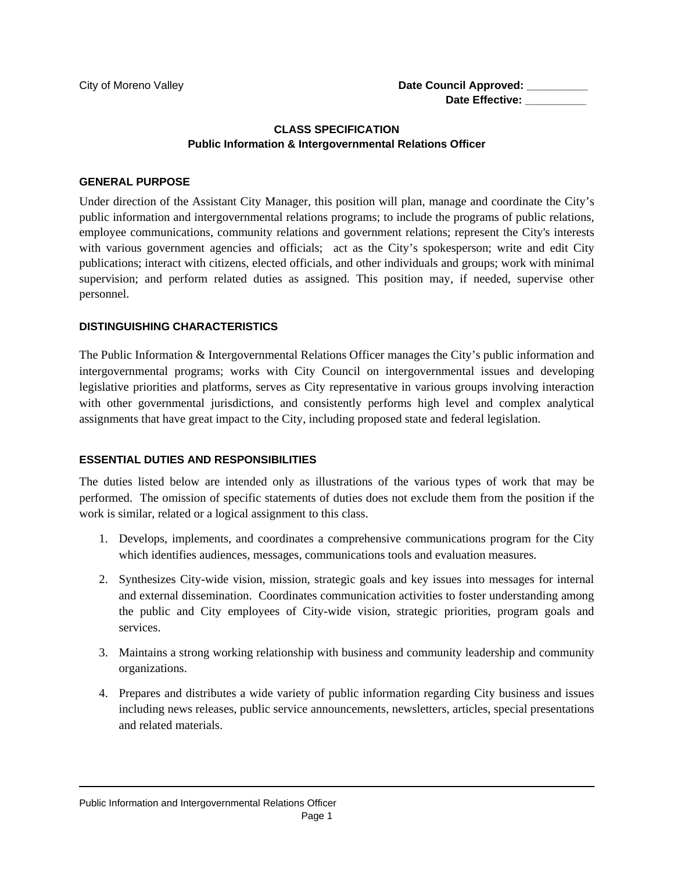#### **CLASS SPECIFICATION Public Information & Intergovernmental Relations Officer**

#### **GENERAL PURPOSE**

Under direction of the Assistant City Manager, this position will plan, manage and coordinate the City's public information and intergovernmental relations programs; to include the programs of public relations, employee communications, community relations and government relations; represent the City's interests with various government agencies and officials; act as the City's spokesperson; write and edit City publications; interact with citizens, elected officials, and other individuals and groups; work with minimal supervision; and perform related duties as assigned. This position may, if needed, supervise other personnel.

#### **DISTINGUISHING CHARACTERISTICS**

The Public Information & Intergovernmental Relations Officer manages the City's public information and intergovernmental programs; works with City Council on intergovernmental issues and developing legislative priorities and platforms, serves as City representative in various groups involving interaction with other governmental jurisdictions, and consistently performs high level and complex analytical assignments that have great impact to the City, including proposed state and federal legislation.

#### **ESSENTIAL DUTIES AND RESPONSIBILITIES**

The duties listed below are intended only as illustrations of the various types of work that may be performed. The omission of specific statements of duties does not exclude them from the position if the work is similar, related or a logical assignment to this class.

- 1. Develops, implements, and coordinates a comprehensive communications program for the City which identifies audiences, messages, communications tools and evaluation measures.
- 2. Synthesizes City-wide vision, mission, strategic goals and key issues into messages for internal and external dissemination. Coordinates communication activities to foster understanding among the public and City employees of City-wide vision, strategic priorities, program goals and services.
- 3. Maintains a strong working relationship with business and community leadership and community organizations.
- 4. Prepares and distributes a wide variety of public information regarding City business and issues including news releases, public service announcements, newsletters, articles, special presentations and related materials.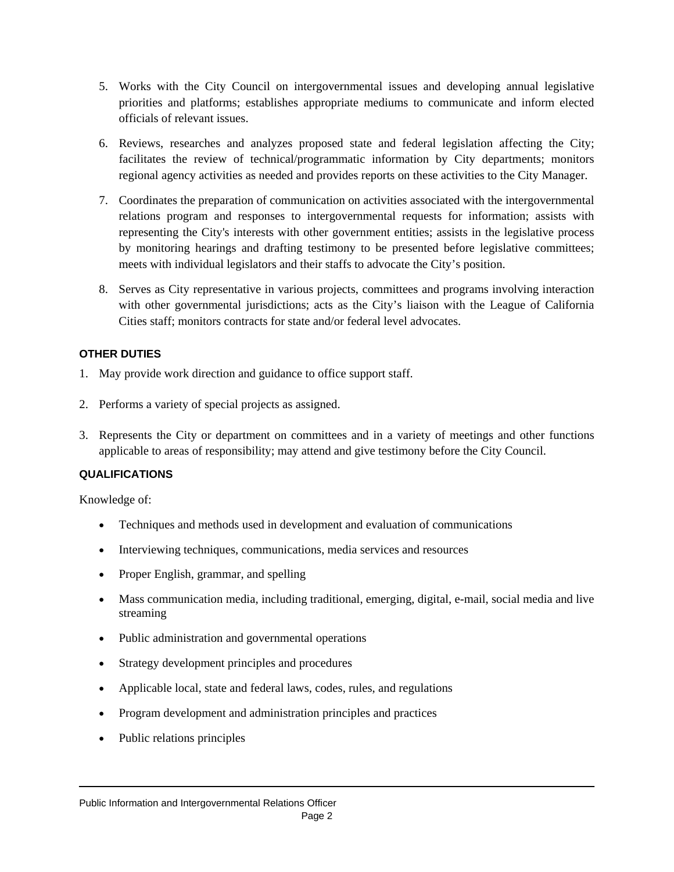- 5. Works with the City Council on intergovernmental issues and developing annual legislative priorities and platforms; establishes appropriate mediums to communicate and inform elected officials of relevant issues.
- 6. Reviews, researches and analyzes proposed state and federal legislation affecting the City; facilitates the review of technical/programmatic information by City departments; monitors regional agency activities as needed and provides reports on these activities to the City Manager.
- 7. Coordinates the preparation of communication on activities associated with the intergovernmental relations program and responses to intergovernmental requests for information; assists with representing the City's interests with other government entities; assists in the legislative process by monitoring hearings and drafting testimony to be presented before legislative committees; meets with individual legislators and their staffs to advocate the City's position.
- 8. Serves as City representative in various projects, committees and programs involving interaction with other governmental jurisdictions; acts as the City's liaison with the League of California Cities staff; monitors contracts for state and/or federal level advocates.

#### **OTHER DUTIES**

- 1. May provide work direction and guidance to office support staff.
- 2. Performs a variety of special projects as assigned.
- 3. Represents the City or department on committees and in a variety of meetings and other functions applicable to areas of responsibility; may attend and give testimony before the City Council.

#### **QUALIFICATIONS**

Knowledge of:

- Techniques and methods used in development and evaluation of communications
- Interviewing techniques, communications, media services and resources
- Proper English, grammar, and spelling
- Mass communication media, including traditional, emerging, digital, e-mail, social media and live streaming
- Public administration and governmental operations
- Strategy development principles and procedures
- Applicable local, state and federal laws, codes, rules, and regulations
- Program development and administration principles and practices
- Public relations principles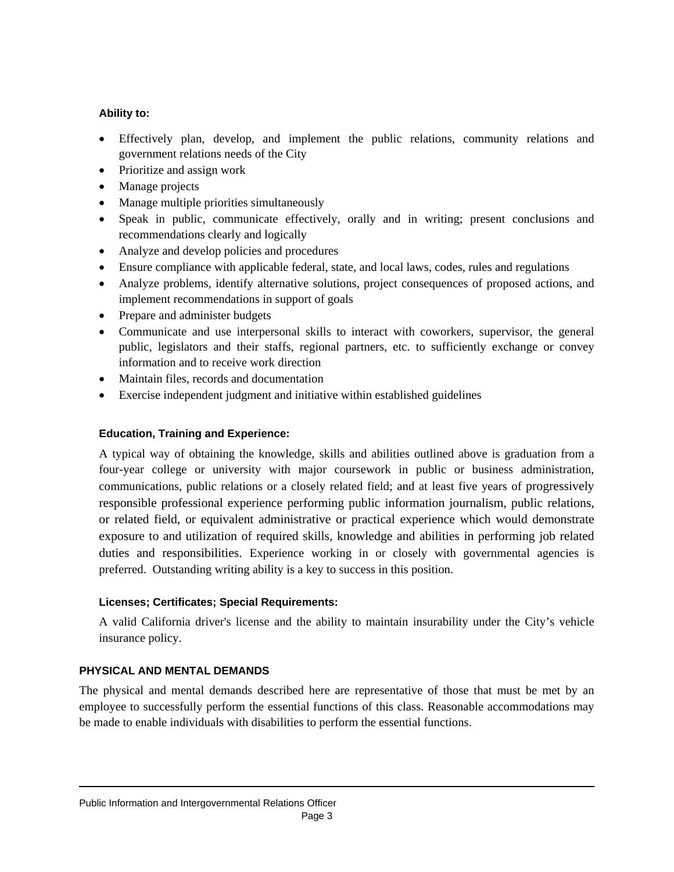#### **Ability to:**

- Effectively plan, develop, and implement the public relations, community relations and government relations needs of the City
- Prioritize and assign work
- Manage projects
- Manage multiple priorities simultaneously
- Speak in public, communicate effectively, orally and in writing; present conclusions and recommendations clearly and logically
- Analyze and develop policies and procedures
- Ensure compliance with applicable federal, state, and local laws, codes, rules and regulations
- Analyze problems, identify alternative solutions, project consequences of proposed actions, and implement recommendations in support of goals
- Prepare and administer budgets
- Communicate and use interpersonal skills to interact with coworkers, supervisor, the general public, legislators and their staffs, regional partners, etc. to sufficiently exchange or convey information and to receive work direction
- Maintain files, records and documentation
- Exercise independent judgment and initiative within established guidelines

#### **Education, Training and Experience:**

A typical way of obtaining the knowledge, skills and abilities outlined above is graduation from a four-year college or university with major coursework in public or business administration, communications, public relations or a closely related field; and at least five years of progressively responsible professional experience performing public information journalism, public relations, or related field, or equivalent administrative or practical experience which would demonstrate exposure to and utilization of required skills, knowledge and abilities in performing job related duties and responsibilities. Experience working in or closely with governmental agencies is preferred. Outstanding writing ability is a key to success in this position.

#### **Licenses; Certificates; Special Requirements:**

A valid California driver's license and the ability to maintain insurability under the City's vehicle insurance policy.

#### **PHYSICAL AND MENTAL DEMANDS**

The physical and mental demands described here are representative of those that must be met by an employee to successfully perform the essential functions of this class. Reasonable accommodations may be made to enable individuals with disabilities to perform the essential functions.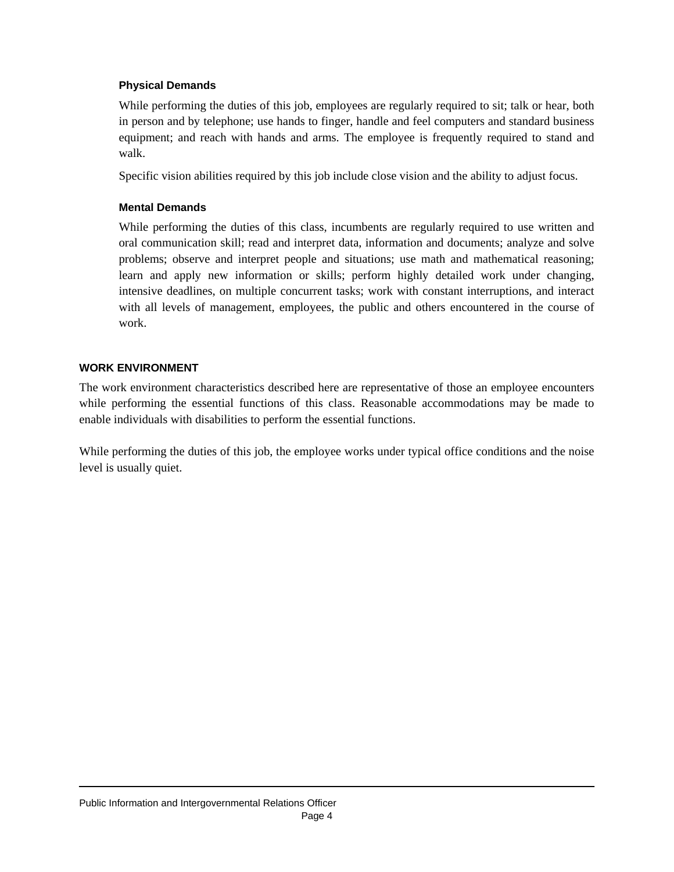#### **Physical Demands**

While performing the duties of this job, employees are regularly required to sit; talk or hear, both in person and by telephone; use hands to finger, handle and feel computers and standard business equipment; and reach with hands and arms. The employee is frequently required to stand and walk.

Specific vision abilities required by this job include close vision and the ability to adjust focus.

#### **Mental Demands**

While performing the duties of this class, incumbents are regularly required to use written and oral communication skill; read and interpret data, information and documents; analyze and solve problems; observe and interpret people and situations; use math and mathematical reasoning; learn and apply new information or skills; perform highly detailed work under changing, intensive deadlines, on multiple concurrent tasks; work with constant interruptions, and interact with all levels of management, employees, the public and others encountered in the course of work.

#### **WORK ENVIRONMENT**

The work environment characteristics described here are representative of those an employee encounters while performing the essential functions of this class. Reasonable accommodations may be made to enable individuals with disabilities to perform the essential functions.

While performing the duties of this job, the employee works under typical office conditions and the noise level is usually quiet.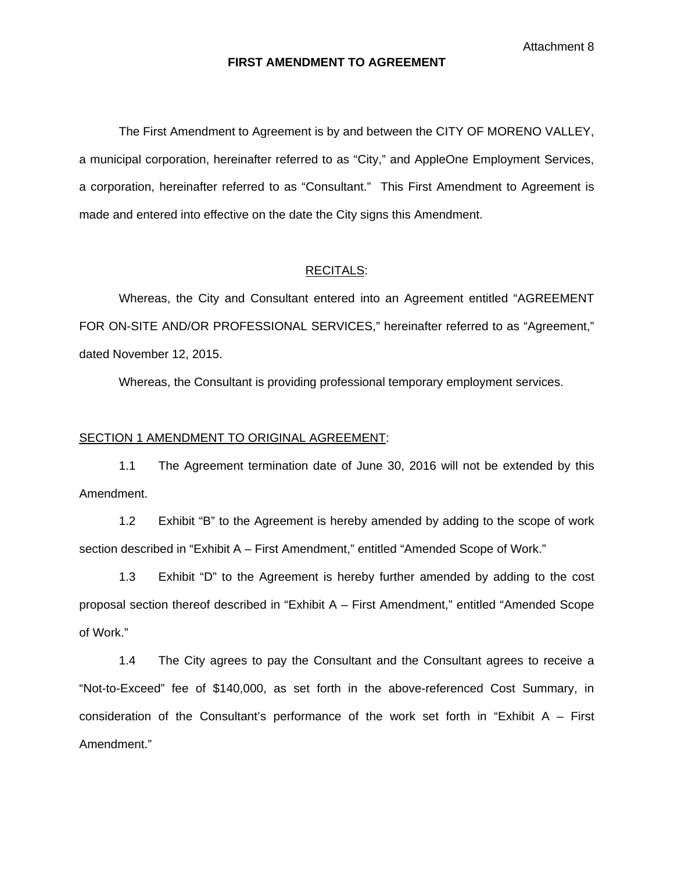Attachment 8

#### **FIRST AMENDMENT TO AGREEMENT**

 The First Amendment to Agreement is by and between the CITY OF MORENO VALLEY, a municipal corporation, hereinafter referred to as "City," and AppleOne Employment Services, a corporation, hereinafter referred to as "Consultant." This First Amendment to Agreement is made and entered into effective on the date the City signs this Amendment.

#### RECITALS:

 Whereas, the City and Consultant entered into an Agreement entitled "AGREEMENT FOR ON-SITE AND/OR PROFESSIONAL SERVICES," hereinafter referred to as "Agreement," dated November 12, 2015.

Whereas, the Consultant is providing professional temporary employment services.

#### SECTION 1 AMENDMENT TO ORIGINAL AGREEMENT:

1.1 The Agreement termination date of June 30, 2016 will not be extended by this Amendment.

1.2 Exhibit "B" to the Agreement is hereby amended by adding to the scope of work section described in "Exhibit A – First Amendment," entitled "Amended Scope of Work."

1.3 Exhibit "D" to the Agreement is hereby further amended by adding to the cost proposal section thereof described in "Exhibit A – First Amendment," entitled "Amended Scope of Work."

1.4 The City agrees to pay the Consultant and the Consultant agrees to receive a "Not-to-Exceed" fee of \$140,000, as set forth in the above-referenced Cost Summary, in consideration of the Consultant's performance of the work set forth in "Exhibit  $A -$  First Amendment."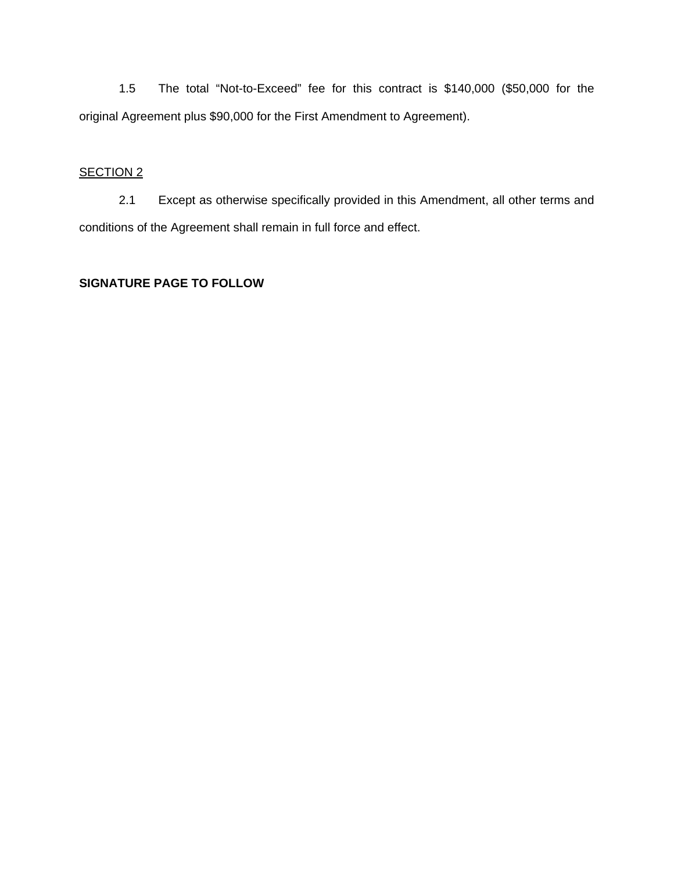1.5 The total "Not-to-Exceed" fee for this contract is \$140,000 (\$50,000 for the original Agreement plus \$90,000 for the First Amendment to Agreement).

#### SECTION<sub>2</sub>

 2.1 Except as otherwise specifically provided in this Amendment, all other terms and conditions of the Agreement shall remain in full force and effect.

#### **SIGNATURE PAGE TO FOLLOW**